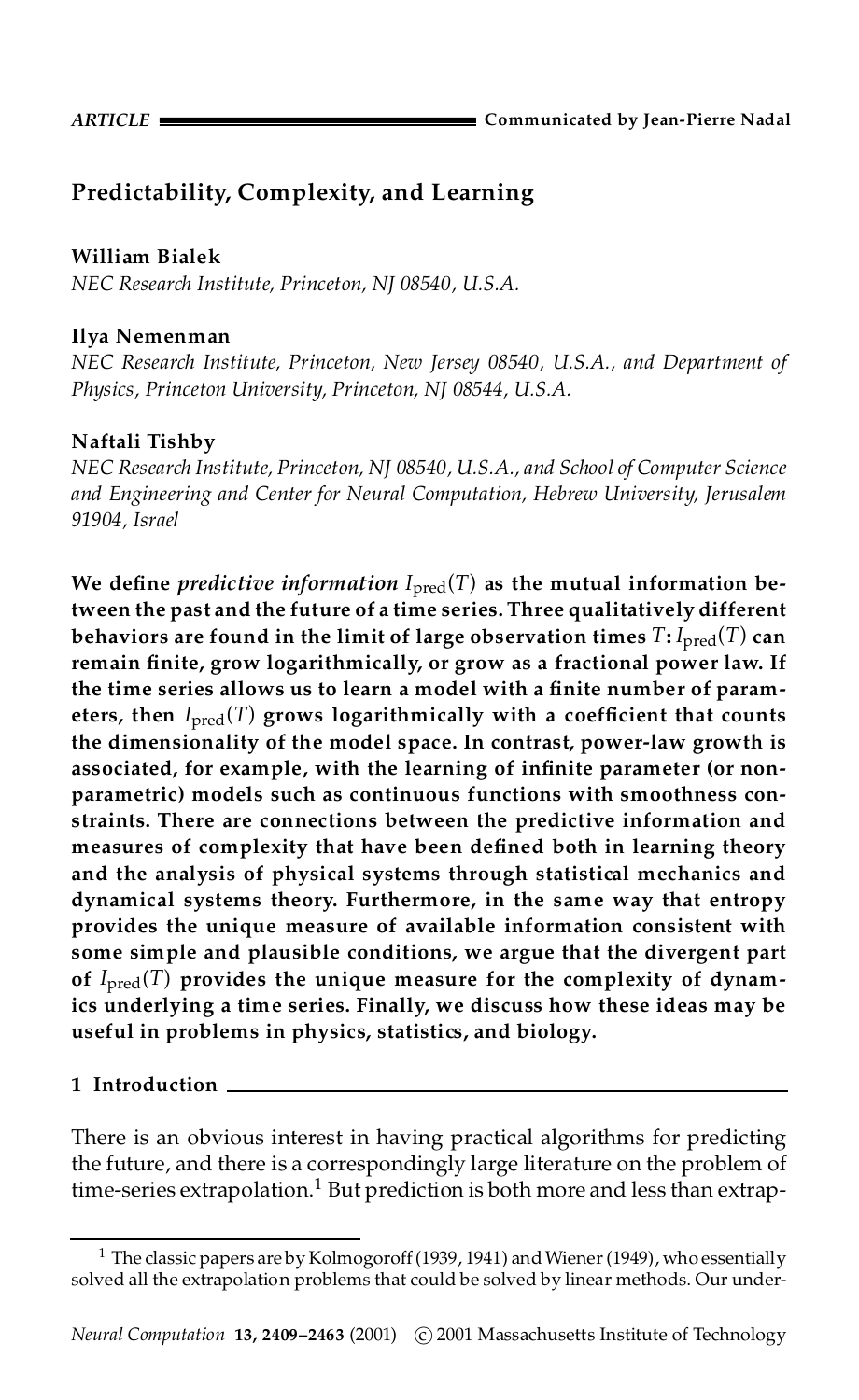# **Predictability, Complexity, and Learning**

## **William Bialek**

*NEC Research Institute, Princeton, NJ 08540, U.S.A.*

## **Ilya Nemenman**

*NEC Research Institute, Princeton, New Jersey 08540, U.S.A., and Department of Physics, Princeton University, Princeton, NJ 08544, U.S.A.*

## **Naftali Tishby**

*NEC Research Institute, Princeton, NJ 08540, U.S.A., and School of Computer Science and Engineering and Center for Neural Computation, Hebrew University, Jerusalem 91904, Israel*

We define *predictive information*  $I_{\text{pred}}(T)$  as the mutual information be**tween the past and the future of a time series. Three qualitatively different behaviors** are found in the limit of large observation times  $T: I_{\text{pred}}(T)$  can **remain nite, grow logarithmically, or grow asa fractional power law. If the time series allows us to learn a model with a nite number of param** eters, then  $I_{\text{pred}}(T)$  grows logarithmically with a coefficient that counts **the dimensionality of the model space. In contrast, power-law growth is associated, for example, with the learning of innite parameter (or non parametric) models such as continuous functions with smoothness con straints. There are connections between the predictive information and measures of complexity that have been dened both in learning theory and the analysis of physical systems through statistical mechanics and dynamical systems theory. Furthermore, in the same way that entropy provides the unique measure of available information consistent with some simple and plausible conditions, we argue that the divergent part** of  $I_{\text{pred}}(T)$  provides the unique measure for the complexity of dynam**ics underlying a time series. Finally, we discuss how these ideas may be useful in problems in physics, statistics, and biology.**

**1 Introduction**

There is an obvious interest in having practical algorithms for predicting the future, and there is a correspondingly large literature on the problem of time-series extrapolation.<sup>1</sup> But prediction is both more and less than extrap-

 $1$  The classic papers are by Kolmogoroff (1939, 1941) and Wiener (1949), who essentially solved all the extrapolation problems that could be solved by linear methods. Our under-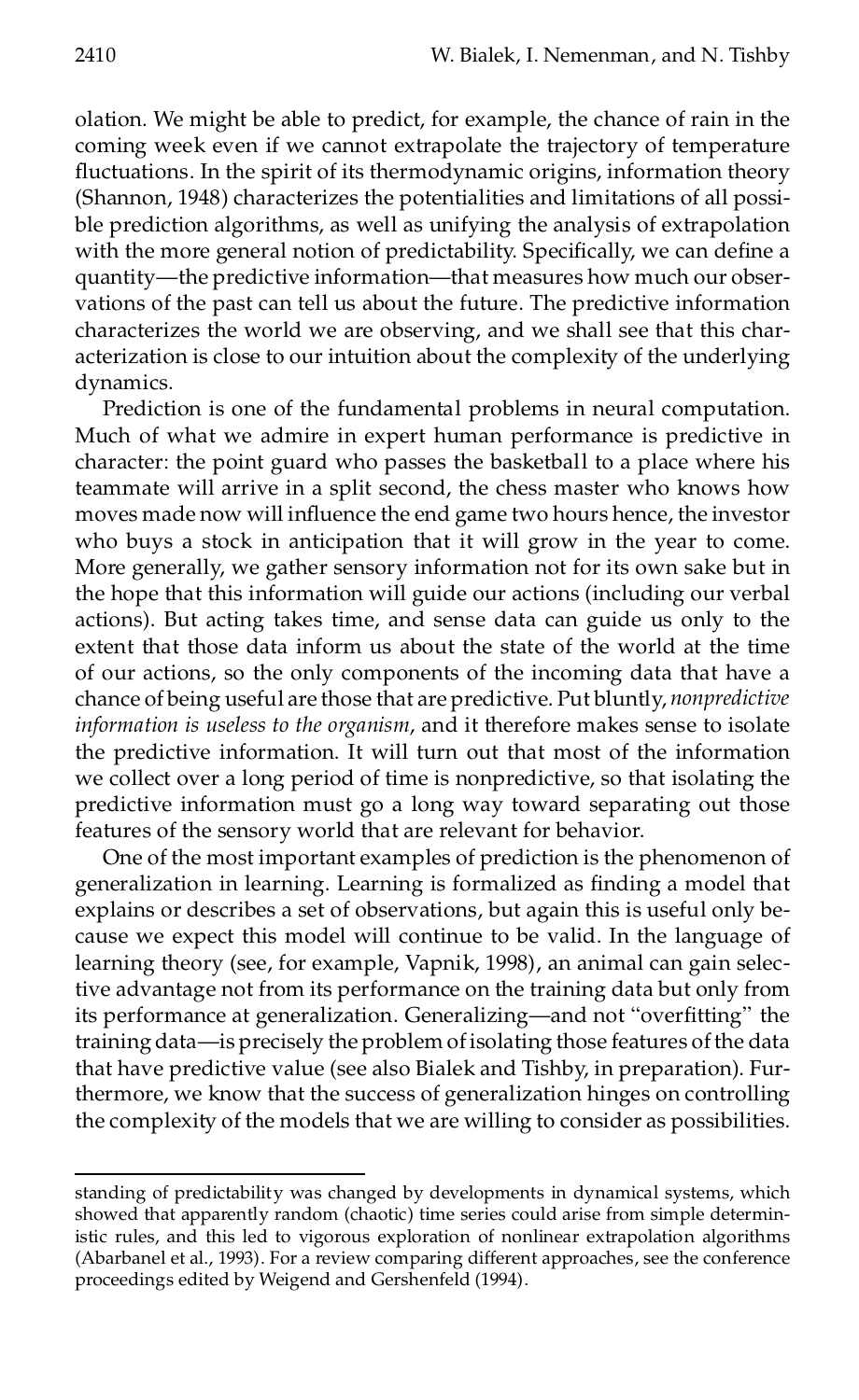olation. We might be able to predict, for example, the chance of rain in the coming week even if we cannot extrapolate the trajectory of temperature fluctuations. In the spirit of its thermodynamic origins, information theory (Shannon, 1948) characterizes the potentialities and limitations of all possi ble prediction algorithms, as well as unifying the analysis of extrapolation with the more general notion of predictability. Specifically, we can define a quantity—the predictive information—that measures how much our obser vations of the past can tell us about the future. The predictive information characterizes the world we are observing, and we shall see that this char acterization is close to our intuition about the complexity of the underlying dynamics.

Prediction is one of the fundamental problems in neural computation. Much of what we admire in expert human performance is predictive in character: the point guard who passes the basketball to a place where his teammate will arrive in a split second, the chess master who knows how moves made now will influence the end game two hours hence, the investor who buys a stock in anticipation that it will grow in the year to come. More generally, we gather sensory information not for its own sake but in the hope that this information will guide our actions (including our verbal actions). But acting takes time, and sense data can guide us only to the extent that those data inform us about the state of the world at the time of our actions, so the only components of the incoming data that have a chance of being useful are those that are predictive. Put bluntly, *nonpredictive information is useless to the organism*, and it therefore makes sense to isolate the predictive information. It will turn out that most of the information we collect over a long period of time is nonpredictive, so that isolating the predictive information must go a long way toward separating out those features of the sensory world that are relevant for behavior.

One of the most important examples of prediction is the phenomenon of generalization in learning. Learning is formalized as finding a model that explains or describes a set of observations, but again this is useful only be cause we expect this model will continue to be valid. In the language of learning theory (see, for example, Vapnik, 1998), an animal can gain selective advantage not from its performance on the training data but only from its performance at generalization. Generalizing—and not "overfitting" the training data—is precisely the problem ofisolating those features ofthe data that have predictive value (see also Bialek and Tishby, in preparation). Furthermore, we know that the success of generalization hinges on controlling the complexity of the models that we are willing to consider as possibilities.

standing of predictability was changed by developments in dynamical systems, which showed that apparently random (chaotic) time series could arise from simple deterministic rules, and this led to vigorous exploration of nonlinear extrapolation algorithms (Abarbanel et al., 1993). For a review comparing different approaches, see the conference proceedings edited by Weigend and Gershenfeld (1994).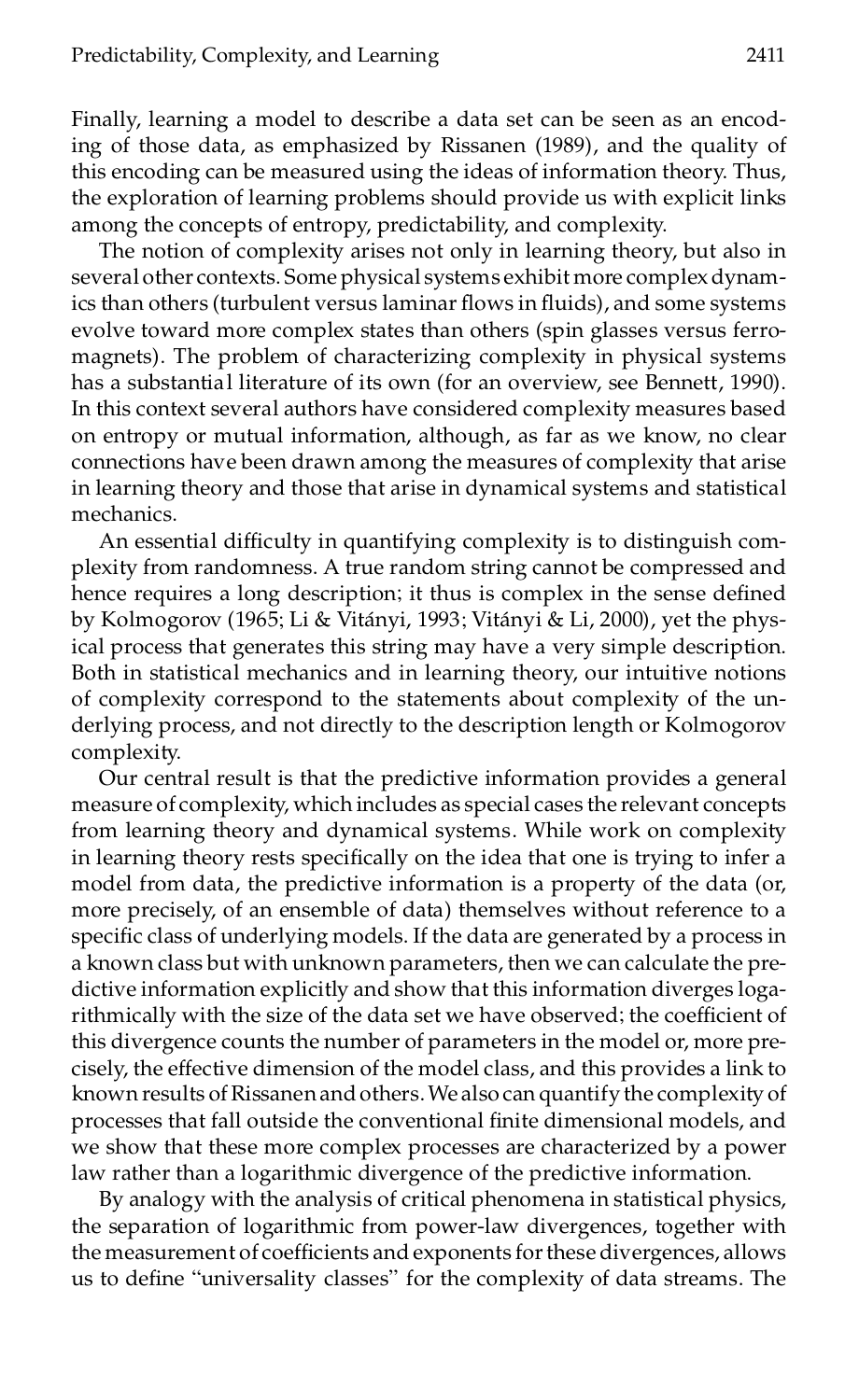Finally, learning a model to describe a data set can be seen as an encoding of those data, as emphasized by Rissanen (1989), and the quality of this encoding can be measured using the ideas of information theory. Thus, the exploration of learning problems should provide us with explicit links among the concepts of entropy, predictability, and complexity.

The notion of complexity arises not only in learning theory, but also in several other contexts. Some physical systems exhibit more complexdynamics than others (turbulent versus laminar flows in fluids), and some systems evolve toward more complex states than others (spin glasses versus ferro magnets). The problem of characterizing complexity in physical systems has a substantial literature of its own (for an overview, see Bennett, 1990). In this context several authors have considered complexity measures based on entropy or mutual information, although, as far as we know, no clear connections have been drawn among the measures of complexity that arise in learning theory and those that arise in dynamical systems and statistical mechanics.

An essential difficulty in quantifying complexity is to distinguish complexity from randomness. A true random string cannot be compressed and hence requires a long description; it thus is complex in the sense defined by Kolmogorov (1965; Li & Vitányi, 1993; Vitányi & Li, 2000), yet the physical process that generates this string may have a very simple description. Both in statistical mechanics and in learning theory, our intuitive notions of complexity correspond to the statements about complexity of the un derlying process, and not directly to the description length or Kolmogorov complexity.

Our central result is that the predictive information provides a general measure of complexity, which includes as special cases the relevant concepts from learning theory and dynamical systems. While work on complexity in learning theory rests specifically on the idea that one is trying to infer a model from data, the predictive information is a property of the data (or, more precisely, of an ensemble of data) themselves without reference to a specific class of underlying models. If the data are generated by a process in a known class but with unknown parameters, then we can calculate the pre dictive information explicitly and show that this information diverges loga rithmically with the size of the data set we have observed; the coefficient of this divergence counts the number of parameters in the model or, more pre cisely, the effective dimension of the model class, and this provides a link to known results of Rissanen and others. We also can quantify the complexity of processes that fall outside the conventional finite dimensional models, and we show that these more complex processes are characterized by a power law rather than a logarithmic divergence of the predictive information.

By analogy with the analysis of critical phenomena in statistical physics, the separation of logarithmic from power-law divergences, together with the measurement of coefficients and exponents for these divergences, allows us to define "universality classes" for the complexity of data streams. The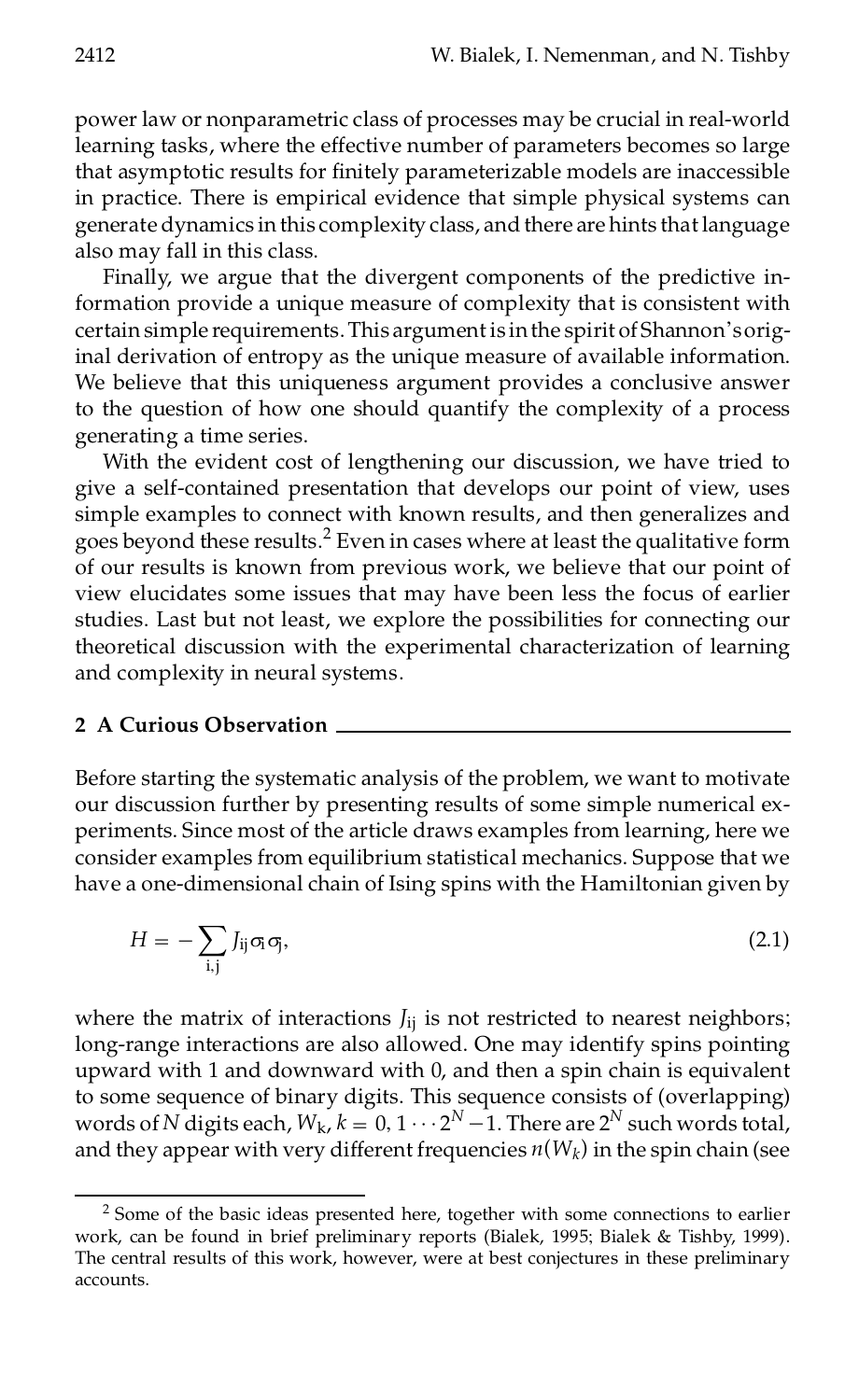power law or nonparametric class of processes may be crucial in real-world learning tasks, where the effective number of parameters becomes so large that asymptotic results for finitely parameterizable models are inaccessible in practice. There is empirical evidence that simple physical systems can generate dynamics in this complexity class, and there are hints thatlanguage also may fall in this class.

Finally, we argue that the divergent components of the predictive information provide a unique measure of complexity that is consistent with certain simple requirements.This argumentis inthe spirit of Shannon'soriginal derivation of entropy as the unique measure of available information. We believe that this uniqueness argument provides a conclusive answer to the question of how one should quantify the complexity of a process generating a time series.

With the evident cost of lengthening our discussion, we have tried to give a self-contained presentation that develops our point of view, uses simple examples to connect with known results, and then generalizes and goes beyond these results.<sup>2</sup> Even in cases where at least the qualitative form of our results is known from previous work, we believe that our point of view elucidates some issues that may have been less the focus of earlier studies. Last but not least, we explore the possibilities for connecting our theoretical discussion with the experimental characterization of learning and complexity in neural systems.

#### **2 A Curious Observation**

Before starting the systematic analysis of the problem, we want to motivate our discussion further by presenting results of some simple numerical ex periments. Since most of the article draws examples from learning, here we consider examples from equilibrium statistical mechanics. Suppose that we have a one-dimensional chain of Ising spins with the Hamiltonian given by

$$
H = -\sum_{i,j} J_{ij}\sigma_i\sigma_j,\tag{2.1}
$$

where the matrix of interactions  $J_{ij}$  is not restricted to nearest neighbors; long-range interactions are also allowed. One may identify spins pointing upward with 1 and downward with 0, and then a spin chain is equivalent to some sequence of binary digits. This sequence consists of (overlapping) words of  $N$  digits each,  $W_k$ ,  $k = 0, 1 \cdots 2^N - 1$ . There are  $2^N$  such words total, and they appear with very different frequencies  $n(W_k)$  in the spin chain (see

<sup>&</sup>lt;sup>2</sup> Some of the basic ideas presented here, together with some connections to earlier work, can be found in brief preliminary reports (Bialek, 1995; Bialek & Tishby, 1999). The central results of this work, however, were at best conjectures in these preliminary accounts.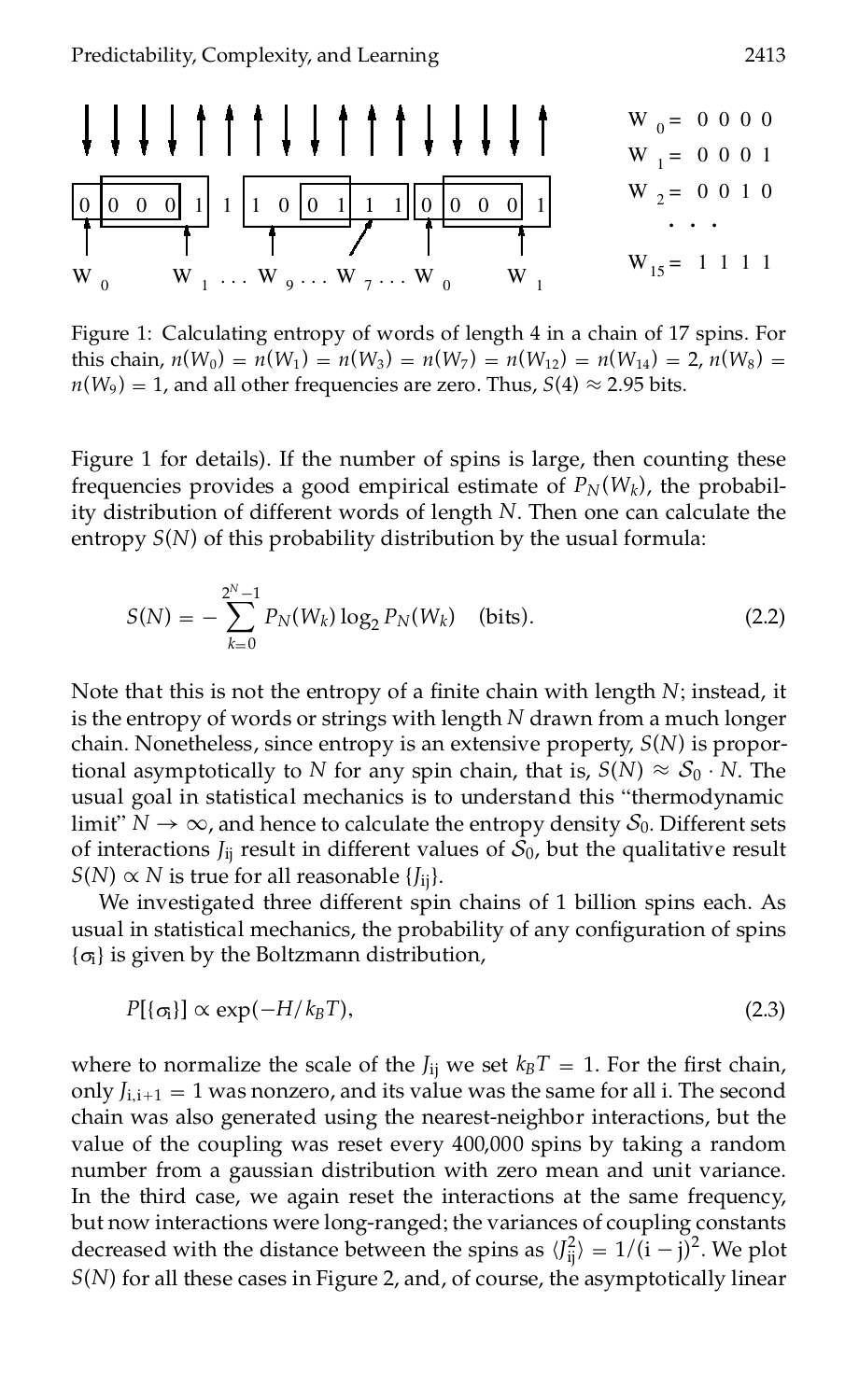

Figure 1: Calculating entropy of words of length 4 in a chain of 17 spins. For this chain,  $n(W_0) = n(W_1) = n(W_3) = n(W_7) = n(W_{12}) = n(W_{14}) = 2, n(W_8) =$  $n(W_9) = 1$ , and all other frequencies are zero. Thus, *S*(4)  $\approx$  2.95 bits.

Figure 1 for details). If the number of spins is large, then counting these frequencies provides a good empirical estimate of  $P_N(W_k)$ , the probability distribution of different words of length *N*. Then one can calculate the entropy *S*(*N*) of this probability distribution by the usual formula:

$$
S(N) = -\sum_{k=0}^{2^N - 1} P_N(W_k) \log_2 P_N(W_k)
$$
 (bits). (2.2)

Note that this is not the entropy of a finite chain with length *N*; instead, it is the entropy of words or strings with length *N* drawn from a much longer chain. Nonetheless, since entropy is an extensive property, *S*(*N*) is proportional asymptotically to *N* for any spin chain, that is,  $S(N) \approx S_0 \cdot N$ . The usual goal in statistical mechanics is to understand this "thermodynamic limit"  $N \to \infty$ , and hence to calculate the entropy density  $S_0$ . Different sets of interactions  $J_{ij}$  result in different values of  $S_0$ , but the qualitative result *S*(*N*)  $\propto$  *N* is true for all reasonable {*J*<sub>ij</sub>}. We investigated three different spin chains of 1 billion spins each. As

usual in statistical mechanics, the probability of any configuration of spins  $\{\sigma_i\}$  is given by the Boltzmann distribution,

$$
P[\{\sigma_i\}] \propto \exp(-H/k_B T),\tag{2.3}
$$

where to normalize the scale of the  $J_{ii}$  we set  $k_B T = 1$ . For the first chain, only  $J_{i,i+1} = 1$  was nonzero, and its value was the same for all i. The second chain was also generated using the nearest-neighbor interactions, but the value of the coupling was reset every 400,000 spins by taking a random number from a gaussian distribution with zero mean and unit variance. In the third case, we again reset the interactions at the same frequency, but now interactions were long-ranged; the variances of coupling constants decreased with the distance between the spins as  $(J_{ij}^2) = 1/(\tilde{i} - j)^2$ . We plot *S*(*N*) for all these cases in Figure 2, and, of course, the asymptotically linear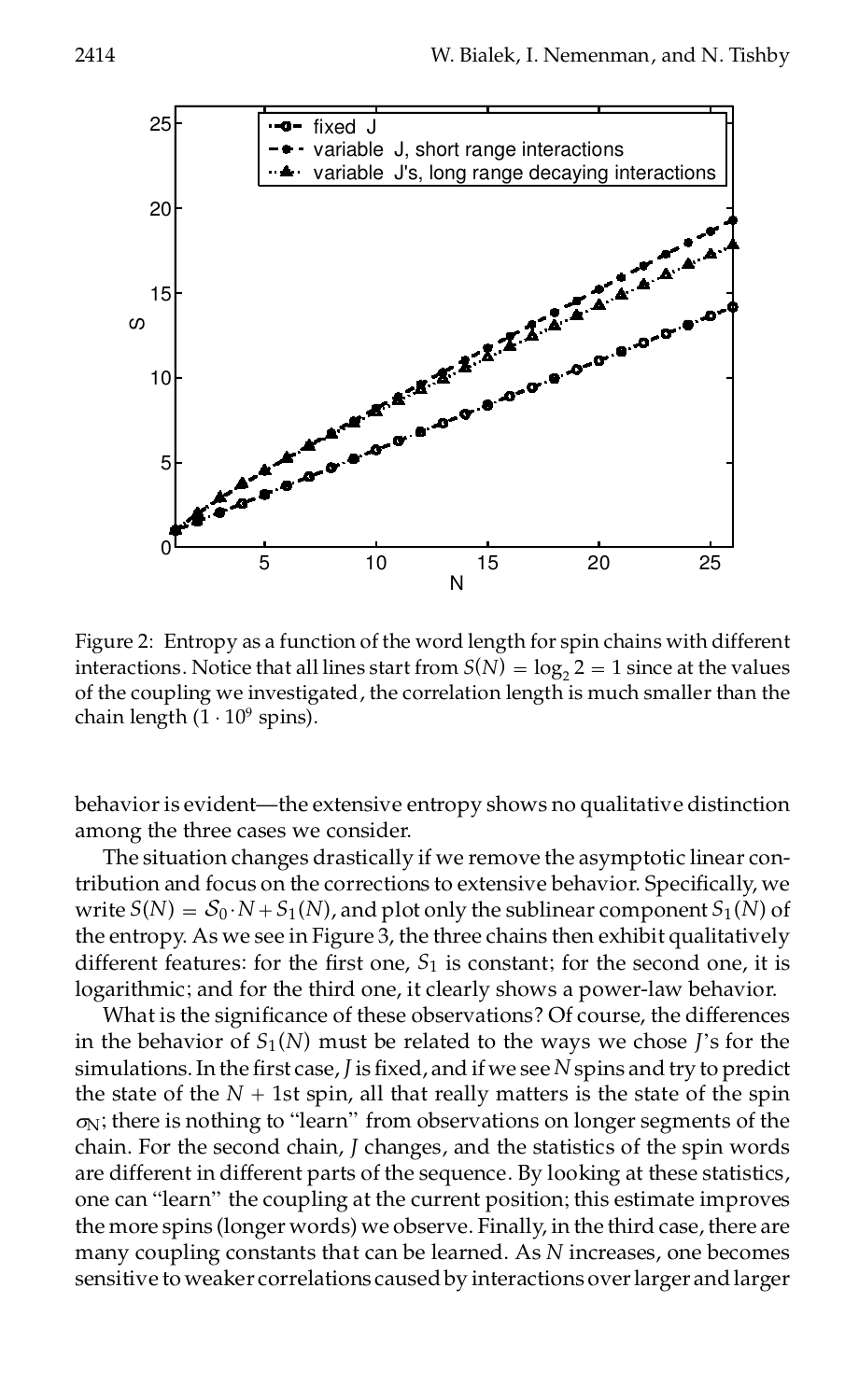

Figure 2: Entropy as a function of the word length for spin chains with different interactions. Notice that all lines start from  $S(N) = \log_2 2 = 1$  since at the values of the coupling we investigated, the correlation length is much smaller than the chain length  $(1 \cdot 10^9 \text{ spins}).$ 

behavior is evident—the extensive entropy shows no qualitative distinction among the three cases we consider.

The situation changes drastically if we remove the asymptotic linear contribution and focus on the corrections to extensive behavior. Specifically, we write  $S(N) = S_0 \cdot N + S_1(N)$ , and plot only the sublinear component  $S_1(N)$  of the entropy. As we see in Figure 3, the three chains then exhibit qualitatively different features: for the first one,  $S_1$  is constant; for the second one, it is logarithmic; and for the third one, it clearly shows a power-law behavior.

What is the significance of these observations? Of course, the differences in the behavior of  $S_1(N)$  must be related to the ways we chose *J*'s for the simulations. In the first case, *J* is fixed, and if we see *N* spins and try to predict the state of the  $N + 1$ st spin, all that really matters is the state of the spin  $\sigma$ <sub>N</sub>; there is nothing to "learn" from observations on longer segments of the chain. For the second chain, *J* changes, and the statistics of the spin words are different in different parts of the sequence. By looking at these statistics, one can "learn" the coupling at the current position; this estimate improves the more spins (longer words) we observe. Finally, in the third case, there are many coupling constants that can be learned. As *N* increases, one becomes sensitive to weaker correlations causedby interactions overlarger andlarger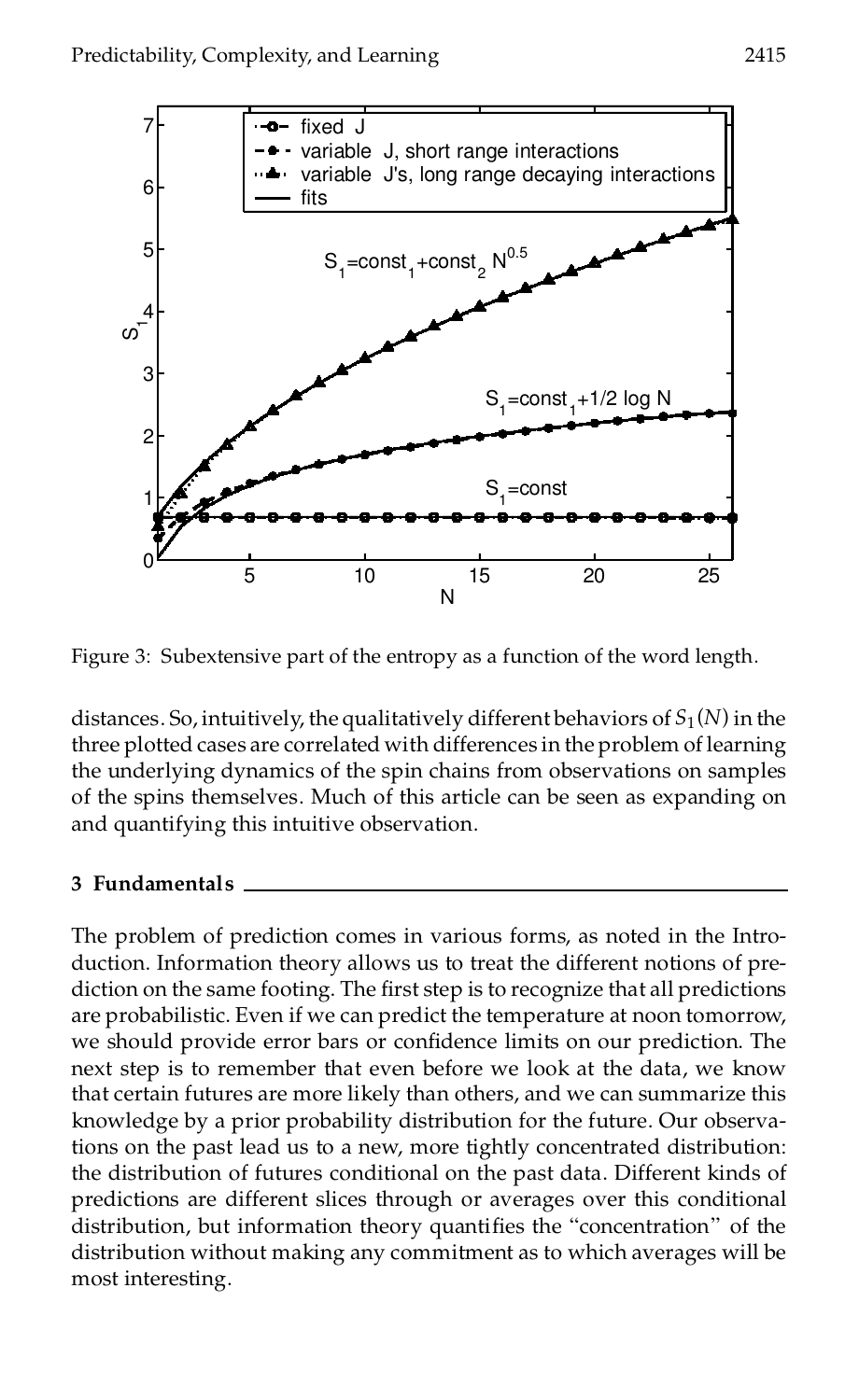

Figure 3: Subextensive part of the entropy as a function of the word length.

distances. So, intuitively, the qualitatively different behaviors of *S*1(*N*) in the three plotted cases are correlated with differences in the problem of learning the underlying dynamics of the spin chains from observations on samples of the spins themselves. Much of this article can be seen as expanding on and quantifying this intuitive observation.

## **3 Fundamentals**

The problem of prediction comes in various forms, as noted in the Intro duction. Information theory allows us to treat the different notions of pre diction on the same footing. The first step is to recognize that all predictions are probabilistic. Even if we can predict the temperature at noon tomorrow, we should provide error bars or confidence limits on our prediction. The next step is to remember that even before we look at the data, we know that certain futures are more likely than others, and we can summarize this knowledge by a prior probability distribution for the future. Our observations on the past lead us to a new, more tightly concentrated distribution: the distribution of futures conditional on the past data. Different kinds of predictions are different slices through or averages over this conditional distribution, but information theory quantifies the "concentration" of the distribution without making any commitment as to which averages will be most interesting.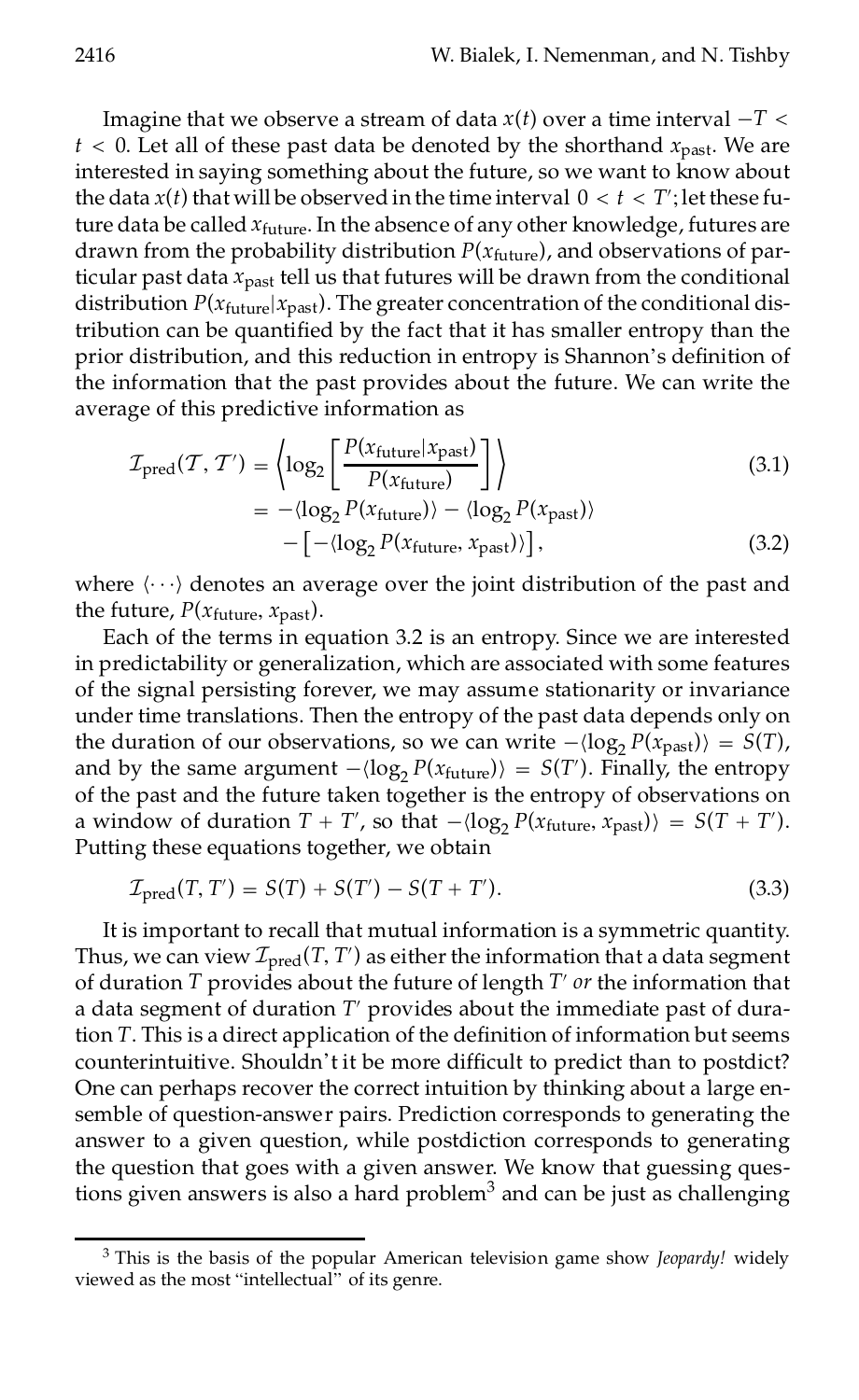Imagine that we observe a stream of data  $x(t)$  over a time interval  $-T <$  $t < 0$ . Let all of these past data be denoted by the shorthand  $x_{\text{past}}$ . We are interested in saying something about the future, so we want to know about the data  $x(t)$  that will be observed in the time interval  $0 < t < T'$ ; let these future data be called  $x_{\text{future}}$ . In the absence of any other knowledge, futures are drawn from the probability distribution  $P(x<sub>future</sub>)$ , and observations of particular past data  $x_{\text{past}}$  tell us that futures will be drawn from the conditional distribution  $P(x_{\text{future}}|x_{\text{past}})$ . The greater concentration of the conditional distribution can be quantified by the fact that it has smaller entropy than the prior distribution, and this reduction in entropy is Shannon's definition of the information that the past provides about the future. We can write the average of this predictive information as

$$
\mathcal{I}_{\text{pred}}(\mathcal{T}, \mathcal{T}') = \left\langle \log_2 \left[ \frac{P(x_{\text{future}} | x_{\text{past}})}{P(x_{\text{future}})} \right] \right\rangle \tag{3.1}
$$

$$
= -\langle \log_2 P(x_{\text{future}}) \rangle - \langle \log_2 P(x_{\text{past}}) \rangle
$$
  
- 
$$
\left[ -\langle \log_2 P(x_{\text{future}}, x_{\text{past}}) \rangle \right],
$$
 (3.2)

where  $\langle \cdots \rangle$  denotes an average over the joint distribution of the past and the future,  $P(x_{\text{future}}, x_{\text{past}})$ .

Each of the terms in equation 3.2 is an entropy. Since we are interested in predictability or generalization, which are associated with some features of the signal persisting forever, we may assume stationarity or invariance under time translations. Then the entropy of the past data depends only on the duration of our observations, so we can write  $-\langle \log_2 P(x_{\text{past}}) \rangle = S(T)$ , and by the same argument  $-\langle \log_2 P(x_{\text{future}}) \rangle = S(T')$ . Finally, the entropy of the past and the future taken together is the entropy of observations on a window of duration  $T + T'$ , so that  $-\langle \log_2 P(x_{\text{future}}, x_{\text{past}}) \rangle = S(T + T')$ . Putting these equations together, we obtain

$$
\mathcal{I}_{\text{pred}}(T, T') = S(T) + S(T') - S(T + T'). \tag{3.3}
$$

It is important to recall that mutual information is a symmetric quantity. Thus, we can view  $\mathcal{I}_\text{pred}(\mathit{T},\mathit{T}')$  as either the information that a data segment of duration *T* provides about the future of length *T* <sup>0</sup> *or* the information that a data segment of duration T' provides about the immediate past of duration *T*. This is a direct application of the definition of information but seems counterintuitive. Shouldn't it be more difficult to predict than to postdict? One can perhaps recover the correct intuition by thinking about a large en semble of question-answer pairs. Prediction corresponds to generating the answer to a given question, while postdiction corresponds to generating the question that goes with a given answer. We know that guessing questions given answers is also a hard problem<sup>3</sup> and can be just as challenging

<sup>3</sup> This is the basis of the popular American television game show *Jeopardy!* widely viewed as the most "intellectual" of its genre.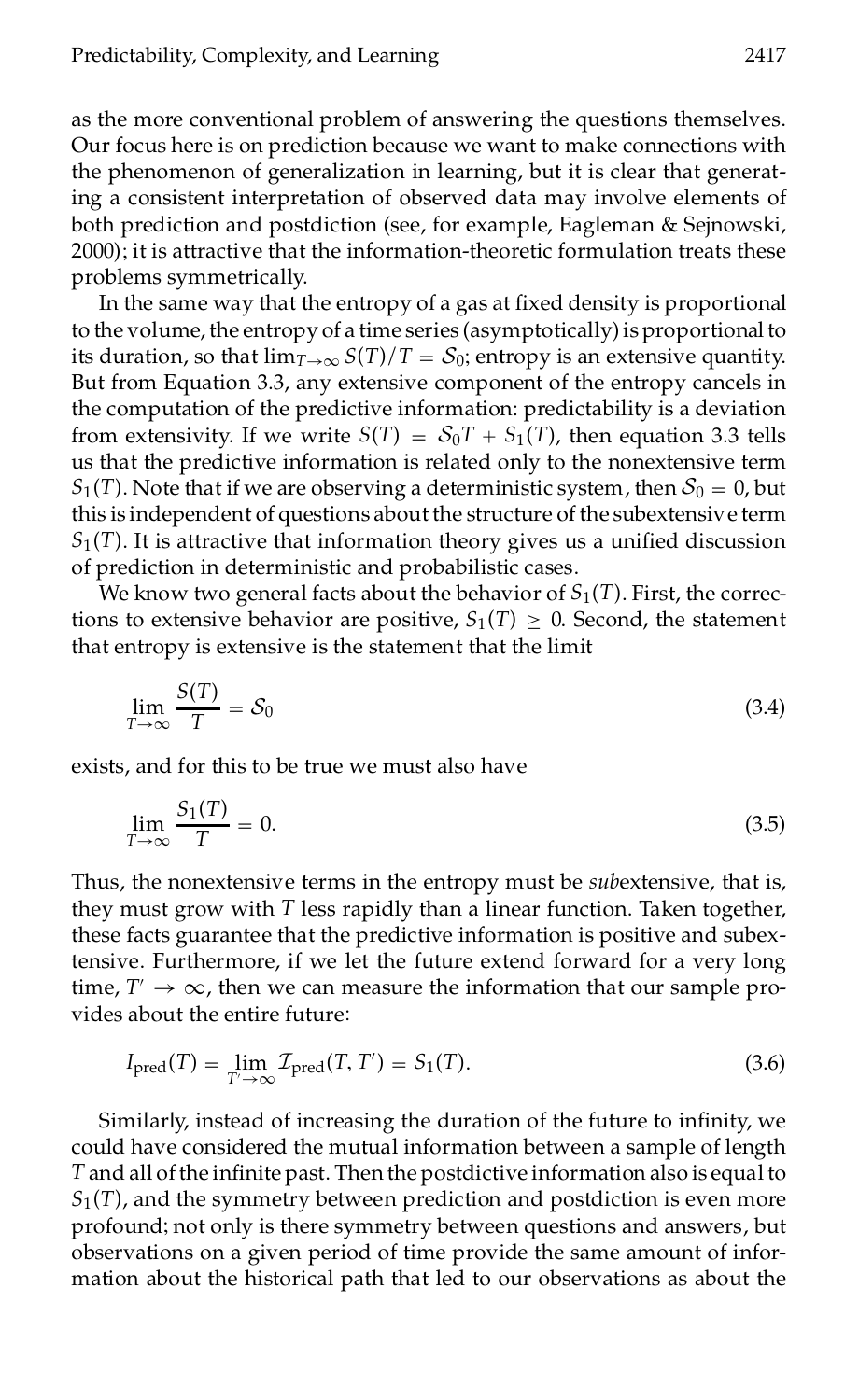as the more conventional problem of answering the questions themselves. Our focus here is on prediction because we want to make connections with the phenomenon of generalization in learning, but it is clear that generating a consistent interpretation of observed data may involve elements of both prediction and postdiction (see, for example, Eagleman & Sejnowski, 2000); it is attractive that the information-theoretic formulation treats these problems symmetrically.

In the same way that the entropy of a gas at fixed density is proportional to the volume, the entropy of a time series (asymptotically) is proportional to its duration, so that  $\lim_{T\to\infty} S(T)/T = S_0$ ; entropy is an extensive quantity. But from Equation 3.3, any extensive component of the entropy cancels in the computation of the predictive information: predictability is a deviation from extensivity. If we write  $S(T) = S_0T + S_1(T)$ , then equation 3.3 tells us that the predictive information is related only to the nonextensive term  $S_1(T)$ . Note that if we are observing a deterministic system, then  $S_0 = 0$ , but this is independent of questions about the structure of the subextensive term  $S_1(T)$ . It is attractive that information theory gives us a unified discussion of prediction in deterministic and probabilistic cases.

We know two general facts about the behavior of  $S_1(T)$ . First, the corrections to extensive behavior are positive,  $S_1(T) \geq 0$ . Second, the statement that entropy is extensive is the statement that the limit

$$
\lim_{T \to \infty} \frac{S(T)}{T} = \mathcal{S}_0 \tag{3.4}
$$

exists, and for this to be true we must also have

$$
\lim_{T \to \infty} \frac{S_1(T)}{T} = 0. \tag{3.5}
$$

Thus, the nonextensive terms in the entropy must be *sub*extensive, that is, they must grow with *T* less rapidly than a linear function. Taken together, these facts guarantee that the predictive information is positive and subextensive. Furthermore, if we let the future extend forward for a very long time,  $T' \rightarrow \infty$ , then we can measure the information that our sample provides about the entire future:

$$
I_{\text{pred}}(T) = \lim_{T' \to \infty} \mathcal{I}_{\text{pred}}(T, T') = S_1(T). \tag{3.6}
$$

Similarly, instead of increasing the duration of the future to infinity, we could have considered the mutual information between a sample of length *T* and all of the infinite past. Then the postdictive information also is equal to  $S_1(T)$ , and the symmetry between prediction and postdiction is even more profound; not only is there symmetry between questions and answers, but observations on a given period of time provide the same amount of infor mation about the historical path that led to our observations as about the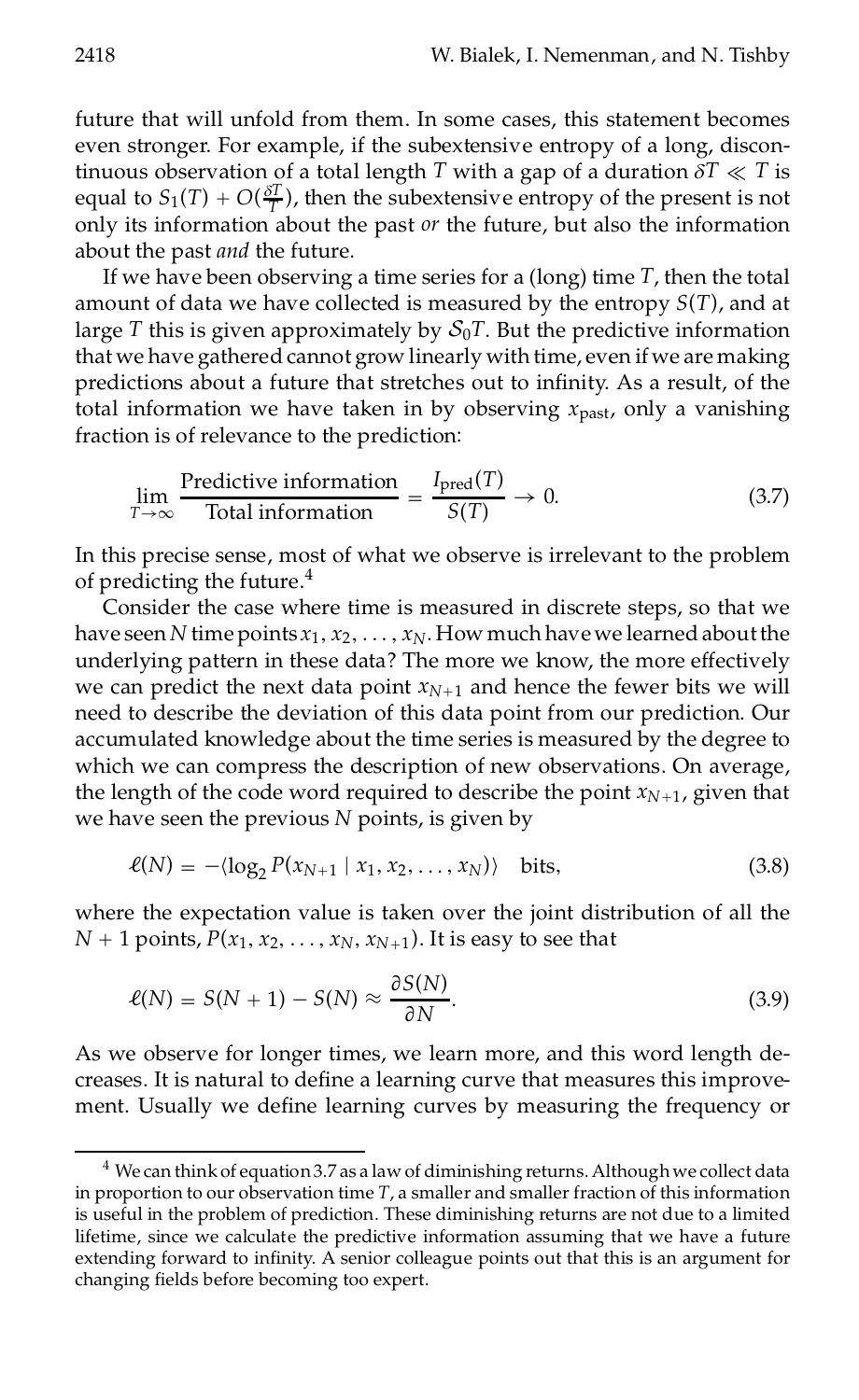future that will unfold from them. In some cases, this statement becomes even stronger. For example, if the subextensive entropy of a long, discontinuous observation of a total length *T* with a gap of a duration  $\delta T \ll T$  is equal to  $S_1(T) + O(\frac{\delta T}{T})$ , then the subextensive entropy of the present is not only its information about the past *or* the future, but also the information about the past *and* the future.

If we have been observing a time series for a (long) time *T*, then the total amount of data we have collected is measured by the entropy *S*(*T*), and at large *T* this is given approximately by  $S_0T$ . But the predictive information that we have gathered cannot grow linearly with time, even if we are making predictions about a future that stretches out to infinity. As a result, of the total information we have taken in by observing *x*past, only a vanishing fraction is of relevance to the prediction:

$$
\lim_{T \to \infty} \frac{\text{Predictive information}}{\text{Total information}} = \frac{I_{\text{pred}}(T)}{S(T)} \to 0. \tag{3.7}
$$

In this precise sense, most of what we observe is irrelevant to the problem of predicting the future.<sup>4</sup>

Consider the case where time is measured in discrete steps, so that we have seen *N* time points  $x_1, x_2, \ldots, x_N$ . How much have we learned about the underlying pattern in these data? The more we know, the more effectively we can predict the next data point  $x_{N+1}$  and hence the fewer bits we will need to describe the deviation of this data point from our prediction. Our accumulated knowledge about the time series is measured by the degree to which we can compress the description of new observations. On average, the length of the code word required to describe the point  $x_{N+1}$ , given that we have seen the previous *N* points, is given by

$$
\ell(N) = -\langle \log_2 P(x_{N+1} \mid x_1, x_2, \dots, x_N) \rangle \text{ bits, } (3.8)
$$

where the expectation value is taken over the joint distribution of all the  $N + 1$  points,  $P(x_1, x_2, \ldots, x_N, x_{N+1})$ . It is easy to see that

$$
\ell(N) = S(N+1) - S(N) \approx \frac{\partial S(N)}{\partial N}.
$$
\n(3.9)

As we observe for longer times, we learn more, and this word length de creases. It is natural to define a learning curve that measures this improvement. Usually we define learning curves by measuring the frequency or

<sup>&</sup>lt;sup>4</sup> We can think of equation 3.7 as a law of diminishing returns. Although we collect data in proportion to our observation time *T*, a smaller and smaller fraction of this information is useful in the problem of prediction. These diminishing returns are not due to a limited lifetime, since we calculate the predictive information assuming that we have a future extending forward to infinity. A senior colleague points out that this is an argument for changing fields before becoming too expert.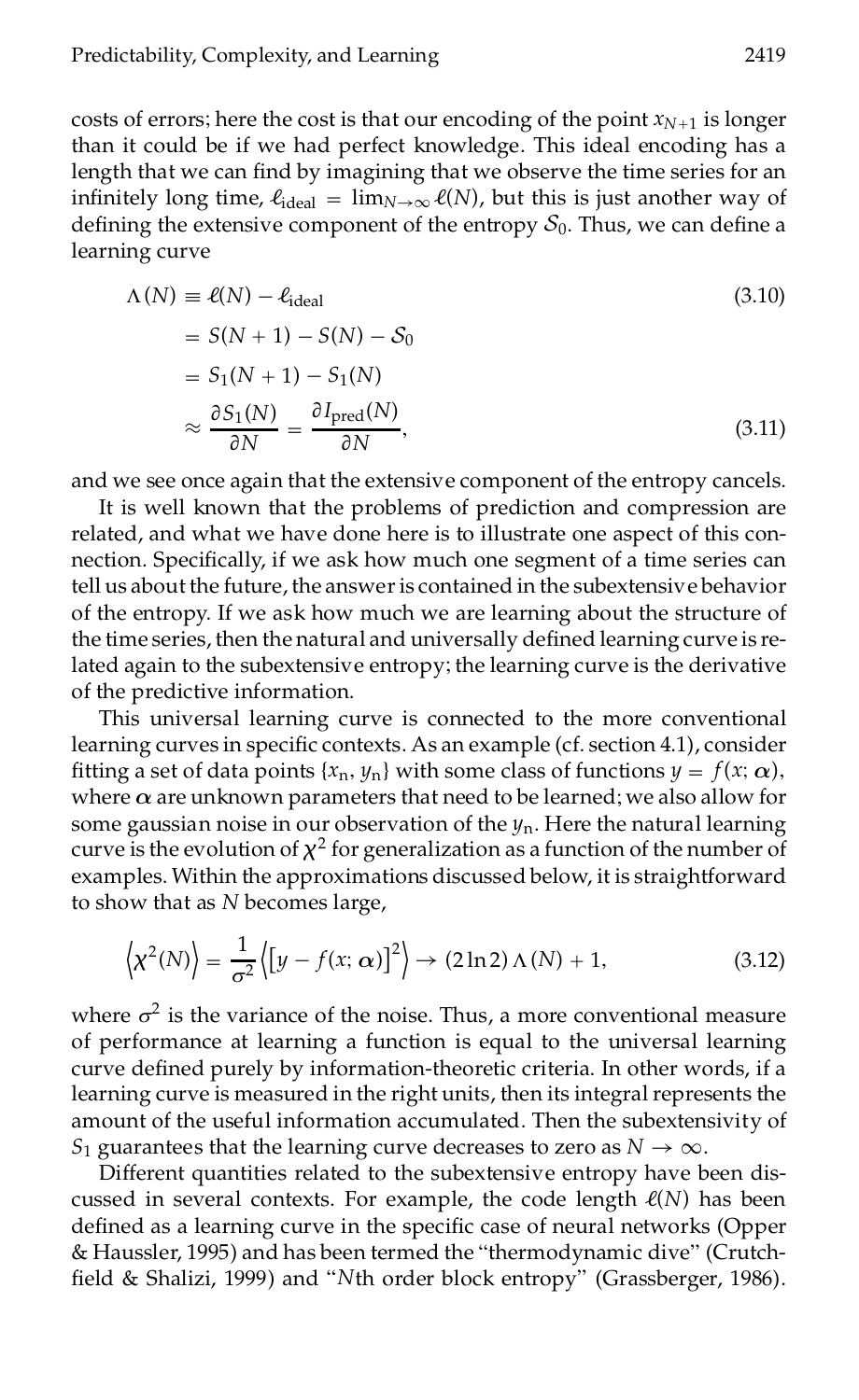costs of errors; here the cost is that our encoding of the point  $x_{N+1}$  is longer than it could be if we had perfect knowledge. This ideal encoding has a length that we can find by imagining that we observe the time series for an infinitely long time,  $\ell_{\text{ideal}} = \lim_{N \to \infty} \ell(N)$ , but this is just another way of defining the extensive component of the entropy  $S_0$ . Thus, we can define a learning curve

$$
\Lambda(N) \equiv \ell(N) - \ell_{\text{ideal}}
$$
\n
$$
= S(N+1) - S(N) - S_0
$$
\n
$$
= S_1(N+1) - S_1(N)
$$
\n
$$
\approx \frac{\partial S_1(N)}{\partial N} = \frac{\partial I_{\text{pred}}(N)}{\partial N},
$$
\n(3.11)

and we see once again that the extensive component of the entropy cancels.

It is well known that the problems of prediction and compression are related, and what we have done here is to illustrate one aspect of this con nection. Specifically, if we ask how much one segment of a time series can tell us about the future, the answer is contained in the subextensive behavior of the entropy. If we ask how much we are learning about the structure of the time series, then the natural and universally defined learning curve is related again to the subextensive entropy; the learning curve is the derivative of the predictive information.

This universal learning curve is connected to the more conventional learning curves in specific contexts. As an example (cf. section 4.1), consider fitting a set of data points  $\{x_n, y_n\}$  with some class of functions  $y = f(x; \alpha)$ , where  $\alpha$  are unknown parameters that need to be learned; we also allow for some gaussian noise in our observation of the  $y_n$ . Here the natural learning curve is the evolution of  $\chi^2$  for generalization as a function of the number of examples. Within the approximations discussed below, it is straightforward to show that as *N* becomes large,

$$
\left\langle \chi^2(N) \right\rangle = \frac{1}{\sigma^2} \left\{ \left[ y - f(x; \alpha) \right]^2 \right\} \to (2 \ln 2) \Lambda(N) + 1, \tag{3.12}
$$

where  $\sigma^2$  is the variance of the noise. Thus, a more conventional measure of performance at learning a function is equal to the universal learning curve defined purely by information-theoretic criteria. In other words, if a learning curve is measured in the right units, then its integral represents the amount of the useful information accumulated. Then the subextensivity of *S*<sub>1</sub> guarantees that the learning curve decreases to zero as *N*  $\rightarrow \infty$ . Different quantities related to the subextensive entropy have been dis-

cussed in several contexts. For example, the code length  $\ell(N)$  has been defined as a learning curve in the specific case of neural networks (Opper & Haussler, 1995) and has been termed the "thermodynamic dive" (Crutch field & Shalizi, 1999) and "Nth order block entropy" (Grassberger, 1986).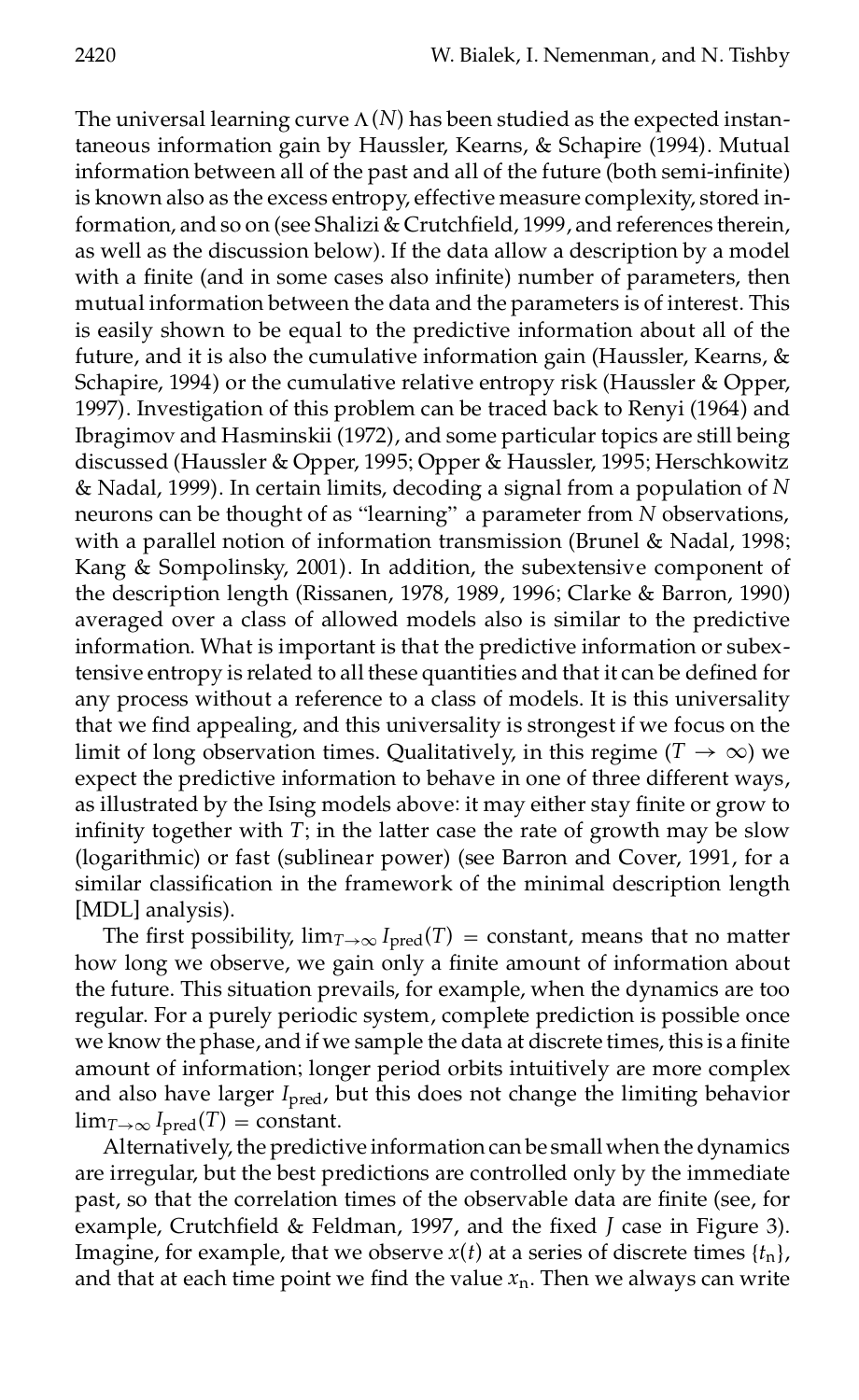The universal learning curve  $\Lambda$ ( $N$ ) has been studied as the expected instantaneous information gain by Haussler, Kearns, & Schapire (1994). Mutual information between all of the past and all of the future (both semi-infinite) is known also as the excess entropy, effective measure complexity, stored information, and so on (see Shalizi & Crutchfield, 1999, and references therein, as well as the discussion below). If the data allow a description by a model with a finite (and in some cases also infinite) number of parameters, then mutual information between the data and the parameters is of interest. This is easily shown to be equal to the predictive information about all of the future, and it is also the cumulative information gain (Haussler, Kearns,  $\&$ Schapire, 1994) or the cumulative relative entropy risk (Haussler & Opper, 1997). Investigation of this problem can be traced back to Renyi (1964) and Ibragimov and Hasminskii (1972), and some particular topics are still being discussed (Haussler & Opper, 1995; Opper & Haussler, 1995; Herschkowitz & Nadal, 1999). In certain limits, decoding a signal from a population of *N* neurons can be thought of as "learning" a parameter from *N* observations, with a parallel notion of information transmission (Brunel & Nadal, 1998; Kang & Sompolinsky, 2001). In addition, the subextensive component of the description length (Rissanen, 1978, 1989, 1996; Clarke & Barron, 1990) averaged over a class of allowed models also is similar to the predictive information. What is important is that the predictive information or subextensive entropy is related to all these quantities and that it can be defined for any process without a reference to a class of models. It is this universality that we find appealing, and this universality is strongest if we focus on the limit of long observation times. Qualitatively, in this regime ( $T \to \infty$ ) we expect the predictive information to behave in one of three different ways, as illustrated by the Ising models above: it may either stay finite or grow to infinity together with  $T$ ; in the latter case the rate of growth may be slow (logarithmic) or fast (sublinear power) (see Barron and Cover, 1991, for a similar classification in the framework of the minimal description length [MDL] analysis).

The first possibility,  $\lim_{T\to\infty} I_{pred}(T) = \text{constant}$ , means that no matter how long we observe, we gain only a finite amount of information about the future. This situation prevails, for example, when the dynamics are too regular. For a purely periodic system, complete prediction is possible once we know the phase, and if we sample the data at discrete times, this is a finite amount of information; longer period orbits intuitively are more complex and also have larger *I*pred, but this does not change the limiting behavior  $\lim_{T\to\infty} I_{\text{pred}}(T) = \text{constant}.$ 

Alternatively, the predictive information can be small when the dynamics are irregular, but the best predictions are controlled only by the immediate past, so that the correlation times of the observable data are finite (see, for example, Crutchfield & Feldman, 1997, and the fixed *J* case in Figure 3). Imagine, for example, that we observe *x*(*t*) at a series of discrete times  $\{t_n\}$ , and that at each time point we find the value *x*<sub>n</sub>. Then we always can write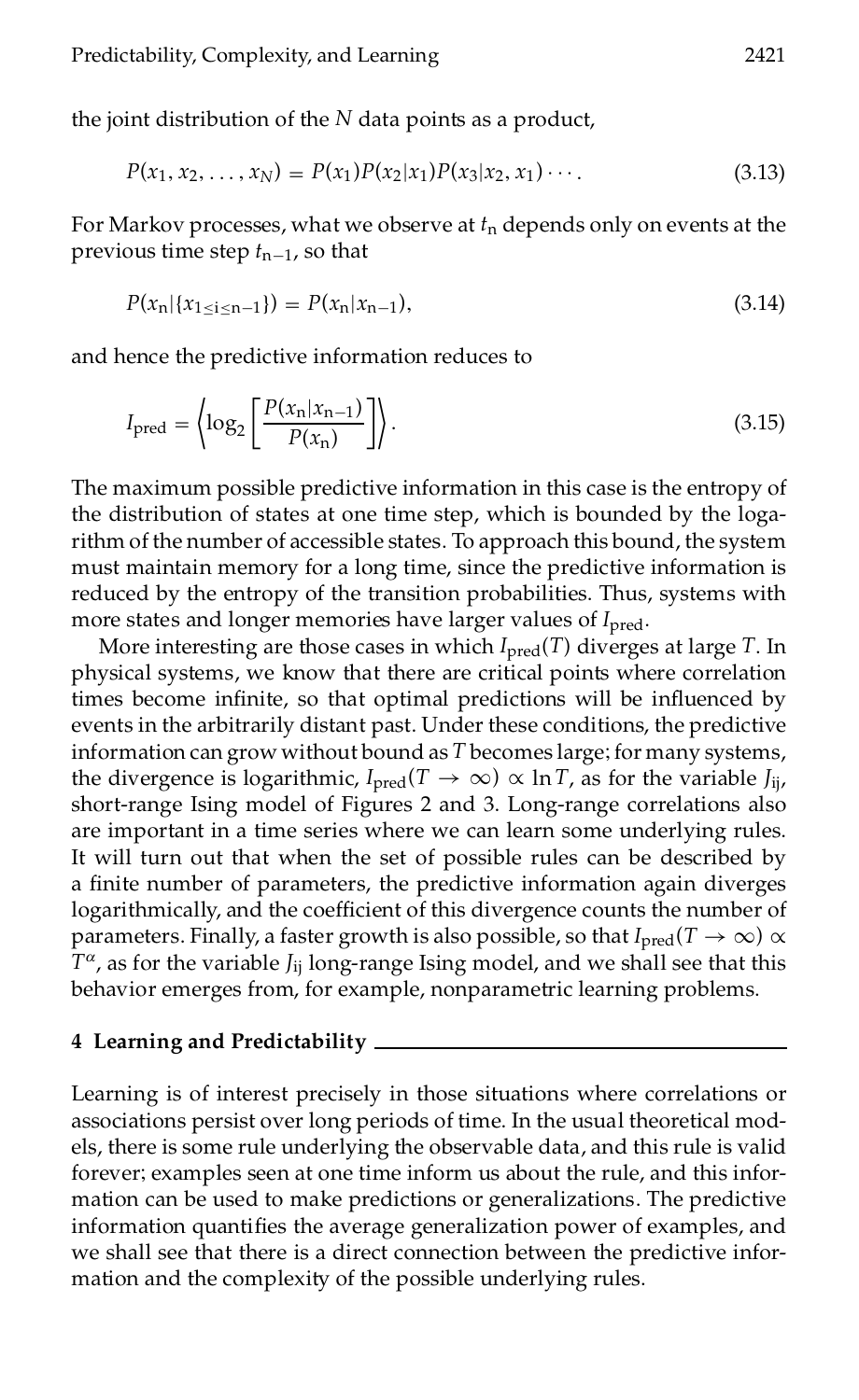the joint distribution of the *N* data points as a product,

$$
P(x_1, x_2, \dots, x_N) = P(x_1)P(x_2|x_1)P(x_3|x_2, x_1)\cdots
$$
\n(3.13)

For Markov processes, what we observe at *t*<sup>n</sup> depends only on events at the previous time step  $t_{n-1}$ , so that

$$
P(x_n|\{x_{1\leq i\leq n-1}\}) = P(x_n|x_{n-1}),\tag{3.14}
$$

and hence the predictive information reduces to

$$
I_{\text{pred}} = \left\langle \log_2 \left[ \frac{P(x_n | x_{n-1})}{P(x_n)} \right] \right\rangle. \tag{3.15}
$$

The maximum possible predictive information in this case is the entropy of the distribution of states at one time step, which is bounded by the loga rithm of the number of accessible states. To approach this bound, the system must maintain memory for a long time, since the predictive information is reduced by the entropy of the transition probabilities. Thus, systems with more states and longer memories have larger values of  $I_{\text{pred}}$ .

More interesting are those cases in which *I*pred(*T*) diverges at large *T*. In physical systems, we know that there are critical points where correlation times become infinite, so that optimal predictions will be influenced by events in the arbitrarily distant past. Under these conditions, the predictive information can grow without bound as *T* becomes large; for many systems, the divergence is logarithmic,  $I_{pred}(T \to \infty) \propto \ln T$ , as for the variable  $I_{ij}$ , short-range Ising model of Figures 2 and 3. Long-range correlations also are important in a time series where we can learn some underlying rules. It will turn out that when the set of possible rules can be described by a finite number of parameters, the predictive information again diverges logarithmically, and the coefficient of this divergence counts the number of parameters. Finally, a faster growth is also possible, so that  $I_{pred}(T \to \infty) \propto$  $T^{\alpha}$ , as for the variable *J*<sub>ij</sub> long-range Ising model, and we shall see that this behavior emerges from, for example, nonparametric learning problems.

#### **4 Learning and Predictability**

Learning is of interest precisely in those situations where correlations or associations persist over long periods of time. In the usual theoretical mod els, there is some rule underlying the observable data, and this rule is valid forever; examples seen at one time inform us about the rule, and this infor mation can be used to make predictions or generalizations. The predictive information quantifies the average generalization power of examples, and we shall see that there is a direct connection between the predictive infor mation and the complexity of the possible underlying rules.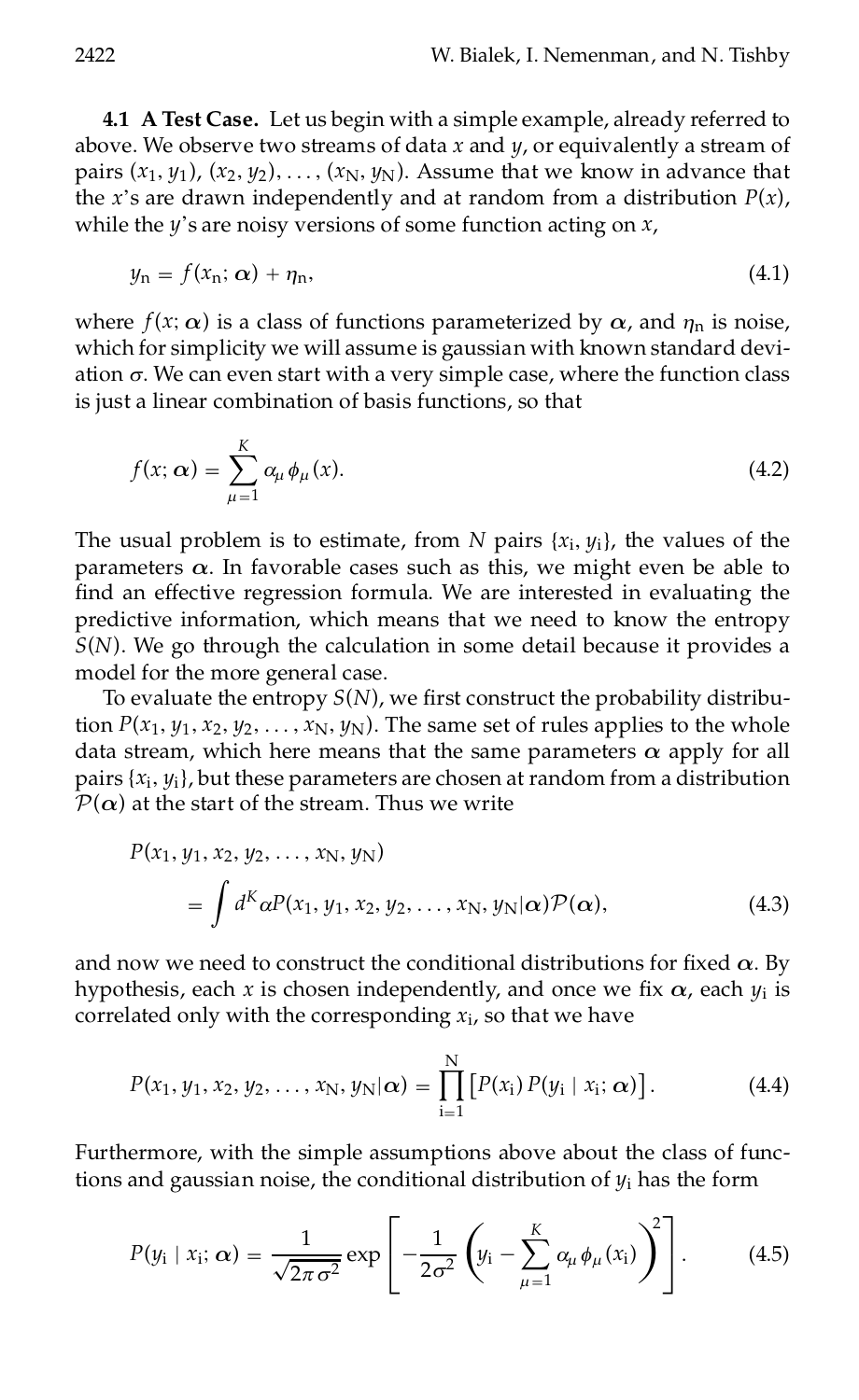**4.1 A Test Case.** Let us begin with a simple example, already referred to above. We observe two streams of data *x* and *y*, or equivalently a stream of pairs  $(x_1, y_1)$ ,  $(x_2, y_2)$ , ...,  $(x_N, y_N)$ . Assume that we know in advance that the *x*'s are drawn independently and at random from a distribution  $P(x)$ , while the *y*'s are noisy versions of some function acting on *x*,

$$
y_n = f(x_n; \alpha) + \eta_n, \tag{4.1}
$$

where  $f(x; \alpha)$  is a class of functions parameterized by  $\alpha$ , and  $\eta_n$  is noise, which for simplicity we will assume is gaussian with known standard devi ation  $\sigma$ . We can even start with a very simple case, where the function class is just a linear combination of basis functions, so that

$$
f(x; \alpha) = \sum_{\mu=1}^{K} \alpha_{\mu} \phi_{\mu}(x).
$$
 (4.2)

The usual problem is to estimate, from *N* pairs  $\{x_i, y_i\}$ , the values of the parameters  $\alpha$ . In favorable cases such as this, we might even be able to  $\overline{f}$  find an effective regression formula. We are interested in evaluating the predictive information, which means that we need to know the entropy *S*(*N*). We go through the calculation in some detail because it provides a model for the more general case.

To evaluate the entropy  $S(N)$ , we first construct the probability distribution  $P(x_1, y_1, x_2, y_2, \ldots, x_N, y_N)$ . The same set of rules applies to the whole data stream, which here means that the same parameters  $\alpha$  apply for all pairs { $x_i$ ,  $y_i$ }, but these parameters are chosen at random from a distribution  $P(\alpha)$  at the start of the stream. Thus we write

$$
P(x_1, y_1, x_2, y_2, \dots, x_N, y_N)
$$
  
= 
$$
\int d^K \alpha P(x_1, y_1, x_2, y_2, \dots, x_N, y_N | \alpha) \mathcal{P}(\alpha),
$$
 (4.3)

and now we need to construct the conditional distributions for fixed  $\alpha$ . By hypothesis, each *x* is chosen independently, and once we fix  $\alpha$ , each  $y_i$  is correlated only with the corresponding  $x_i$ , so that we have

$$
P(x_1, y_1, x_2, y_2, \dots, x_N, y_N | \alpha) = \prod_{i=1}^N [P(x_i) P(y_i | x_i; \alpha)].
$$
 (4.4)

Furthermore, with the simple assumptions above about the class of functions and gaussian noise, the conditional distribution of *y*<sup>i</sup> has the form

$$
P(y_i \mid x_i; \alpha) = \frac{1}{\sqrt{2\pi\sigma^2}} \exp\left[ -\frac{1}{2\sigma^2} \left( y_i - \sum_{\mu=1}^K \alpha_{\mu} \phi_{\mu}(x_i) \right)^2 \right].
$$
 (4.5)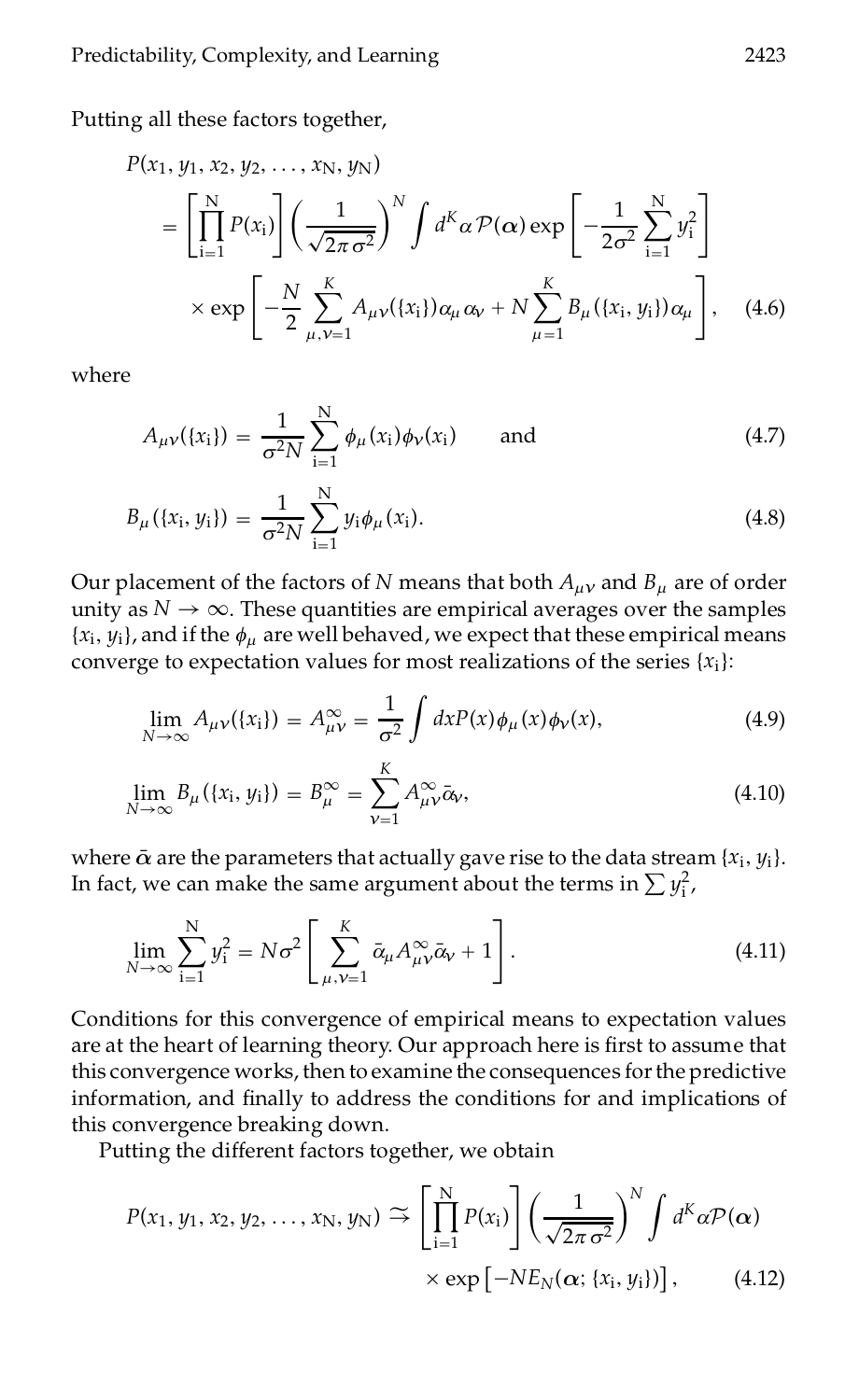Putting all these factors together,

$$
P(x_1, y_1, x_2, y_2, ..., x_N, y_N)
$$
  
=  $\left[ \prod_{i=1}^{N} P(x_i) \right] \left( \frac{1}{\sqrt{2\pi \sigma^2}} \right)^N \int d^K \alpha \mathcal{P}(\alpha) \exp \left[ -\frac{1}{2\sigma^2} \sum_{i=1}^{N} y_i^2 \right]$   
 $\times \exp \left[ -\frac{N}{2} \sum_{\mu,\nu=1}^{K} A_{\mu\nu}(\{x_i\}) \alpha_\mu \alpha_\nu + N \sum_{\mu=1}^{K} B_{\mu}(\{x_i, y_i\}) \alpha_\mu \right],$  (4.6)

where

$$
A_{\mu\nu}(\{x_i\}) = \frac{1}{\sigma^2 N} \sum_{i=1}^{N} \phi_{\mu}(x_i) \phi_{\nu}(x_i) \quad \text{and} \quad (4.7)
$$

$$
B_{\mu}(\{x_i, y_i\}) = \frac{1}{\sigma^2 N} \sum_{i=1}^{N} y_i \phi_{\mu}(x_i).
$$
 (4.8)

Our placement of the factors of *N* means that both  $A_{\mu\nu}$  and  $B_{\mu}$  are of order unity as  $N \to \infty$ . These quantities are empirical averages over the samples  ${x_i, y_i}$ , and if the  $\phi_\mu$  are well behaved, we expect that these empirical means converge to expectation values for most realizations of the series  ${x_i}$ :

$$
\lim_{N \to \infty} A_{\mu\nu}(\{x_i\}) = A_{\mu\nu}^{\infty} = \frac{1}{\sigma^2} \int dx P(x) \phi_{\mu}(x) \phi_{\nu}(x), \tag{4.9}
$$

$$
\lim_{N \to \infty} B_{\mu}(\{x_i, y_i\}) = B_{\mu}^{\infty} = \sum_{\nu=1}^{K} A_{\mu\nu}^{\infty} \bar{\alpha}_{\nu},
$$
\n(4.10)

where  $\bar{\alpha}$  are the parameters that actually gave rise to the data stream { $x_i$ ,  $y_i$ }. In fact, we can make the same argument about the terms in  $\sum y_i^2$ ,

$$
\lim_{N \to \infty} \sum_{i=1}^{N} y_i^2 = N \sigma^2 \left[ \sum_{\mu,\nu=1}^{K} \bar{\alpha}_{\mu} A_{\mu\nu}^{\infty} \bar{\alpha}_{\nu} + 1 \right]. \tag{4.11}
$$

Conditions for this convergence of empirical means to expectation values are at the heart of learning theory. Our approach here is first to assume that this convergence works, then to examine the consequences for the predictive information, and finally to address the conditions for and implications of this convergence breaking down.

Putting the different factors together, we obtain

$$
P(x_1, y_1, x_2, y_2, \dots, x_N, y_N) \stackrel{\sim}{\rightarrow} \left[ \prod_{i=1}^N P(x_i) \right] \left( \frac{1}{\sqrt{2\pi \sigma^2}} \right)^N \int d^K \alpha \mathcal{P}(\alpha)
$$

$$
\times \exp \left[ -N E_N(\alpha; \{x_i, y_i\}) \right], \qquad (4.12)
$$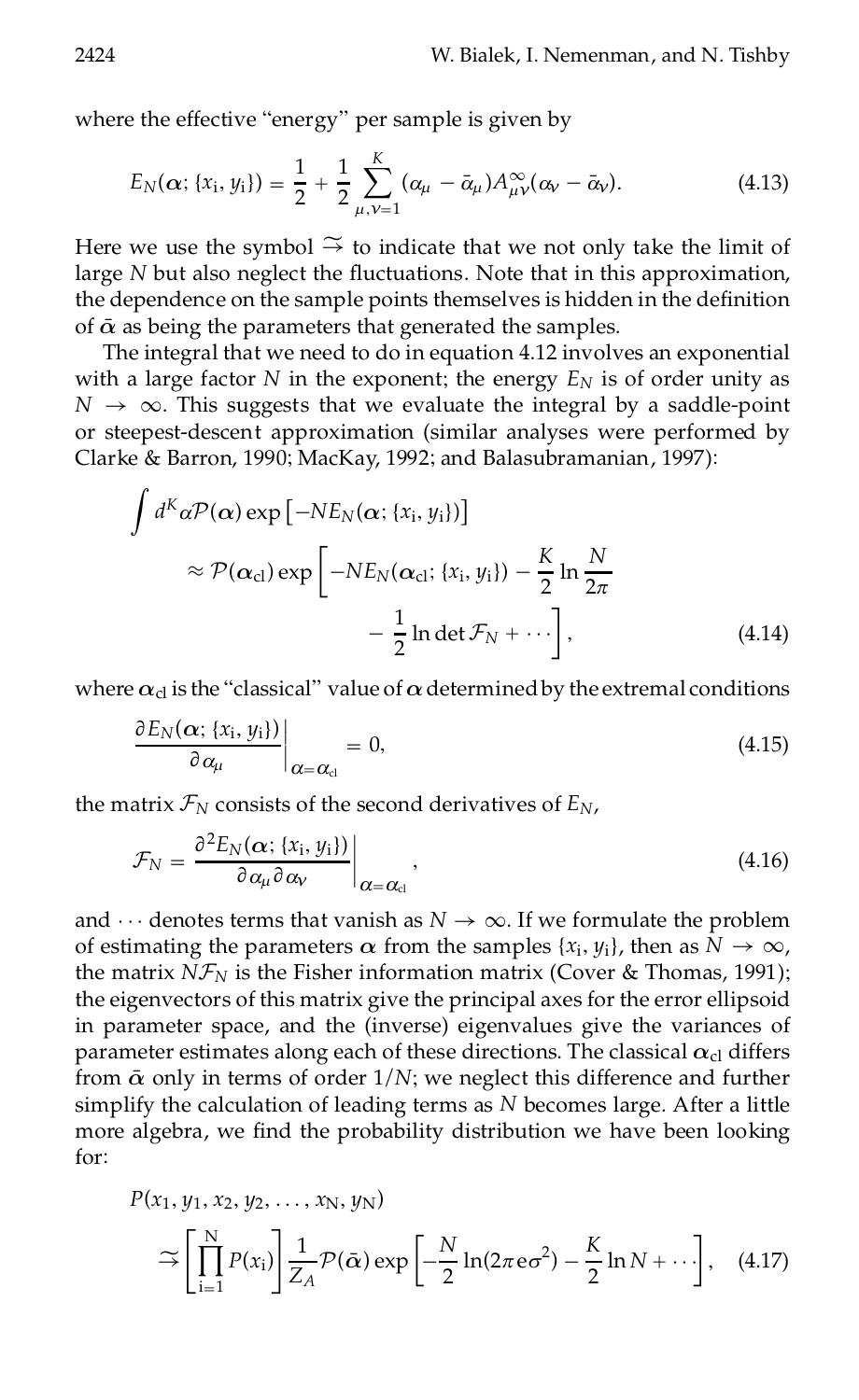where the effective "energy" per sample is given by

$$
E_N(\alpha; \{x_i, y_i\}) = \frac{1}{2} + \frac{1}{2} \sum_{\mu, \nu=1}^K (\alpha_{\mu} - \bar{\alpha}_{\mu}) A_{\mu \nu}^{\infty}(\alpha_{\nu} - \bar{\alpha}_{\nu}). \tag{4.13}
$$

Here we use the symbol  $\widetilde{\rightarrow}$  to indicate that we not only take the limit of large *N* but also neglect the fluctuations. Note that in this approximation, the dependence on the sample points themselves is hidden in the definition of  $\bar{\alpha}$  as being the parameters that generated the samples.<br>The integral that we need to do in equation 4.12 involves an exponential

with a large factor  $N$  in the exponent; the energy  $E_N$  is of order unity as  $N \to \infty$ . This suggests that we evaluate the integral by a saddle-point or steepest-descent approximation (similar analyses were performed by Clarke & Barron, 1990; MacKay, 1992; and Balasubramanian, 1997):

$$
\int d^{K} \alpha \mathcal{P}(\alpha) \exp \left[ -NE_{N}(\alpha; \{x_{i}, y_{i}\}) \right]
$$
  
\n
$$
\approx \mathcal{P}(\alpha_{cl}) \exp \left[ -NE_{N}(\alpha_{cl}; \{x_{i}, y_{i}\}) - \frac{K}{2} \ln \frac{N}{2\pi} - \frac{1}{2} \ln \det \mathcal{F}_{N} + \cdots \right],
$$
\n(4.14)

where  $\alpha_{\rm cl}$  is the "classical" value of  $\alpha$  determined by the extremal conditions

$$
\left. \frac{\partial E_N(\alpha; \{x_i, y_i\})}{\partial \alpha_\mu} \right|_{\alpha = \alpha_{cl}} = 0, \tag{4.15}
$$

the matrix  $\mathcal{F}_N$  consists of the second derivatives of  $E_N$ ,

$$
\mathcal{F}_N = \frac{\partial^2 E_N(\alpha; \{x_i, y_i\})}{\partial \alpha_\mu \partial \alpha_\nu}\bigg|_{\alpha = \alpha_{cl}},
$$
\n(4.16)

and  $\cdots$  denotes terms that vanish as  $N \to \infty$ . If we formulate the problem of estimating the parameters  $\alpha$  from the samples  $\{x_i, y_i\}$ , then as  $N \to \infty$ , the matrix  $N\mathcal{F}_N$  is the Fisher information matrix (Cover & Thomas, 1991); the eigenvectors of this matrix give the principal axes for the error ellipsoid in parameter space, and the (inverse) eigenvalues give the variances of parameter estimates along each of these directions. The classical  $\alpha_{cl}$  differs from  $\bar{\alpha}$  only in terms of order  $1/N$ ; we neglect this difference and further simplify the calculation of leading terms as *N* becomes large. After a little more algebra, we find the probability distribution we have been looking for:

$$
P(x_1, y_1, x_2, y_2, \dots, x_N, y_N)
$$
  
\n
$$
\widetilde{\rightarrow} \left[ \prod_{i=1}^N P(x_i) \right] \frac{1}{Z_A} \mathcal{P}(\bar{\alpha}) \exp \left[ -\frac{N}{2} \ln(2\pi \mathrm{e} \sigma^2) - \frac{K}{2} \ln N + \cdots \right], \quad (4.17)
$$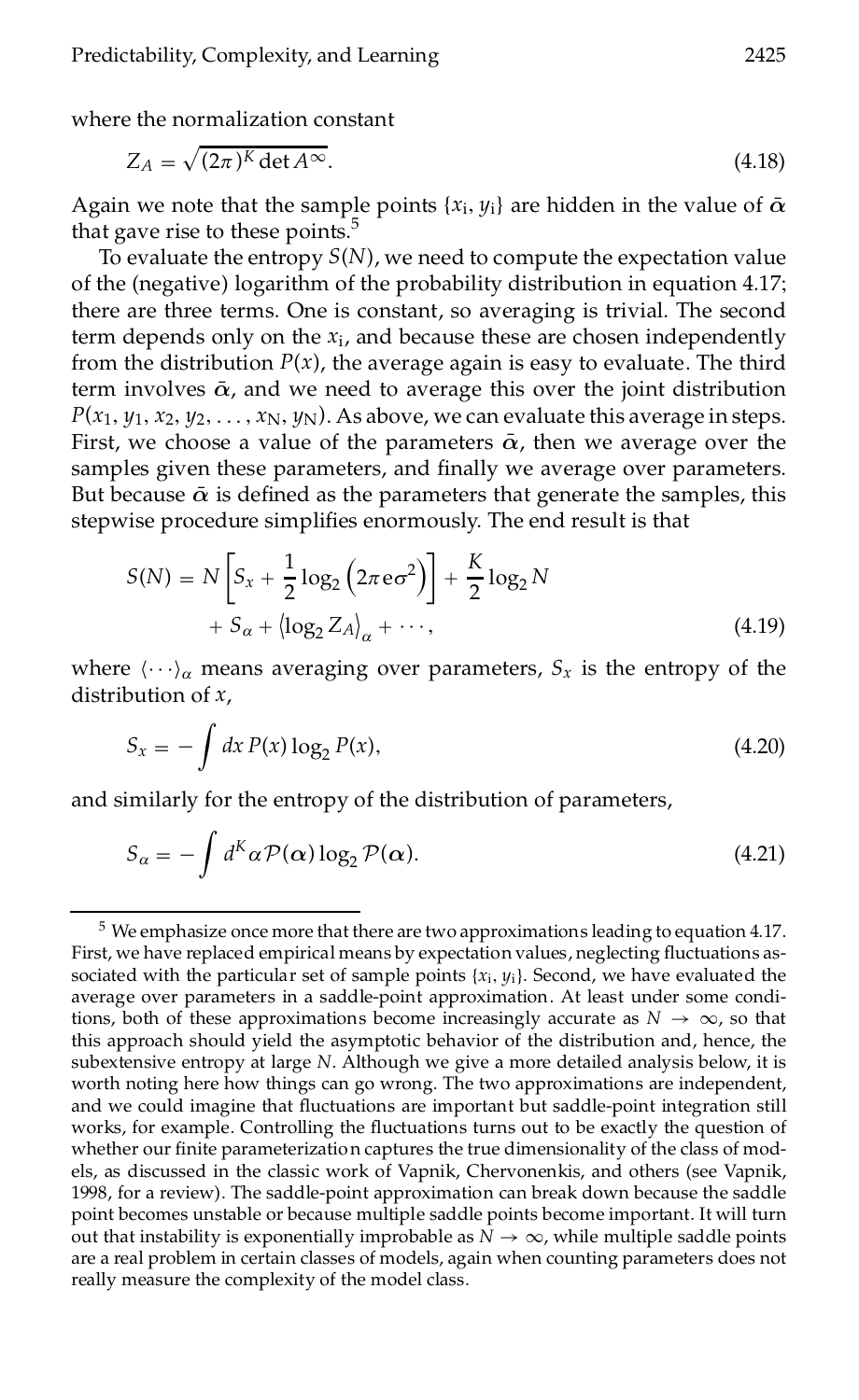where the normalization constant

$$
Z_A = \sqrt{(2\pi)^K \det A^\infty}.
$$
\n(4.18)

Again we note that the sample points  $\{x_i, y_i\}$  are hidden in the value of  $\bar{\alpha}$ that gave rise to these points.<sup>5</sup>

To evaluate the entropy *S*(*N*), we need to compute the expectation value of the (negative) logarithm of the probability distribution in equation 4.17; there are three terms. One is constant, so averaging is trivial. The second term depends only on the *x*i, and because these are chosen independently from the distribution  $P(x)$ , the average again is easy to evaluate. The third term involves  $\bar{\boldsymbol{\alpha}}$ , and we need to average this over the joint distribution  $P(x_1, y_1, x_2, y_2, \dots, x_N, y_N)$ . As above, we can evaluate this average in steps. First, we choose a value of the parameters  $\bar{\alpha}$ , then we average over the samples given these parameters, and finally we average over parameters. But because  $\bar{\alpha}$  is defined as the parameters that generate the samples, this stepwise procedure simplifies enormously. The end result is that

$$
S(N) = N \left[ S_x + \frac{1}{2} \log_2 \left( 2\pi \mathbf{e} \sigma^2 \right) \right] + \frac{K}{2} \log_2 N
$$
  
+ 
$$
S_\alpha + \left\langle \log_2 Z_A \right\rangle_\alpha + \cdots,
$$
 (4.19)

where  $\langle \cdots \rangle_{\alpha}$  means averaging over parameters,  $S_x$  is the entropy of the distribution of *x*,

$$
S_x = -\int dx P(x) \log_2 P(x),
$$
\n(4.20)

and similarly for the entropy of the distribution of parameters,

$$
S_{\alpha} = -\int d^{K} \alpha \mathcal{P}(\alpha) \log_2 \mathcal{P}(\alpha).
$$
 (4.21)

<sup>&</sup>lt;sup>5</sup> We emphasize once more that there are two approximations leading to equation 4.17. First, we have replaced empirical means by expectation values, neglecting fluctuations associated with the particular set of sample points  $\{x_i, y_i\}$ . Second, we have evaluated the average over parameters in a saddle-point approximation. At least under some conditions, both of these approximations become increasingly accurate as  $N \to \infty$ , so that this approach should yield the asymptotic behavior of the distribution and, hence, the subextensive entropy at large *N*. Although we give a more detailed analysis below, it is worth noting here how things can go wrong. The two approximations are independent, and we could imagine that fluctuations are important but saddle-point integration still works, for example. Controlling the fluctuations turns out to be exactly the question of whether our finite parameterization captures the true dimensionality of the class of models, as discussed in the classic work of Vapnik, Chervonenkis, and others (see Vapnik, 1998, for a review). The saddle-point approximation can break down because the saddle point becomes unstable or because multiple saddle points become important. It will turn out that instability is exponentially improbable as  $N \to \infty$ , while multiple saddle points are a real problem in certain classes of models, again when counting parameters does not really measure the complexity of the model class.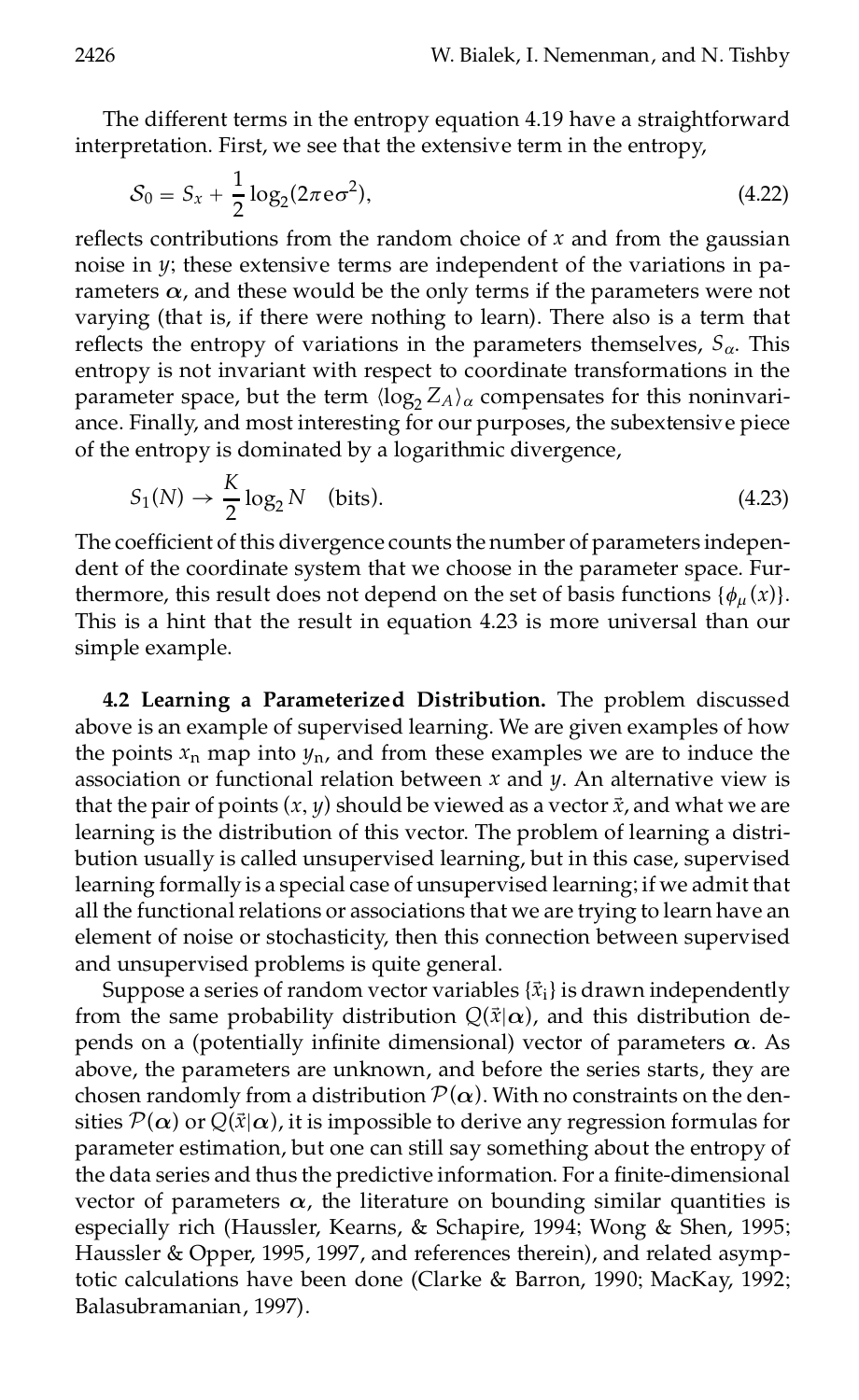The different terms in the entropy equation 4.19 have a straightforward interpretation. First, we see that the extensive term in the entropy,

$$
S_0 = S_x + \frac{1}{2} \log_2(2\pi e \sigma^2), \tag{4.22}
$$

reflects contributions from the random choice of  $x$  and from the gaussian noise in *y*; these extensive terms are independent of the variations in pa rameters  $\alpha$ , and these would be the only terms if the parameters were not varying (that is, if there were nothing to learn). There also is a term that reflects the entropy of variations in the parameters themselves,  $S_{\alpha}$ . This entropy is not invariant with respect to coordinate transformations in the parameter space, but the term  $\langle \log_2 Z_A \rangle_\alpha$  compensates for this noninvariance. Finally, and most interesting for our purposes, the subextensive piece of the entropy is dominated by a logarithmic divergence,

$$
S_1(N) \to \frac{K}{2} \log_2 N \quad \text{(bits)}.\tag{4.23}
$$

The coefficient of this divergence counts the number of parameters independent of the coordinate system that we choose in the parameter space. Furthermore, this result does not depend on the set of basis functions  $\{\phi_{\mu}(x)\}$ .<br>This is a hint that the result in equation 4.23 is more universal than our simple example.

**4.2 Learning a Parameterized Distribution.** The problem discussed above is an example of supervised learning. We are given examples of how the points  $x_n$  map into  $y_n$ , and from these examples we are to induce the association or functional relation between  $x$  and  $y$ . An alternative view is that the pair of points  $(x, y)$  should be viewed as a vector  $\vec{x}$ , and what we are learning is the distribution of this vector. The problem of learning a distri bution usually is called unsupervised learning, but in this case, supervised learning formally is a special case of unsupervised learning; if we admit that all the functional relations or associations that we are trying to learn have an element of noise or stochasticity, then this connection between supervised and unsupervised problems is quite general.

Suppose a series of random vector variables  $\{\vec{x}_i\}$  is drawn independently from the same probability distribution  $Q(\vec{x}|\alpha)$ , and this distribution depends on a (potentially infinite dimensional) vector of parameters  $\alpha$ . As above, the parameters are unknown, and before the series starts, they are chosen randomly from a distribution  $\mathcal{P}(\alpha)$ . With no constraints on the densities  $\mathcal{P}(\alpha)$  or  $\mathcal{Q}(\vec{x}|\alpha)$ , it is impossible to derive any regression formulas for parameter estimation, but one can still say something about the entropy of the data series and thus the predictive information. For a finite-dimensional vector of parameters  $\alpha$ , the literature on bounding similar quantities is especially rich (Haussler, Kearns, & Schapire, 1994; Wong & Shen, 1995; Haussler & Opper, 1995, 1997, and references therein), and related asymptotic calculations have been done (Clarke & Barron, 1990; MacKay, 1992; Balasubramanian, 1997).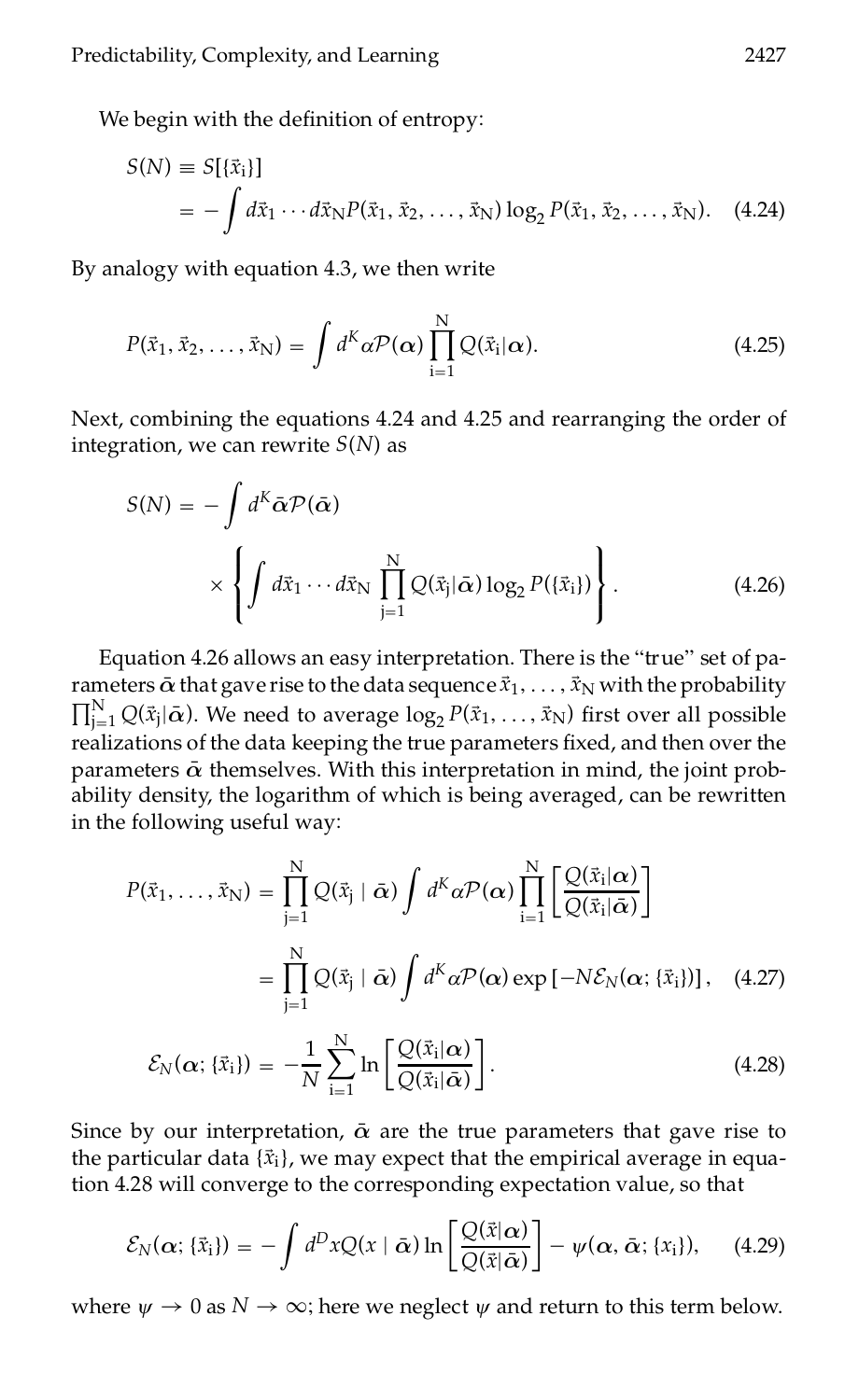We begin with the definition of entropy:

$$
S(N) \equiv S[\{\vec{x}_i\}]
$$
  
=  $-\int d\vec{x}_1 \cdots d\vec{x}_N P(\vec{x}_1, \vec{x}_2, \dots, \vec{x}_N) \log_2 P(\vec{x}_1, \vec{x}_2, \dots, \vec{x}_N).$  (4.24)

By analogy with equation 4.3, we then write

$$
P(\vec{x}_1, \vec{x}_2, \dots, \vec{x}_N) = \int d^K \alpha \mathcal{P}(\alpha) \prod_{i=1}^N \mathcal{Q}(\vec{x}_i | \alpha).
$$
 (4.25)

Next, combining the equations 4.24 and 4.25 and rearranging the order of integration, we can rewrite  $S(N)$  as

$$
S(N) = -\int d^{K} \bar{\alpha} \mathcal{P}(\bar{\alpha})
$$

$$
\times \left\{ \int d\vec{x}_{1} \cdots d\vec{x}_{N} \prod_{j=1}^{N} Q(\vec{x}_{j} | \bar{\alpha}) \log_{2} P(\{\vec{x}_{i}\}) \right\}.
$$
(4.26)

Equation 4.26 allows an easy interpretation. There is the "true" set of parameters  $\bar{\boldsymbol{\alpha}}$  that gave rise to the data sequence  $\bar{x}_1, \ldots, \bar{x}_N$  with the probability  $\prod_{j=1}^N Q(\vec{x}_j|\bar{\alpha})$ . We need to average  $\log_2 P(\vec{x}_1,\ldots,\vec{x}_N)$  first over all possible realizations of the data keeping the true parameters fixed, and then over the parameters  $\bar{\alpha}$  themselves. With this interpretation in mind, the joint prob- ability density, the logarithm of which is being averaged, can be rewritten in the following useful way:

$$
P(\vec{x}_1, ..., \vec{x}_N) = \prod_{j=1}^{N} Q(\vec{x}_j \mid \bar{\boldsymbol{\alpha}}) \int d^K \alpha \mathcal{P}(\boldsymbol{\alpha}) \prod_{i=1}^{N} \left[ \frac{Q(\vec{x}_i | \boldsymbol{\alpha})}{Q(\vec{x}_i | \bar{\boldsymbol{\alpha}})} \right]
$$
  
= 
$$
\prod_{j=1}^{N} Q(\vec{x}_j \mid \bar{\boldsymbol{\alpha}}) \int d^K \alpha \mathcal{P}(\boldsymbol{\alpha}) \exp \left[ -N \mathcal{E}_N(\boldsymbol{\alpha}; \{\vec{x}_i\}) \right], \quad (4.27)
$$

$$
\mathcal{E}_N(\boldsymbol{\alpha}; \{\vec{x}_i\}) = -\frac{1}{N} \sum_{i=1}^N \ln \left[ \frac{Q(\vec{x}_i | \boldsymbol{\alpha})}{Q(\vec{x}_i | \bar{\boldsymbol{\alpha}})} \right]. \tag{4.28}
$$

Since by our interpretation,  $\bar{\alpha}$  are the true parameters that gave rise to the particular data  $\{\vec{x}_i\}$ , we may expect that the empirical average in equation 4.28 will converge to the corresponding expectation value, so that

$$
\mathcal{E}_N(\boldsymbol{\alpha};\{\vec{x}_i\}) = -\int d^D x Q(x \mid \bar{\boldsymbol{\alpha}}) \ln \left[ \frac{Q(\vec{x}|\boldsymbol{\alpha})}{Q(\vec{x}|\bar{\boldsymbol{\alpha}})} \right] - \psi(\boldsymbol{\alpha},\bar{\boldsymbol{\alpha}};\{x_i\}), \quad (4.29)
$$

where  $\psi \to 0$  as  $N \to \infty$ ; here we neglect  $\psi$  and return to this term below.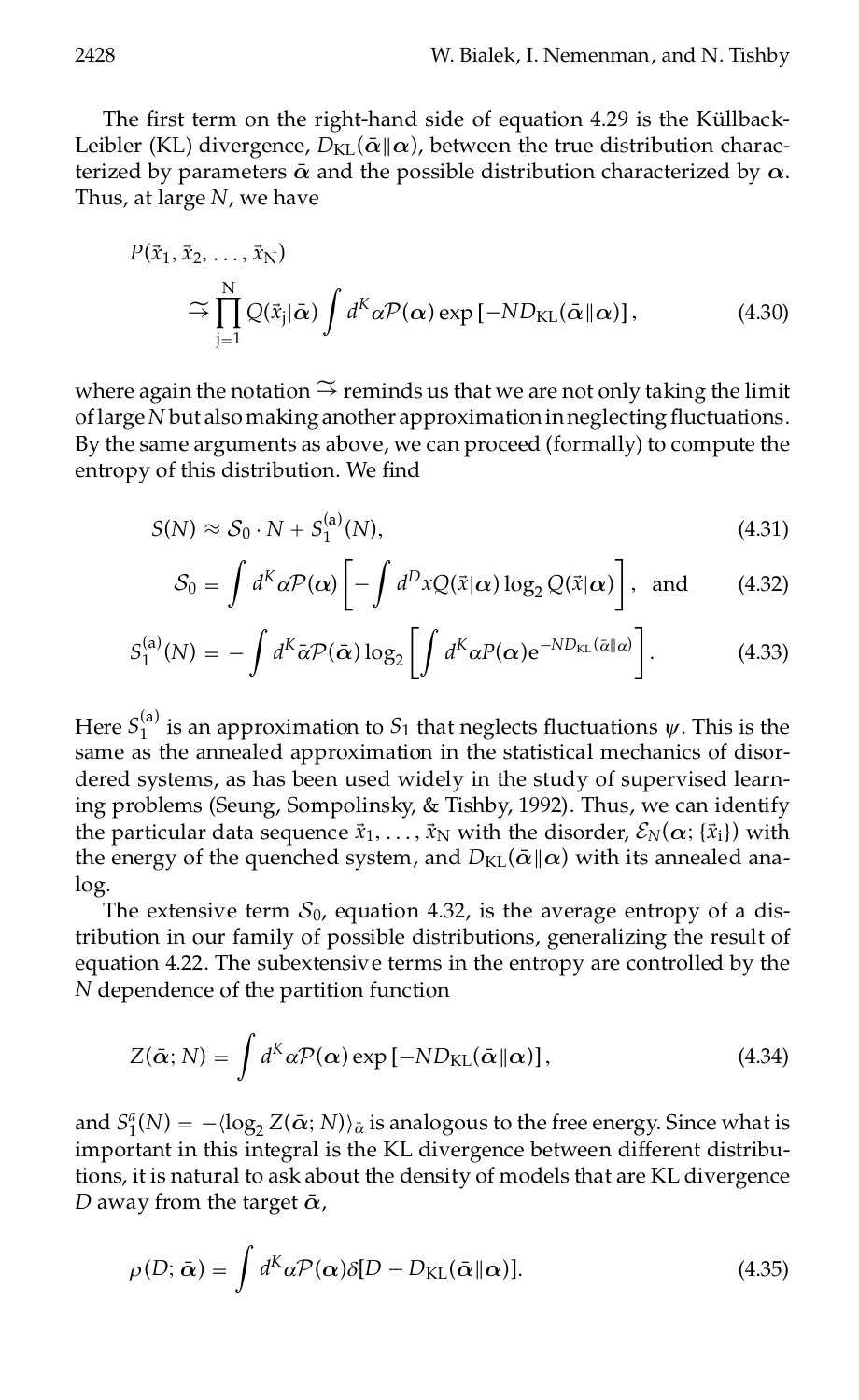The first term on the right-hand side of equation 4.29 is the Küllback-Leibler (KL) divergence,  $D_{KL}(\bar{\alpha}||\alpha)$ , between the true distribution characterized by parameters  $\bar{\alpha}$  and the possible distribution characterized by  $\alpha$ . Thus, at large *N*, we have

$$
P(\vec{x}_1, \vec{x}_2, ..., \vec{x}_N)
$$
  
\n
$$
\approx \prod_{j=1}^N Q(\vec{x}_j | \vec{\alpha}) \int d^K \alpha \mathcal{P}(\alpha) \exp [-ND_{KL}(\vec{\alpha} || \alpha)],
$$
\n(4.30)

where again the notation  $\widetilde{\rightarrow}$  reminds us that we are not only taking the limit of large N but also making another approximation in neglecting fluctuations. By the same arguments as above, we can proceed (formally) to compute the entropy of this distribution. We find

$$
S(N) \approx S_0 \cdot N + S_1^{(a)}(N),\tag{4.31}
$$

$$
S_0 = \int d^K \alpha \mathcal{P}(\alpha) \left[ -\int d^D x Q(\vec{x}|\alpha) \log_2 Q(\vec{x}|\alpha) \right], \text{ and } (4.32)
$$

$$
S_1^{(a)}(N) = -\int d^K \bar{\alpha} \mathcal{P}(\bar{\alpha}) \log_2 \left[ \int d^K \alpha P(\alpha) e^{-ND_{\text{KL}}(\bar{\alpha}||\alpha)} \right]. \tag{4.33}
$$

Here  $S_1^{(a)}$  is an approximation to  $S_1$  that neglects fluctuations  $\psi$ . This is the same as the annealed approximation in the statistical mechanics of disor dered systems, as has been used widely in the study of supervised learning problems (Seung, Sompolinsky, & Tishby, 1992). Thus, we can identify the particular data sequence  $\vec{x}_1, \ldots, \vec{x}_N$  with the disorder,  $\mathcal{E}_N(\alpha; {\{\vec{x}_i\}})$  with the energy of the quenched system, and  $D_{KL}(\bar{\boldsymbol{\alpha}}\|\boldsymbol{\alpha})$  with its annealed analog.

The extensive term  $S_0$ , equation 4.32, is the average entropy of a distribution in our family of possible distributions, generalizing the result of equation 4.22. The subextensive terms in the entropy are controlled by the *N* dependence of the partition function

$$
Z(\bar{\boldsymbol{\alpha}}; N) = \int d^{K} \alpha \mathcal{P}(\boldsymbol{\alpha}) \exp\left[-ND_{\mathrm{KL}}(\bar{\boldsymbol{\alpha}} \|\boldsymbol{\alpha})\right],\tag{4.34}
$$

and  $S_1^a(N) = -\langle \log_2 Z(\bar{\boldsymbol{\alpha}}; N) \rangle_{\bar{\boldsymbol{\alpha}}}$  is analogous to the free energy. Since what is important in this integral is the KL divergence between different distributions, it is natural to ask about the density of models that are KL divergence *D* away from the target  $\bar{\alpha}$ ,

$$
\rho(D; \bar{\boldsymbol{\alpha}}) = \int d^{K} \alpha \mathcal{P}(\boldsymbol{\alpha}) \delta[D - D_{\mathrm{KL}}(\bar{\boldsymbol{\alpha}} || \boldsymbol{\alpha})]. \tag{4.35}
$$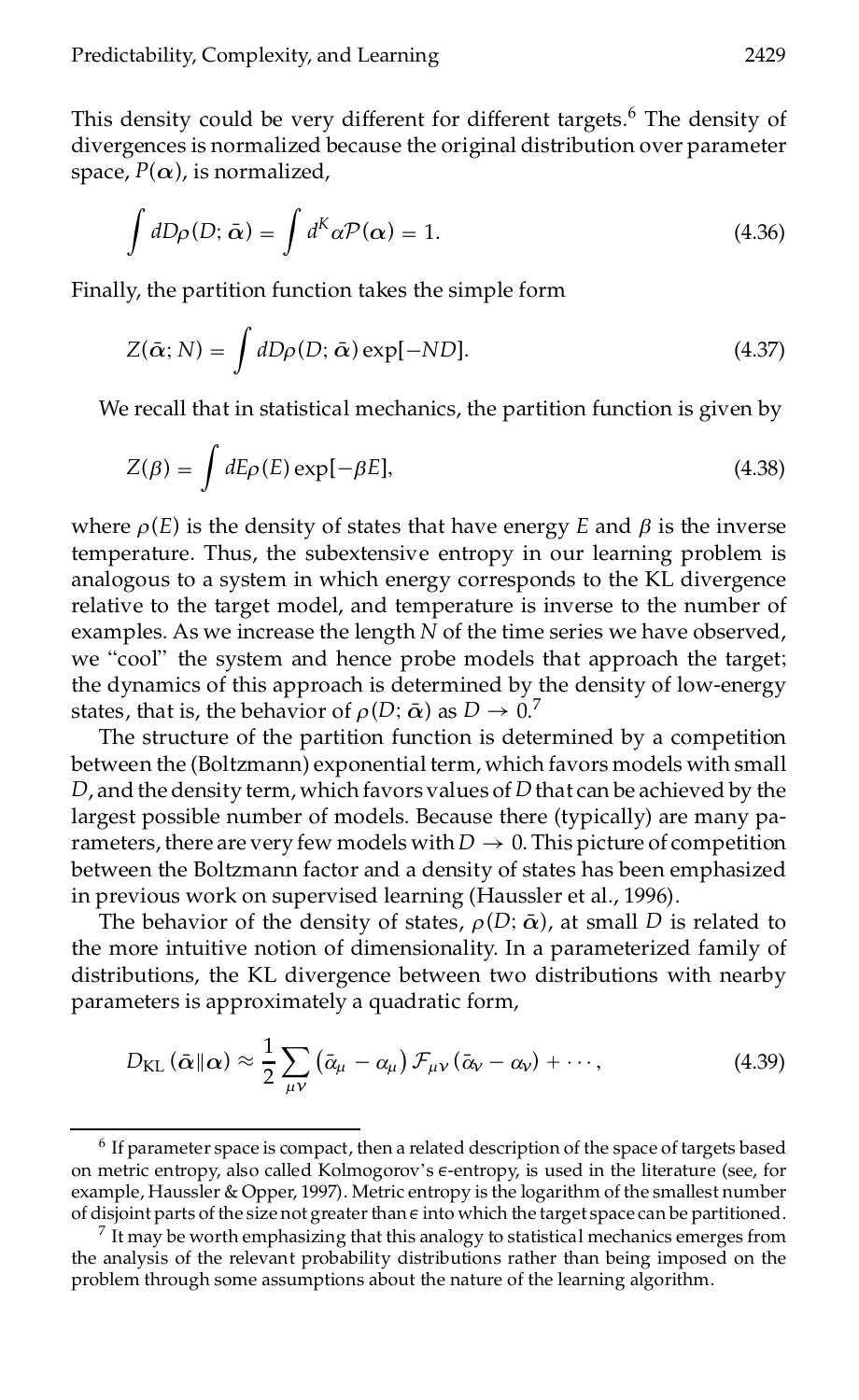This density could be very different for different targets.<sup>6</sup> The density of divergences is normalized because the original distribution over parameter space,  $P(\alpha)$ , is normalized,

$$
\int dD\rho(D; \bar{\alpha}) = \int d^{K} \alpha \mathcal{P}(\alpha) = 1.
$$
\n(4.36)

Finally, the partition function takes the simple form

$$
Z(\bar{\alpha}; N) = \int dD\rho(D; \bar{\alpha}) \exp[-ND]. \qquad (4.37)
$$

We recall that in statistical mechanics, the partition function is given by

$$
Z(\beta) = \int dE \rho(E) \exp[-\beta E], \qquad (4.38)
$$

where  $\rho(E)$  is the density of states that have energy *E* and  $\beta$  is the inverse temperature. Thus, the subextensive entropy in our learning problem is analogous to a system in which energy corresponds to the KL divergence relative to the target model, and temperature is inverse to the number of examples. As we increase the length *N* of the time series we have observed, we "cool" the system and hence probe models that approach the target; the dynamics of this approach is determined by the density of low-energy states, that is, the behavior of  $\rho(D; \bar{\boldsymbol{\alpha}})$  as  $D \rightarrow 0.7$ 

The structure of the partition function is determined by a competition between the (Boltzmann) exponential term, which favors models with small *D*, and the density term, which favorsvalues of *D*that can be achieved by the largest possible number of models. Because there (typically) are many pa rameters, there are very few models with  $D \to 0$ . This picture of competition between the Boltzmann factor and a density of states has been emphasized in previous work on supervised learning (Haussler et al., 1996).

The behavior of the density of states,  $\rho(D; \bar{\alpha})$ , at small *D* is related to the more intuitive notion of dimensionality. In a parameterized family of distributions, the KL divergence between two distributions with nearby parameters is approximately a quadratic form,

$$
D_{\text{KL}}\left(\bar{\alpha}\|\alpha\right) \approx \frac{1}{2} \sum_{\mu\nu} \left(\bar{\alpha}_{\mu} - \alpha_{\mu}\right) \mathcal{F}_{\mu\nu} \left(\bar{\alpha}_{\nu} - \alpha_{\nu}\right) + \cdots, \tag{4.39}
$$

 $^6$  If parameter space is compact, then a related description of the space of targets based on metric entropy, also called Kolmogorov's  $\epsilon$ -entropy, is used in the literature (see, for example, Haussler & Opper, 1997). Metric entropy is the logarithm of the smallest number of disjoint parts of the size not greater than  $\epsilon$  into which the target space can be partitioned.

 $<sup>7</sup>$  It may be worth emphasizing that this analogy to statistical mechanics emerges from</sup> the analysis of the relevant probability distributions rather than being imposed on the problem through some assumptions about the nature of the learning algorithm.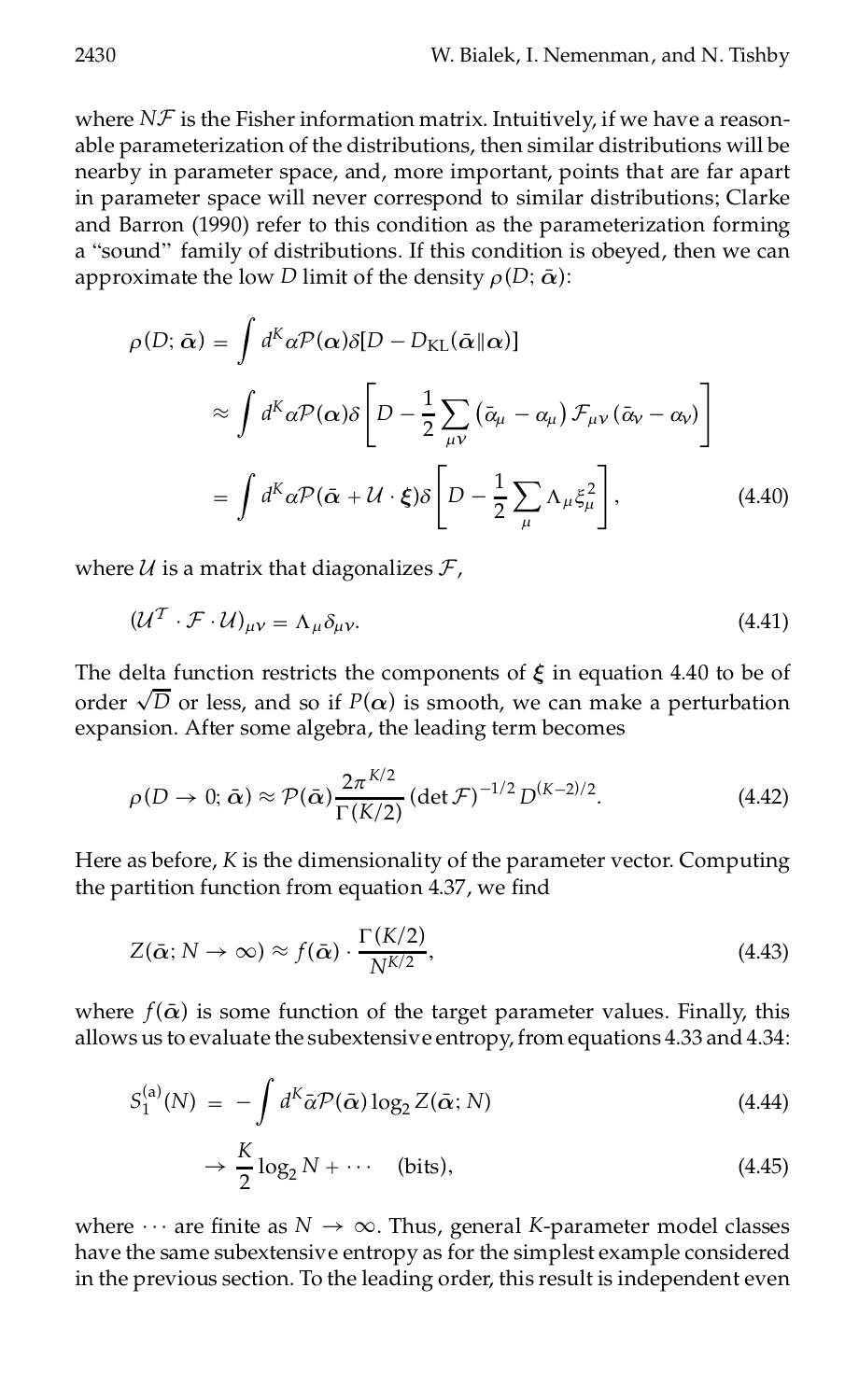where  $N\mathcal{F}$  is the Fisher information matrix. Intuitively, if we have a reasonable parameterization of the distributions, then similar distributions will be nearby in parameter space, and, more important, points that are far apart in parameter space will never correspond to similar distributions; Clarke and Barron (1990) refer to this condition as the parameterization forming a "sound" family of distributions. If this condition is obeyed, then we can approximate the low *D* limit of the density  $\rho(D; \bar{\boldsymbol{\alpha}})$ :

$$
\rho(D; \bar{\alpha}) = \int d^{K} \alpha \mathcal{P}(\alpha) \delta[D - D_{\text{KL}}(\bar{\alpha} || \alpha)]
$$
  
\n
$$
\approx \int d^{K} \alpha \mathcal{P}(\alpha) \delta[D - \frac{1}{2} \sum_{\mu \nu} (\bar{\alpha}_{\mu} - \alpha_{\mu}) \mathcal{F}_{\mu \nu} (\bar{\alpha}_{\nu} - \alpha_{\nu})]
$$
  
\n
$$
= \int d^{K} \alpha \mathcal{P}(\bar{\alpha} + \mathcal{U} \cdot \xi) \delta[D - \frac{1}{2} \sum_{\mu} \Lambda_{\mu} \xi_{\mu}^{2}], \qquad (4.40)
$$

where  $U$  is a matrix that diagonalizes  $\mathcal{F}$ ,

$$
(\mathcal{U}^{\mathcal{T}} \cdot \mathcal{F} \cdot \mathcal{U})_{\mu\nu} = \Lambda_{\mu} \delta_{\mu\nu}.
$$
 (4.41)

The delta function restricts the components of  $\xi$  in equation 4.40 to be of order  $\sqrt{D}$  or less, and so if *P*( $\alpha$ ) is smooth, we can make a perturbation expansion. After some algebra, the leading term becomes

$$
\rho(D \to 0; \bar{\alpha}) \approx \mathcal{P}(\bar{\alpha}) \frac{2\pi^{K/2}}{\Gamma(K/2)} (\det \mathcal{F})^{-1/2} D^{(K-2)/2}.
$$
 (4.42)

Here as before, *K* is the dimensionality of the parameter vector. Computing the partition function from equation 4.37, we find

$$
Z(\bar{\alpha}; N \to \infty) \approx f(\bar{\alpha}) \cdot \frac{\Gamma(K/2)}{N^{K/2}},
$$
\n(4.43)

where  $f(\bar{\alpha})$  is some function of the target parameter values. Finally, this allows us to evaluate the subextensive entropy, from equations 4.33 and 4.34:

$$
S_1^{(a)}(N) = -\int d^K \bar{\alpha} \mathcal{P}(\bar{\alpha}) \log_2 Z(\bar{\alpha}; N)
$$
 (4.44)

$$
\rightarrow \frac{K}{2} \log_2 N + \cdots \quad \text{(bits)},\tag{4.45}
$$

where  $\cdots$  are finite as  $N \rightarrow \infty$ . Thus, general *K*-parameter model classes have the same subextensive entropy as for the simplest example considered in the previous section. To the leading order, this result is independent even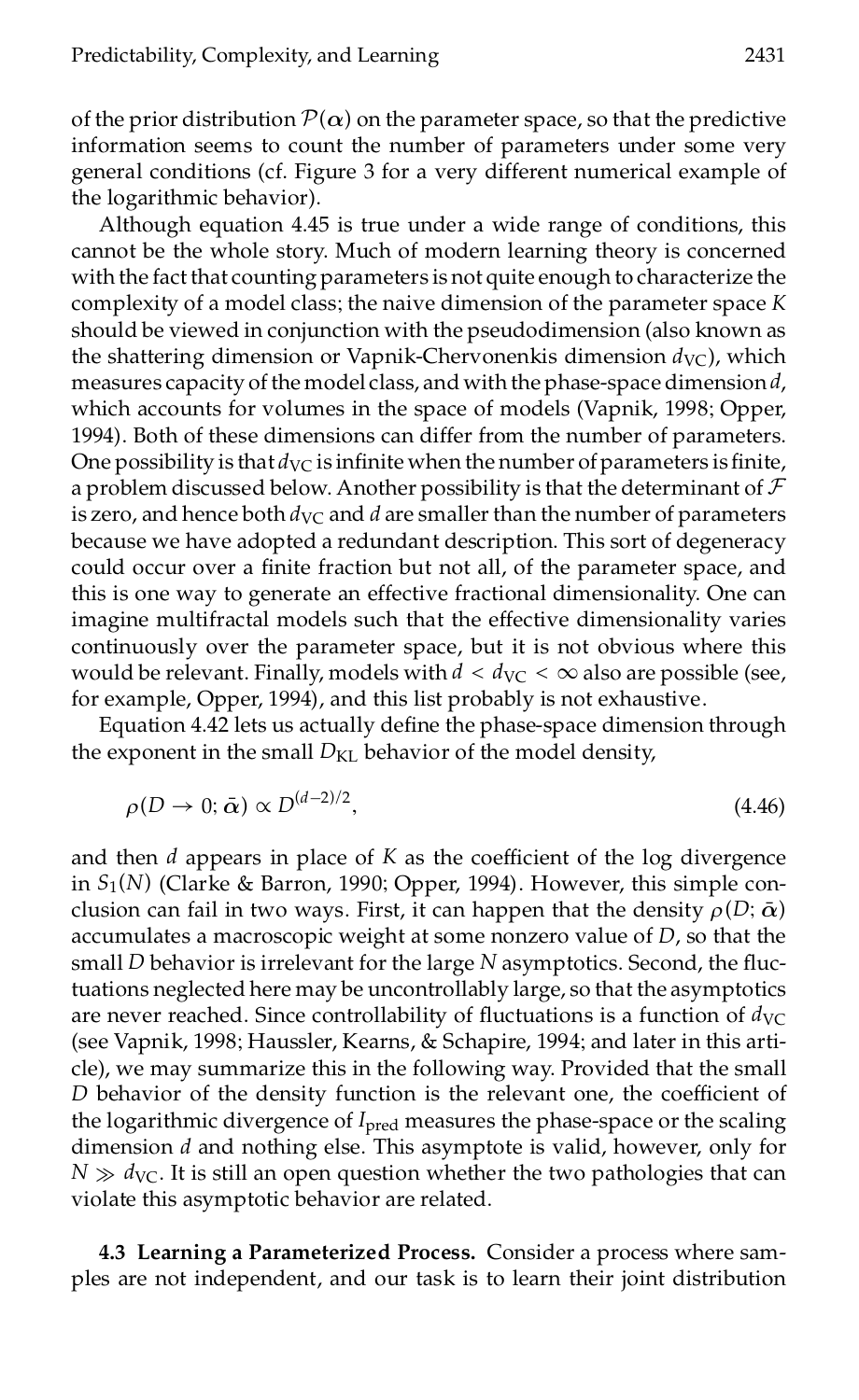of the prior distribution  $\mathcal{P}(\alpha)$  on the parameter space, so that the predictive information seems to count the number of parameters under some very general conditions (cf. Figure 3 for a very different numerical example of the logarithmic behavior).

Although equation 4.45 is true under a wide range of conditions, this cannot be the whole story. Much of modern learning theory is concerned with the fact that counting parameters is not quite enough to characterize the complexity of a model class; the naive dimension of the parameter space *K* should be viewed in conjunction with the pseudodimension (also known as the shattering dimension or Vapnik-Chervonenkis dimension  $d_{\text{VC}}$ ), which measures capacity of the model class, and with the phase-space dimension *d*, which accounts for volumes in the space of models (Vapnik, 1998; Opper, 1994). Both of these dimensions can differ from the number of parameters. One possibility is that  $d_{\text{VC}}$  is infinite when the number of parameters is finite, a problem discussed below. Another possibility is that the determinant of  $\mathcal F$ is zero, and hence both  $d_{\text{VC}}$  and  $d$  are smaller than the number of parameters because we have adopted a redundant description. This sort of degeneracy could occur over a finite fraction but not all, of the parameter space, and this is one way to generate an effective fractional dimensionality. One can imagine multifractal models such that the effective dimensionality varies continuously over the parameter space, but it is not obvious where this would be relevant. Finally, models with  $d < d_{\text{VC}} < \infty$  also are possible (see, for example, Opper, 1994), and this list probably is not exhaustive.

Equation 4.42 lets us actually define the phase-space dimension through the exponent in the small  $D_{KL}$  behavior of the model density,

$$
\rho(D \to 0; \bar{\boldsymbol{\alpha}}) \propto D^{(d-2)/2},\tag{4.46}
$$

and then  $d$  appears in place of  $K$  as the coefficient of the log divergence in *S*1(*N*) (Clarke & Barron, 1990; Opper, 1994). However, this simple con clusion can fail in two ways. First, it can happen that the density  $\rho(D; \bar{\boldsymbol{\alpha}})$ accumulates a macroscopic weight at some nonzero value of *D*, so that the small *D* behavior is irrelevant for the large *N* asymptotics. Second, the fluctuations neglected here may be uncontrollably large, so that the asymptotics are never reached. Since controllability of fluctuations is a function of  $d_{\text{VC}}$ (see Vapnik, 1998; Haussler, Kearns, & Schapire, 1994; and later in this arti cle), we may summarize this in the following way. Provided that the small *D* behavior of the density function is the relevant one, the coefficient of the logarithmic divergence of *I*<sub>pred</sub> measures the phase-space or the scaling dimension *d* and nothing else. This asymptote is valid, however, only for  $N \gg d_{\text{VC}}$ . It is still an open question whether the two pathologies that can violate this asymptotic behavior are related.

**4.3 Learning a Parameterized Process.** Consider a process where sam ples are not independent, and our task is to learn their joint distribution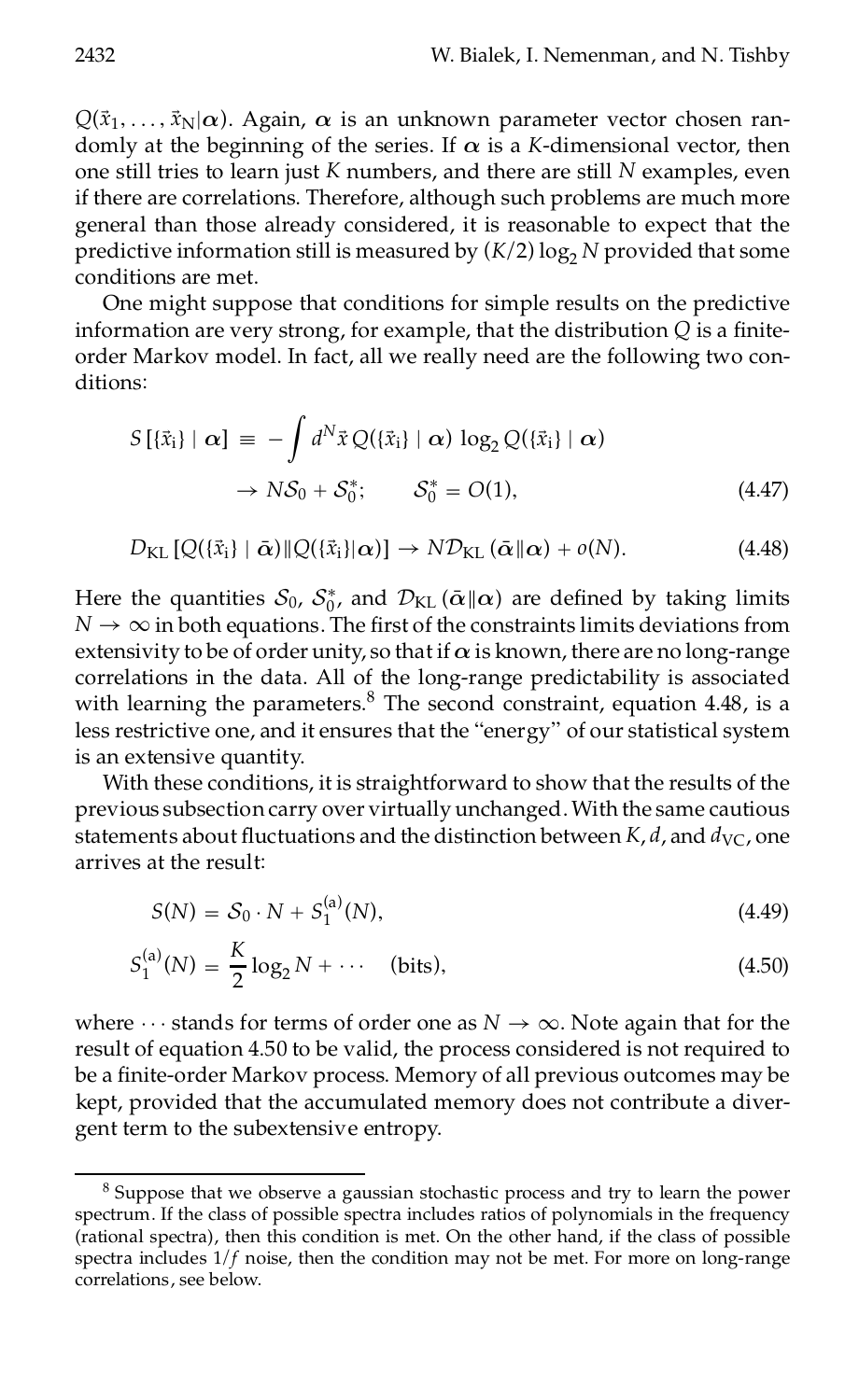$Q(\vec{x}_1, \ldots, \vec{x}_N|\alpha)$ . Again,  $\alpha$  is an unknown parameter vector chosen randomly at the beginning of the series. If  $\alpha$  is a *K*-dimensional vector, then one still tries to learn just *K* numbers, and there are still *N* examples, even if there are correlations. Therefore, although such problems are much more general than those already considered, it is reasonable to expect that the predictive information still is measured by  $(K/2)$  log<sub>2</sub> *N* provided that some conditions are met.

One might suppose that conditions for simple results on the predictive information are very strong, for example, that the distribution  $Q$  is a finiteorder Markov model. In fact, all we really need are the following two con ditions:

$$
S[\{\vec{x}_i\} \mid \boldsymbol{\alpha}] \equiv -\int d^N \vec{x} Q(\{\vec{x}_i\} \mid \boldsymbol{\alpha}) \log_2 Q(\{\vec{x}_i\} \mid \boldsymbol{\alpha})
$$

$$
\rightarrow NS_0 + S_0^*; \qquad S_0^* = O(1), \tag{4.47}
$$

 $D_{\text{KL}}[Q(\{\vec{x}_i\} \mid \bar{\boldsymbol{\alpha}}) \| Q(\{\vec{x}_i\} | \boldsymbol{\alpha})] \rightarrow N \mathcal{D}_{\text{KL}}(\bar{\boldsymbol{\alpha}} \| \boldsymbol{\alpha}) + o(N).$  (4.48)

Here the quantities  $S_0$ ,  $S_0^*$ , and  $\mathcal{D}_{KL}(\bar{\boldsymbol{\alpha}}\|\boldsymbol{\alpha})$  are defined by taking limits  $N \to \infty$  in both equations. The first of the constraints limits deviations from extensivity to be of order unity, so that if  $\alpha$  is known, there are no long-range correlations in the data. All of the long-range predictability is associated with learning the parameters. $8$  The second constraint, equation 4.48, is a less restrictive one, and it ensures that the "energy" of our statistical system is an extensive quantity.

With these conditions, it is straightforward to show that the results of the previous subsection carry over virtually unchanged.With the same cautious statements about fluctuations and the distinction between  $K$ ,  $d$ , and  $d_{\text{VC}}$ , one arrives at the result:

$$
S(N) = S_0 \cdot N + S_1^{(a)}(N), \tag{4.49}
$$

$$
S_1^{(a)}(N) = \frac{K}{2}\log_2 N + \cdots \quad \text{(bits)},\tag{4.50}
$$

where  $\cdots$  stands for terms of order one as  $N \to \infty$ . Note again that for the result of equation 4.50 to be valid, the process considered is not required to be a finite-order Markov process. Memory of all previous outcomes may be kept, provided that the accumulated memory does not contribute a diver gent term to the subextensive entropy.

<sup>8</sup> Suppose that we observe a gaussian stochastic process and try to learn the power spectrum. If the class of possible spectra includes ratios of polynomials in the frequency (rational spectra), then this condition is met. On the other hand, if the class of possible spectra includes  $1/f$  noise, then the condition may not be met. For more on long-range correlations, see below.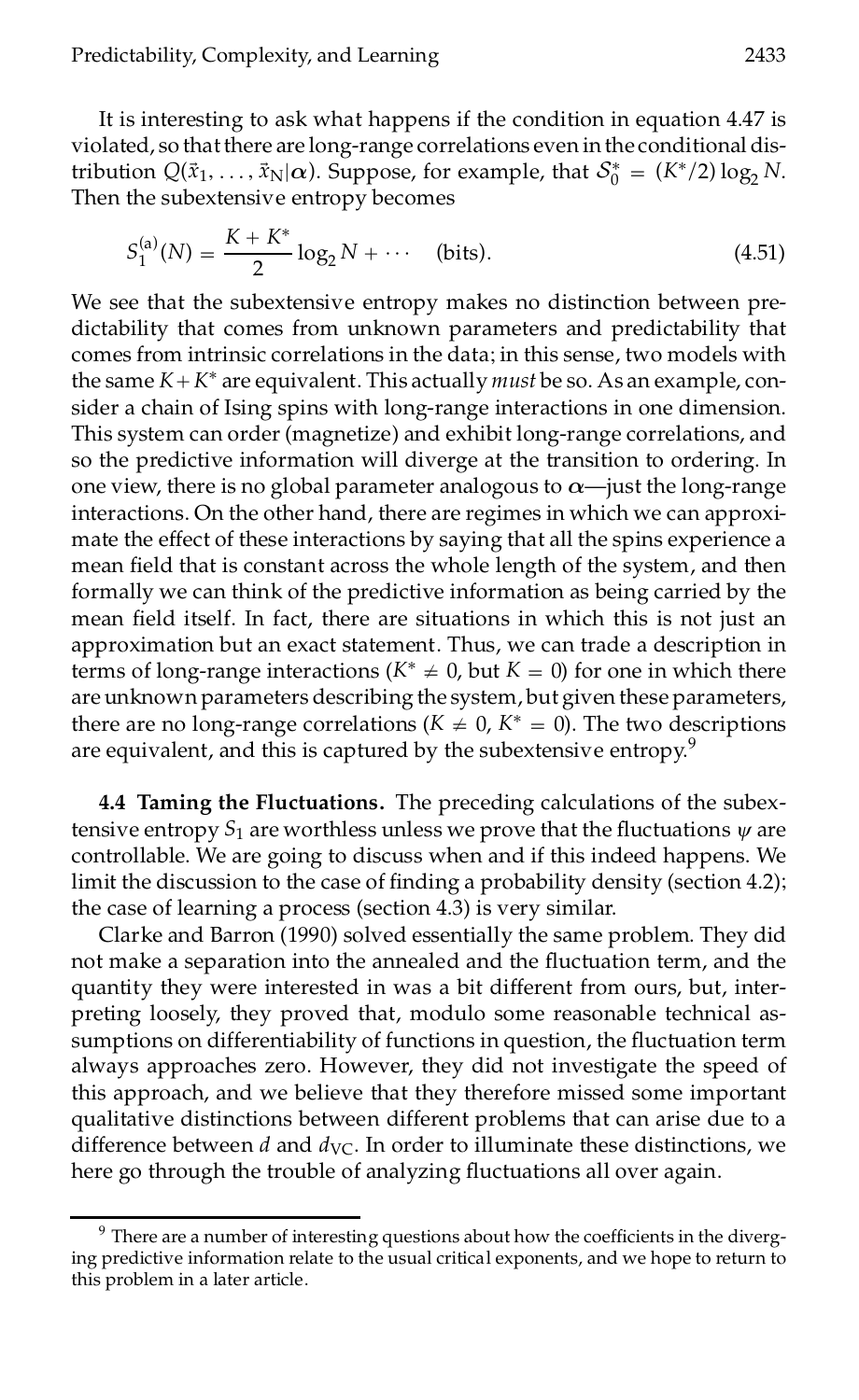It is interesting to ask what happens if the condition in equation 4.47 is violated, so thatthere are long-range correlations even in the conditional distribution  $Q(\vec{x}_1, ..., \vec{x}_N | \alpha)$ . Suppose, for example, that  $S_0^* = (K^*/2) \log_2 N$ .<br>Then the subextensive entropy becomes

$$
S_1^{(a)}(N) = \frac{K + K^*}{2} \log_2 N + \cdots \quad \text{(bits)}.
$$
 (4.51)

We see that the subextensive entropy makes no distinction between pre dictability that comes from unknown parameters and predictability that comes from intrinsic correlations in the data; in this sense, two models with the same  $K$  +  $K^*$  are equivalent. This actually  $must$  be so. As an example, consider a chain of Ising spins with long-range interactions in one dimension. This system can order (magnetize) and exhibit long-range correlations, and so the predictive information will diverge at the transition to ordering. In one view, there is no global parameter analogous to  $\alpha$ —just the long-range interactions. On the other hand, there are regimes in which we can approxi mate the effect of these interactions by saying that all the spins experience a mean field that is constant across the whole length of the system, and then formally we can think of the predictive information as being carried by the mean field itself. In fact, there are situations in which this is not just an approximation but an exact statement. Thus, we can trade a description in terms of long-range interactions ( $K^* \neq 0$ , but  $K = 0$ ) for one in which there are unknown parameters describing the system, but given these parameters, there are no long-range correlations ( $K \neq 0$ ,  $K^* = 0$ ). The two descriptions are equivalent, and this is captured by the subextensive entropy.<sup>9</sup>

**4.4 Taming the Fluctuations.** The preceding calculations of the subextensive entropy  $S_1$  are worthless unless we prove that the fluctuations  $\psi$  are controllable. We are going to discuss when and if this indeed happens. We limit the discussion to the case of finding a probability density (section 4.2); the case of learning a process (section 4.3) is very similar.

Clarke and Barron (1990) solved essentially the same problem. They did not make a separation into the annealed and the fluctuation term, and the quantity they were interested in was a bit different from ours, but, inter preting loosely, they proved that, modulo some reasonable technical as sumptions on differentiability of functions in question, the fluctuation term always approaches zero. However, they did not investigate the speed of this approach, and we believe that they therefore missed some important qualitative distinctions between different problems that can arise due to a difference between  $d$  and  $d_{\text{VC}}$ . In order to illuminate these distinctions, we here go through the trouble of analyzing fluctuations all over again.

 $9$  There are a number of interesting questions about how the coefficients in the diverging predictive information relate to the usual critical exponents, and we hope to return to this problem in a later article.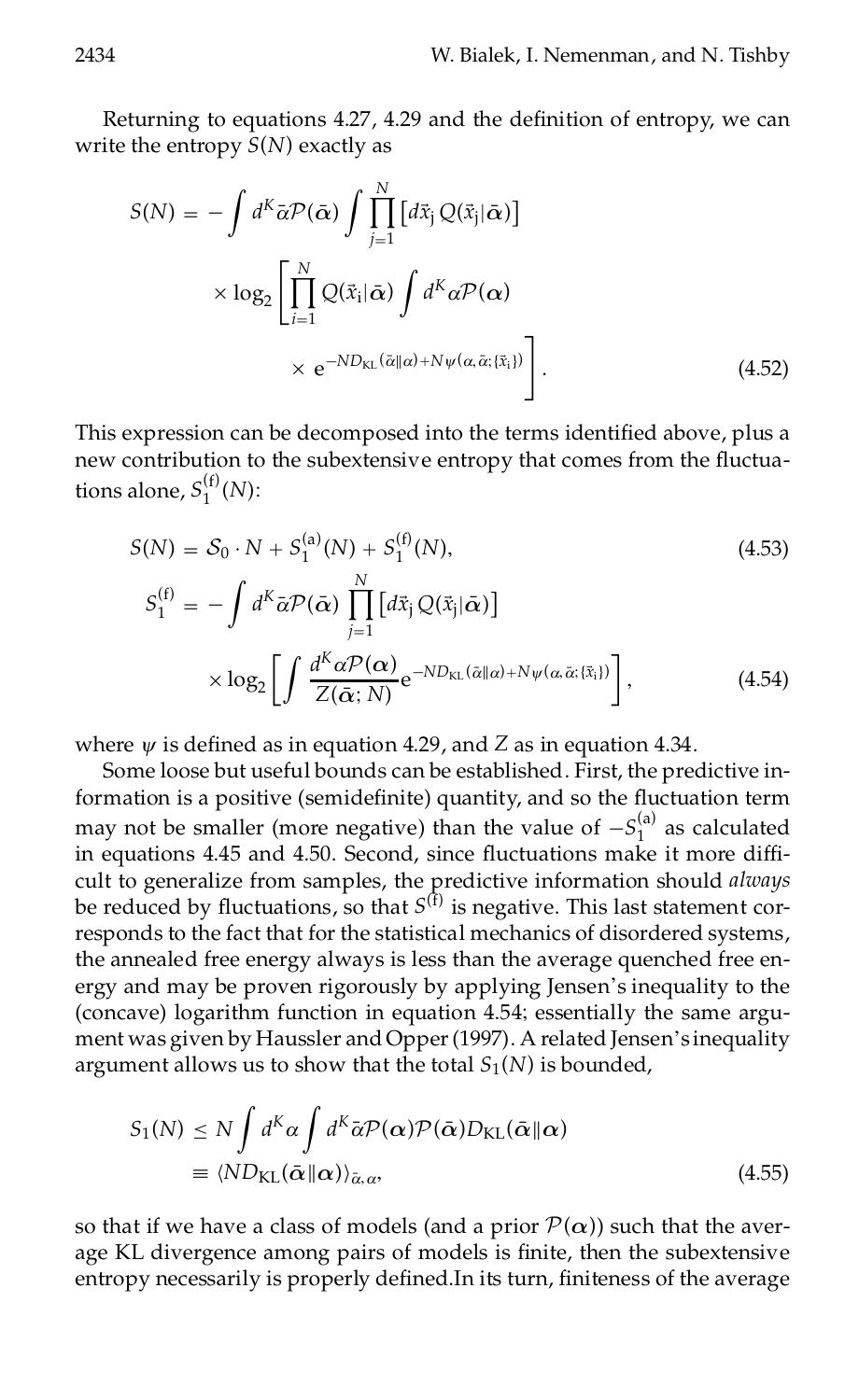Returning to equations  $4.27$ ,  $4.29$  and the definition of entropy, we can write the entropy *S*(*N*) exactly as

$$
S(N) = -\int d^{K} \bar{\alpha} \mathcal{P}(\bar{\alpha}) \int \prod_{j=1}^{N} \left[ d\bar{x}_{j} \mathcal{Q}(\bar{x}_{j} | \bar{\alpha}) \right]
$$

$$
\times \log_{2} \left[ \prod_{i=1}^{N} \mathcal{Q}(\bar{x}_{i} | \bar{\alpha}) \int d^{K} \alpha \mathcal{P}(\alpha) \right]
$$

$$
\times e^{-ND_{KL}(\bar{\alpha} || \alpha) + N_{\Psi}(\alpha, \bar{\alpha}(\bar{x}_{i}))} \right].
$$
(4.52)

This expression can be decomposed into the terms identified above, plus a new contribution to the subextensive entropy that comes from the fluctuations alone,  $S_1^{(f)}(N)$ :

$$
S(N) = S_0 \cdot N + S_1^{(a)}(N) + S_1^{(f)}(N),
$$
\n
$$
S_1^{(f)} = -\int d^K \bar{\alpha} \mathcal{P}(\bar{\alpha}) \prod_{j=1}^N \left[ d\bar{x}_j \mathcal{Q}(\bar{x}_j | \bar{\alpha}) \right]
$$
\n
$$
(4.53)
$$

$$
\times \log_2 \left[ \int \frac{d^K \alpha \mathcal{P}(\alpha)}{Z(\bar{\alpha}; N)} e^{-ND_{\text{KL}}(\bar{\alpha} || \alpha) + N\psi(\alpha, \bar{\alpha}; {\{\bar{x}_i\}})} \right], \tag{4.54}
$$

where  $\psi$  is defined as in equation 4.29, and *Z* as in equation 4.34.

Some loose but useful bounds can be established. First, the predictive information is a positive (semidefinite) quantity, and so the fluctuation term may not be smaller (more negative) than the value of  $-S_1^{(a)}$  as calculated in equations 4.45 and 4.50. Second, since fluctuations make it more difficult to generalize from samples, the predictive information should *always* be reduced by fluctuations, so that  $S^{(f)}$  is negative. This last statement corresponds to the fact that for the statistical mechanics of disordered systems, the annealed free energy always is less than the average quenched free en ergy and may be proven rigorously by applying Jensen's inequality to the (concave) logarithm function in equation 4.54; essentially the same argu ment was given by Haussler and Opper(1997). A related Jensen's inequality argument allows us to show that the total  $S_1(N)$  is bounded,

$$
S_1(N) \le N \int d^K \alpha \int d^K \bar{\alpha} \mathcal{P}(\alpha) \mathcal{P}(\bar{\alpha}) D_{KL}(\bar{\alpha} \|\alpha)
$$
  

$$
\equiv \langle N D_{KL}(\bar{\alpha} \|\alpha) \rangle_{\bar{\alpha}, \alpha},
$$
 (4.55)

so that if we have a class of models (and a prior  $\mathcal{P}(\alpha)$ ) such that the average KL divergence among pairs of models is finite, then the subextensive entropy necessarily is properly defined. In its turn, finiteness of the average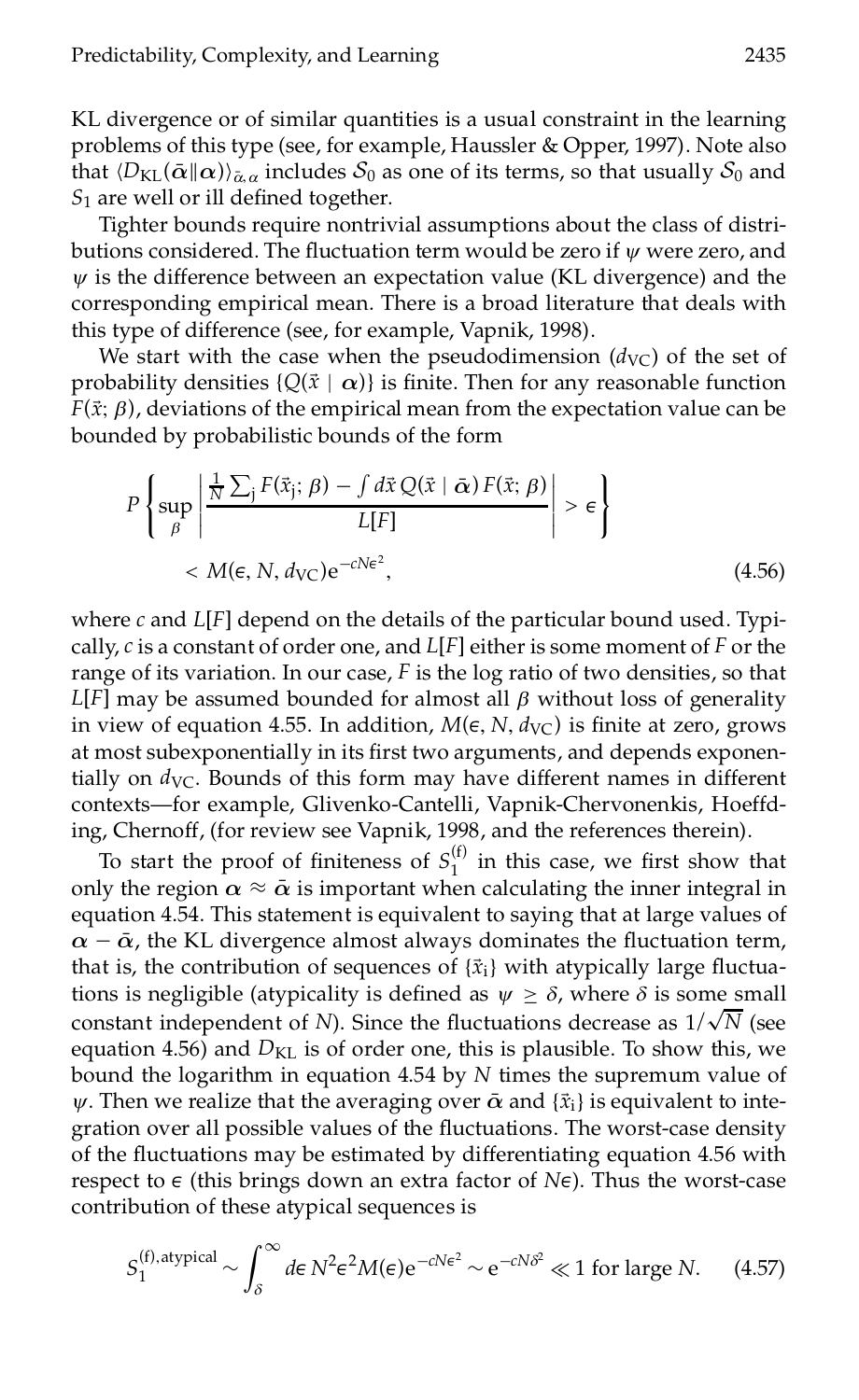KL divergence or of similar quantities is a usual constraint in the learning problems of this type (see, for example, Haussler & Opper, 1997). Note also that  $\langle D_{KL}(\bar{\alpha}||\alpha)\rangle_{\bar{\alpha},\alpha}$  includes  $S_0$  as one of its terms, so that usually  $S_0$  and  $S_1$  are well or ill defined together.

Tighter bounds require nontrivial assumptions about the class of distri butions considered. The fluctuation term would be zero if  $\psi$  were zero, and  $\psi$  is the difference between an expectation value (KL divergence) and the corresponding empirical mean. There is a broad literature that deals with this type of difference (see, for example, Vapnik, 1998).

We start with the case when the pseudodimension  $(d_{\text{VC}})$  of the set of probability densities  $\{Q(\vec{x} \mid \alpha)\}\$ is finite. Then for any reasonable function  $F(\vec{x}; \beta)$ , deviations of the empirical mean from the expectation value can be bounded by probabilistic bounds of the form

$$
P\left\{\sup_{\beta}\left|\frac{\frac{1}{N}\sum_{j}F(\vec{x}_{j};\beta)-\int d\vec{x}Q(\vec{x}\mid\vec{\alpha})F(\vec{x};\beta)}{L[F]}\right|>\epsilon\right\}
$$
  
<  $M(\epsilon, N, d_{\text{VC}})e^{-cN\epsilon^{2}}$ , (4.56)

where *c* and *L*[*F*] depend on the details of the particular bound used. Typi cally, *c* is a constant of order one, and *L*[*F*] either is some moment of *F* or the range of its variation. In our case, *F* is the log ratio of two densities, so that *L*[*F*] may be assumed bounded for almost all  $\beta$  without loss of generality in view of equation 4.55. In addition,  $M(\epsilon, N, d_{\text{VC}})$  is finite at zero, grows at most subexponentially in its first two arguments, and depends exponentially on  $d_{\text{VC}}$ . Bounds of this form may have different names in different contexts—for example, Glivenko-Cantelli, Vapnik-Chervonenkis, Hoeffding, Chernoff, (for review see Vapnik, 1998, and the references therein).

To start the proof of finiteness of  $S_1^{(f)}$  in this case, we first show that only the region  $\alpha \approx \bar{\alpha}$  is important when calculating the inner integral in equation 4.54. This statement is equivalent to saying that at large values of  $\alpha - \bar{\alpha}$ , the KL divergence almost always dominates the fluctuation term, that is, the contribution of sequences of  $\{\vec{x}_i\}$  with atypically large fluctuations is negligible (atypicality is defined as  $\psi \geq \delta$ , where  $\delta$  is some small constant independent of *N*). Since the fluctuations decrease as  $1/\sqrt{N}$  (see equation 4.56) and  $D_{KL}$  is of order one, this is plausible. To show this, we bound the logarithm in equation 4.54 by *N* times the supremum value of *y*. Then we realize that the averaging over  $\bar{\alpha}$  and  $\{\bar{x}_i\}$  is equivalent to integration over all possible values of the fluctuations. The worst-case density of the fluctuations may be estimated by differentiating equation 4.56 with respect to  $\epsilon$  (this brings down an extra factor of *N* $\epsilon$ ). Thus the worst-case contribution of these atypical sequences is

$$
S_1^{(\text{f}),\text{atypical}} \sim \int_{\delta}^{\infty} d\epsilon \, N^2 \epsilon^2 M(\epsilon) e^{-cN\epsilon^2} \sim e^{-cN\delta^2} \ll 1 \text{ for large } N. \tag{4.57}
$$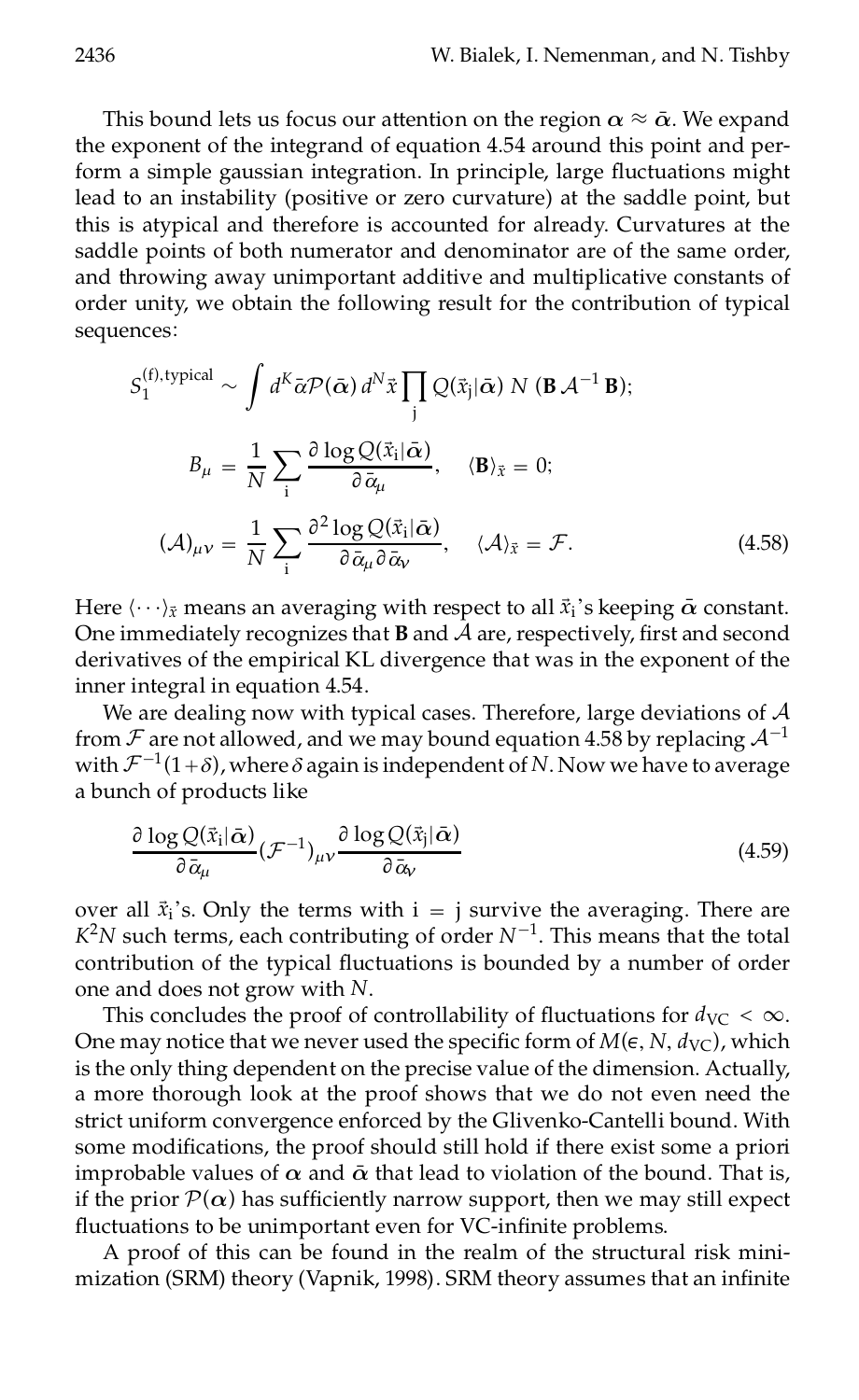This bound lets us focus our attention on the region  $\alpha \approx \bar{\alpha}$ . We expand the exponent of the integrand of equation 4.54 around this point and perform a simple gaussian integration. In principle, large fluctuations might lead to an instability (positive or zero curvature) at the saddle point, but this is atypical and therefore is accounted for already. Curvatures at the saddle points of both numerator and denominator are of the same order, and throwing away unimportant additive and multiplicative constants of order unity, we obtain the following result for the contribution of typical sequences:

$$
S_1^{(\text{f}),\text{typical}} \sim \int d^K \bar{\alpha} \mathcal{P}(\bar{\alpha}) d^N \bar{x} \prod_j Q(\bar{x}_j | \bar{\alpha}) N (\mathbf{B} \mathcal{A}^{-1} \mathbf{B});
$$
  
\n
$$
B_{\mu} = \frac{1}{N} \sum_i \frac{\partial \log Q(\bar{x}_i | \bar{\alpha})}{\partial \bar{\alpha}_{\mu}}, \quad \langle \mathbf{B} \rangle_{\bar{x}} = 0;
$$
  
\n
$$
(\mathcal{A})_{\mu\nu} = \frac{1}{N} \sum_i \frac{\partial^2 \log Q(\bar{x}_i | \bar{\alpha})}{\partial \bar{\alpha}_{\mu} \partial \bar{\alpha}_{\nu}}, \quad \langle \mathcal{A} \rangle_{\bar{x}} = \mathcal{F}.
$$
 (4.58)

Here  $\langle \cdots \rangle_{\vec{x}}$  means an averaging with respect to all  $\vec{x}_i$ 's keeping  $\vec{\alpha}$  constant. One immediately recognizes that **B** and  $\overline{A}$  are, respectively, first and second derivatives of the empirical KL divergence that was in the exponent of the inner integral in equation 4.54.

We are dealing now with typical cases. Therefore, large deviations of A from  $\mathcal F$  are not allowed, and we may bound equation 4.58 by replacing  $\mathcal A^{-1}$ with  $\mathcal{F}^{-1}(1+\delta)$ , where  $\delta$  again is independent of  $N.$  Now we have to average a bunch of products like

$$
\frac{\partial \log Q(\vec{x}_{i}|\bar{\alpha})}{\partial \bar{\alpha}_{\mu}} (\mathcal{F}^{-1})_{\mu\nu} \frac{\partial \log Q(\vec{x}_{j}|\bar{\alpha})}{\partial \bar{\alpha}_{\nu}}
$$
(4.59)

over all  $\vec{x}_i$ 's. Only the terms with  $i = j$  survive the averaging. There are  $K^2N$  such terms, each contributing of order  $N^{-1}$ . This means that the total contribution of the typical fluctuations is bounded by a number of order one and does not grow with *N*.

This concludes the proof of controllability of fluctuations for  $d_{\text{VC}} < \infty$ .<br>One may notice that we never used the specific form of *M*( $\epsilon$ , *N*,  $d_{\text{VC}}$ ), which is the only thing dependent on the precise value of the dimension. Actually, a more thorough look at the proof shows that we do not even need the strict uniform convergence enforced by the Glivenko-Cantelli bound. With some modifications, the proof should still hold if there exist some a priori improbable values of  $\alpha$  and  $\bar{\alpha}$  that lead to violation of the bound. That is, if the prior  $\mathcal{P}(\alpha)$  has sufficiently narrow support, then we may still expect fluctuations to be unimportant even for VC-infinite problems.

A proof of this can be found in the realm of the structural risk mini mization (SRM) theory (Vapnik, 1998). SRM theory assumes that an infinite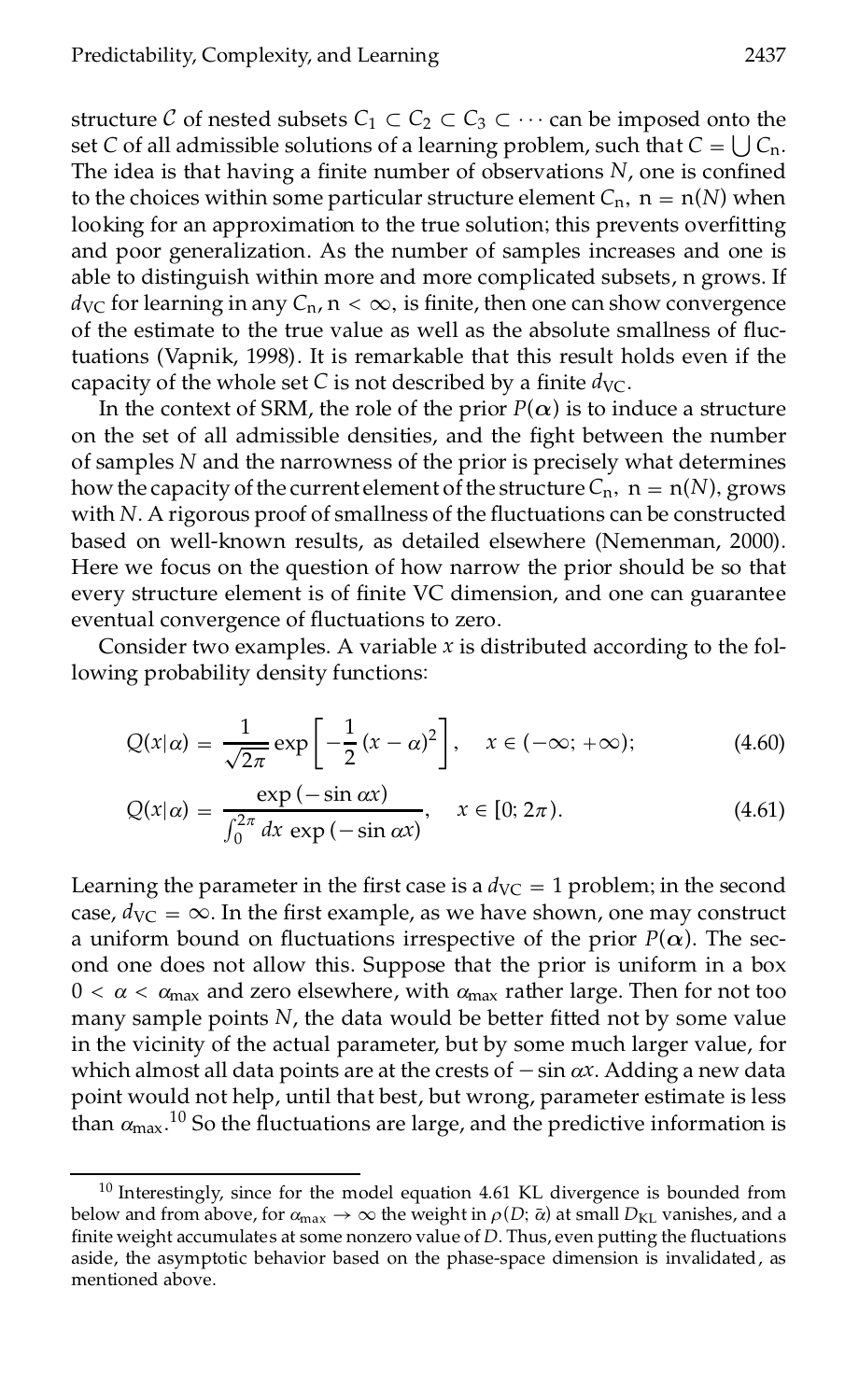structure C of nested subsets  $C_1 \subset C_2 \subset C_3 \subset \cdots$  can be imposed onto the set *C* of all admissible solutions of a learning problem, such that  $C = \bigcup C_n$ . The idea is that having a finite number of observations *N*, one is confined to the choices within some particular structure element  $C_n$ ,  $n = n(N)$  when looking for an approximation to the true solution; this prevents overfitting and poor generalization. As the number of samples increases and one is able to distinguish within more and more complicated subsets, n grows. If  $d_{\rm VC}$  for learning in any  $C_{\rm n}$ ,  $n < \infty$ , is finite, then one can show convergence of the estimate to the true value as well as the absolute smallness of fluctuations (Vapnik, 1998). It is remarkable that this result holds even if the capacity of the whole set *C* is not described by a finite  $d_{\text{VC}}$ .

In the context of SRM, the role of the prior  $P(\alpha)$  is to induce a structure on the set of all admissible densities, and the fight between the number of samples *N* and the narrowness of the prior is precisely what determines how the capacity of the current element of the structure  $C_n$ ,  $n = n(N)$ , grows with *N*. A rigorous proof of smallness of the fluctuations can be constructed based on well-known results, as detailed elsewhere (Nemenman, 2000). Here we focus on the question of how narrow the prior should be so that every structure element is of finite VC dimension, and one can guarantee eventual convergence of fluctuations to zero.

Consider two examples. A variable *x* is distributed according to the following probability density functions:

$$
Q(x|\alpha) = \frac{1}{\sqrt{2\pi}} \exp\left[-\frac{1}{2}(x-\alpha)^2\right], \quad x \in (-\infty; +\infty); \tag{4.60}
$$

$$
Q(x|\alpha) = \frac{\exp(-\sin \alpha x)}{\int_0^{2\pi} dx \exp(-\sin \alpha x)}, \quad x \in [0; 2\pi). \tag{4.61}
$$

Learning the parameter in the first case is a *d*<sub>VC</sub> = 1 problem; in the second case, *d*<sub>VC</sub> =  $\infty$ . In the first example, as we have shown, one may construct *a* uniform bound on fluctuations irrespective of the prior  $P(\alpha)$ . The second one does not allow this. Suppose that the prior is uniform in a box  $0 < \alpha < \alpha_{\text{max}}$  and zero elsewhere, with  $\alpha_{\text{max}}$  rather large. Then for not too many sample points  $N$ , the data would be better fitted not by some value in the vicinity of the actual parameter, but by some much larger value, for which almost all data points are at the crests of  $-\sin \alpha x$ . Adding a new data point would not help, until that best, but wrong, parameter estimate is less than  $\alpha_{\text{max}}$ .<sup>10</sup> So the fluctuations are large, and the predictive information is

 $10$  Interestingly, since for the model equation 4.61 KL divergence is bounded from below and from above, for  $\alpha_{\text{max}} \to \infty$  the weight in  $\rho(D; \bar{\alpha})$  at small  $D_{\text{KL}}$  vanishes, and a finite weight accumulates at some nonzero value of *D*. Thus, even putting the fluctuations aside, the asymptotic behavior based on the phase-space dimension is invalidated, as mentioned above.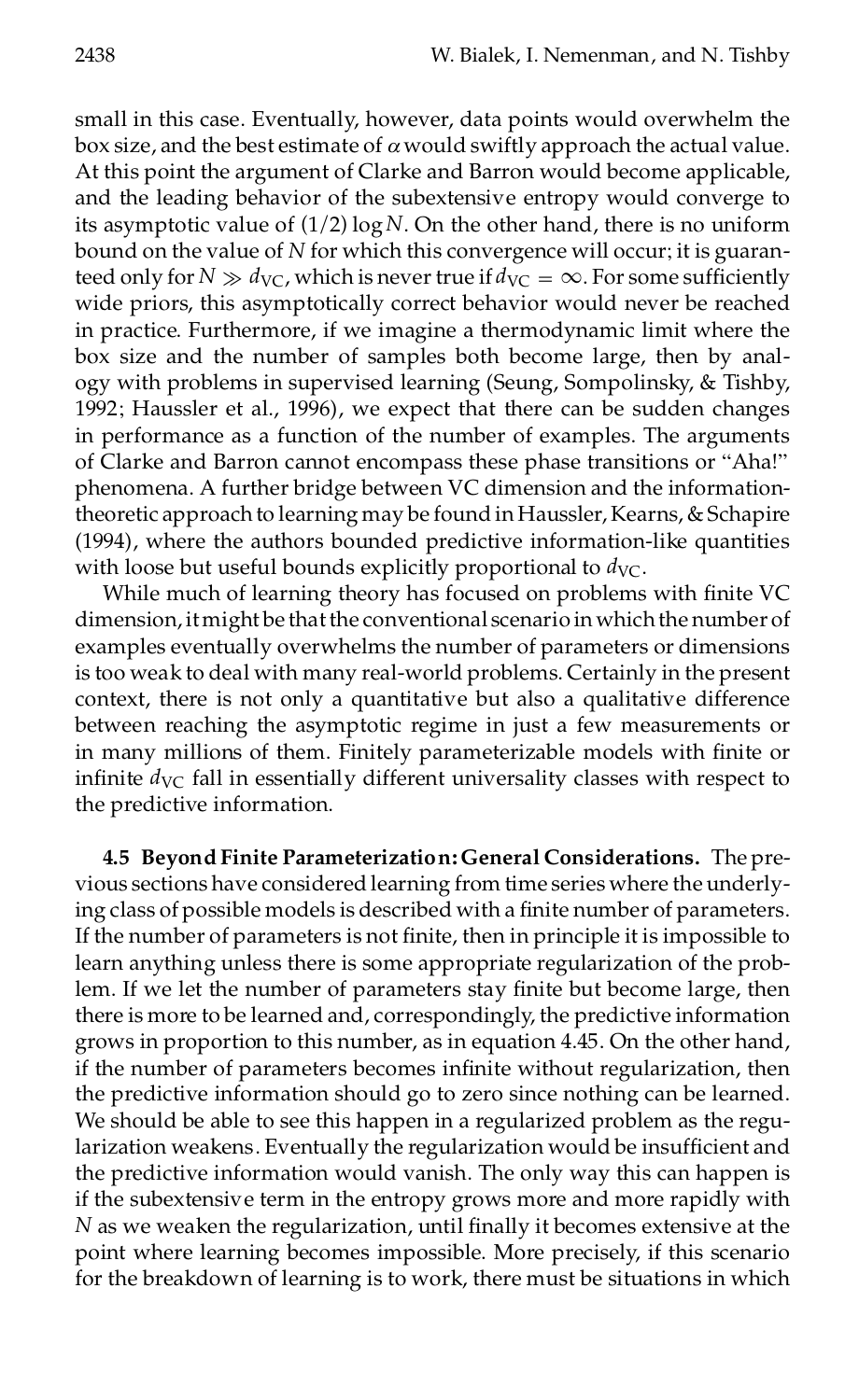small in this case. Eventually, however, data points would overwhelm the box size, and the best estimate of  $\alpha$  would swiftly approach the actual value. At this point the argument of Clarke and Barron would become applicable, and the leading behavior of the subextensive entropy would converge to its asymptotic value of (1/2) log*N*. On the other hand, there is no uniform bound on the value of *N* for which this convergence will occur; it is guaranteed only for  $N \gg d_{\text{VC}}$ , which is never true if  $d_{\text{VC}} = \infty$ . For some sufficiently wide priors, this asymptotically correct behavior would never be reached in practice. Furthermore, if we imagine a thermodynamic limit where the box size and the number of samples both become large, then by anal ogy with problems in supervised learning (Seung, Sompolinsky, & Tishby, 1992; Haussler et al., 1996), we expect that there can be sudden changes in performance as a function of the number of examples. The arguments of Clarke and Barron cannot encompass these phase transitions or "Aha!" phenomena. A further bridge between VC dimension and the informationtheoretic approach to learning may be found in Haussler, Kearns, & Schapire (1994), where the authors bounded predictive information-like quantities with loose but useful bounds explicitly proportional to  $d_{\text{VC}}$ .

While much of learning theory has focused on problems with finite VC dimension, it might be that the conventional scenario in which the number of examples eventually overwhelms the number of parameters or dimensions is too weak to deal with many real-world problems. Certainly in the present context, there is not only a quantitative but also a qualitative difference between reaching the asymptotic regime in just a few measurements or in many millions of them. Finitely parameterizable models with finite or infinite  $d_{\text{VC}}$  fall in essentially different universality classes with respect to the predictive information.

**4.5 Beyond Finite Parameterization:General Considerations.** The previous sections have considered learning from time series where the underlying class of possible models is described with a finite number of parameters. If the number of parameters is not finite, then in principle it is impossible to learn anything unless there is some appropriate regularization of the problem. If we let the number of parameters stay finite but become large, then there is more to be learned and, correspondingly, the predictive information grows in proportion to this number, as in equation 4.45. On the other hand, if the number of parameters becomes infinite without regularization, then the predictive information should go to zero since nothing can be learned. We should be able to see this happen in a regularized problem as the regularization weakens. Eventually the regularization would be insufficient and the predictive information would vanish. The only way this can happen is if the subextensive term in the entropy grows more and more rapidly with *N* as we weaken the regularization, until finally it becomes extensive at the point where learning becomes impossible. More precisely, if this scenario for the breakdown of learning is to work, there must be situations in which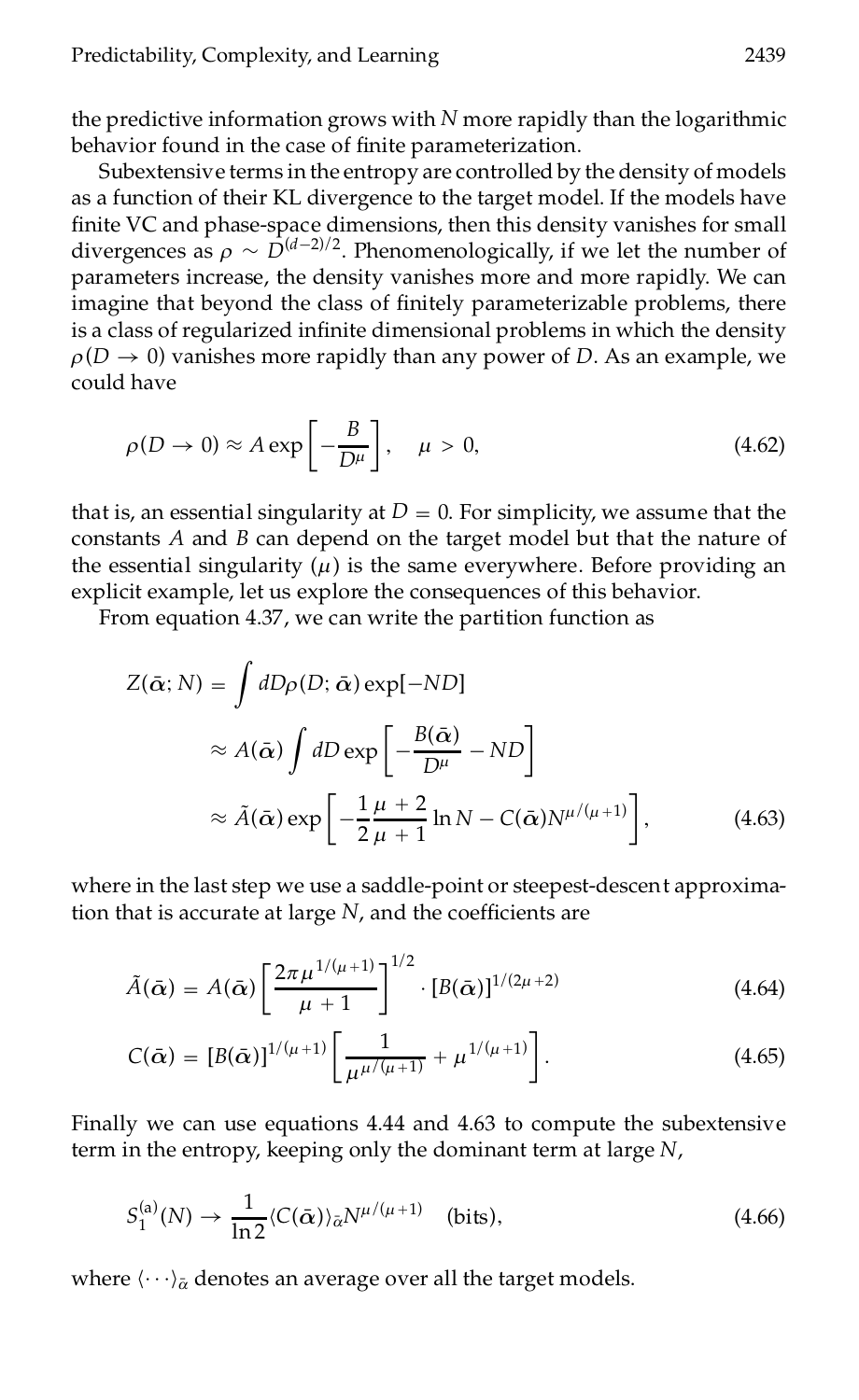the predictive information grows with *N* more rapidly than the logarithmic behavior found in the case of finite parameterization.

Subextensive terms in the entropy are controlled by the density of models as a function of their KL divergence to the target model. If the models have finite VC and phase-space dimensions, then this density vanishes for small divergences as  $\rho \sim D^{(d-2)/2}$ . Phenomenologically, if we let the number of parameters increase, the density vanishes more and more rapidly. We can imagine that beyond the class of finitely parameterizable problems, there is a class of regularized infinite dimensional problems in which the density  $\rho(D \to 0)$  vanishes more rapidly than any power of *D*. As an example, we could have

$$
\rho(D \to 0) \approx A \exp\left[-\frac{B}{D^{\mu}}\right], \quad \mu > 0,
$$
\n(4.62)

that is, an essential singularity at  $D = 0$ . For simplicity, we assume that the constants *A* and *B* can depend on the target model but that the nature of the essential singularity  $(\mu)$  is the same everywhere. Before providing an explicit example, let us explore the consequences of this behavior.

From equation 4.37, we can write the partition function as

$$
Z(\bar{\alpha}; N) = \int dD\rho(D; \bar{\alpha}) \exp[-ND]
$$
  
\n
$$
\approx A(\bar{\alpha}) \int dD \exp\left[-\frac{B(\bar{\alpha})}{D^{\mu}} - ND\right]
$$
  
\n
$$
\approx \tilde{A}(\bar{\alpha}) \exp\left[-\frac{1}{2}\frac{\mu+2}{\mu+1}\ln N - C(\bar{\alpha})N^{\mu/(\mu+1)}\right],
$$
(4.63)

where in the last step we use a saddle-point or steepest-descent approximation that is accurate at large  $N$ , and the coefficients are

$$
\tilde{A}(\bar{\alpha}) = A(\bar{\alpha}) \left[ \frac{2\pi \mu^{1/(\mu+1)}}{\mu+1} \right]^{1/2} \cdot [B(\bar{\alpha})]^{1/(2\mu+2)} \tag{4.64}
$$

$$
C(\bar{\boldsymbol{\alpha}}) = [B(\bar{\boldsymbol{\alpha}})]^{1/(\mu+1)} \left[ \frac{1}{\mu^{\mu/(\mu+1)}} + \mu^{1/(\mu+1)} \right]. \tag{4.65}
$$

Finally we can use equations 4.44 and 4.63 to compute the subextensive term in the entropy, keeping only the dominant term at large *N*,

$$
S_1^{(a)}(N) \to \frac{1}{\ln 2} \langle C(\bar{\alpha}) \rangle_{\bar{\alpha}} N^{\mu/(\mu+1)} \quad \text{(bits)},\tag{4.66}
$$

where  $\langle \cdots \rangle_{\bar{\alpha}}$  denotes an average over all the target models.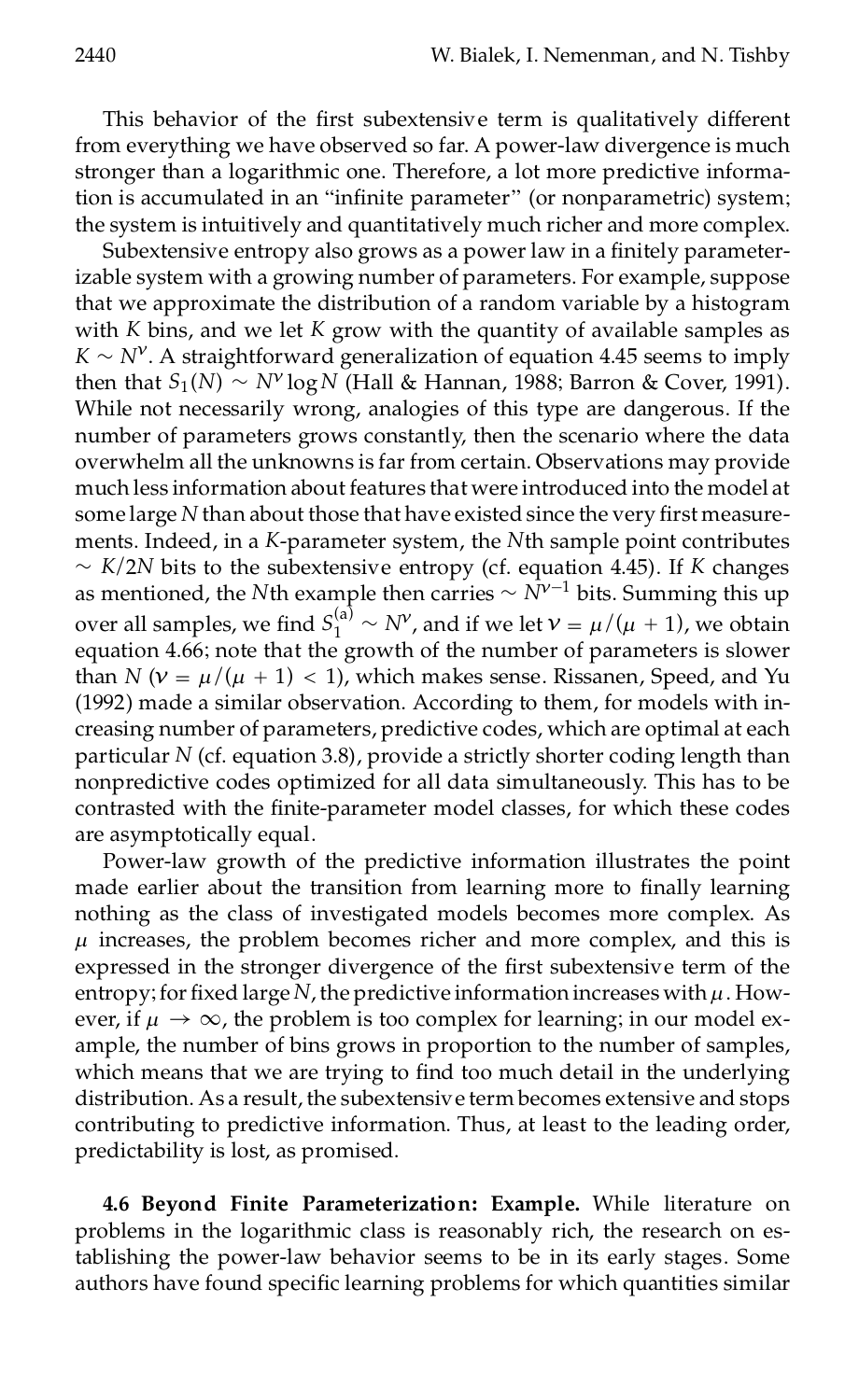This behavior of the first subextensive term is qualitatively different from everything we have observed so far. A power-law divergence is much stronger than a logarithmic one. Therefore, a lot more predictive information is accumulated in an "infinite parameter" (or nonparametric) system; the system is intuitively and quantitatively much richer and more complex.

Subextensive entropy also grows as a power law in a finitely parameterizable system with a growing number of parameters. For example, suppose that we approximate the distribution of a random variable by a histogram with *K* bins, and we let *K* grow with the quantity of available samples as  $K \sim N^{\nu}$ . A straightforward generalization of equation 4.45 seems to imply then that  $S_1(N) \sim N^{\gamma} \log N$  (Hall & Hannan, 1988; Barron & Cover, 1991).<br>While not necessarily wrong, analogies of this type are dangerous. If the number of parameters grows constantly, then the scenario where the data overwhelm all the unknowns is far from certain. Observations may provide much less information about features that were introduced into the model at some large N than about those that have existed since the very first measurements. Indeed, in a *K*-parameter system, the *N*th sample point contributes  $\sim K/2N$  bits to the subextensive entropy (cf. equation 4.45). If *K* changes as mentioned, the *N*th example then carries  $\sim N^{\nu-1}$  bits. Summing this up over all samples, we find  $S_1^{(a)} \sim N^{\nu}$ , and if we let  $\nu = \mu/(\mu + 1)$ , we obtain equation 4.66; note that the growth of the number of parameters is slower than *N* ( $v = \mu/(\mu + 1) < 1$ ), which makes sense. Rissanen, Speed, and Yu (1992) made a similar observation. According to them, for models with in creasing number of parameters, predictive codes, which are optimal at each particular *N* (cf. equation 3.8), provide a strictly shorter coding length than nonpredictive codes optimized for all data simultaneously. This has to be contrasted with the finite-parameter model classes, for which these codes are asymptotically equal.

Power-law growth of the predictive information illustrates the point made earlier about the transition from learning more to finally learning nothing as the class of investigated models becomes more complex. As  $\mu$  increases, the problem becomes richer and more complex, and this is expressed in the stronger divergence of the first subextensive term of the entropy; for fixed large  $\bar{N}$ , the predictive information increases with  $\mu$ . However, if  $\mu \to \infty$ , the problem is too complex for learning; in our model example, the number of bins grows in proportion to the number of samples, which means that we are trying to find too much detail in the underlying distribution. As a result, the subextensive term becomes extensive and stops contributing to predictive information. Thus, at least to the leading order, predictability is lost, as promised.

**4.6 Beyond Finite Parameterization: Example.** While literature on problems in the logarithmic class is reasonably rich, the research on establishing the power-law behavior seems to be in its early stages. Some authors have found specific learning problems for which quantities similar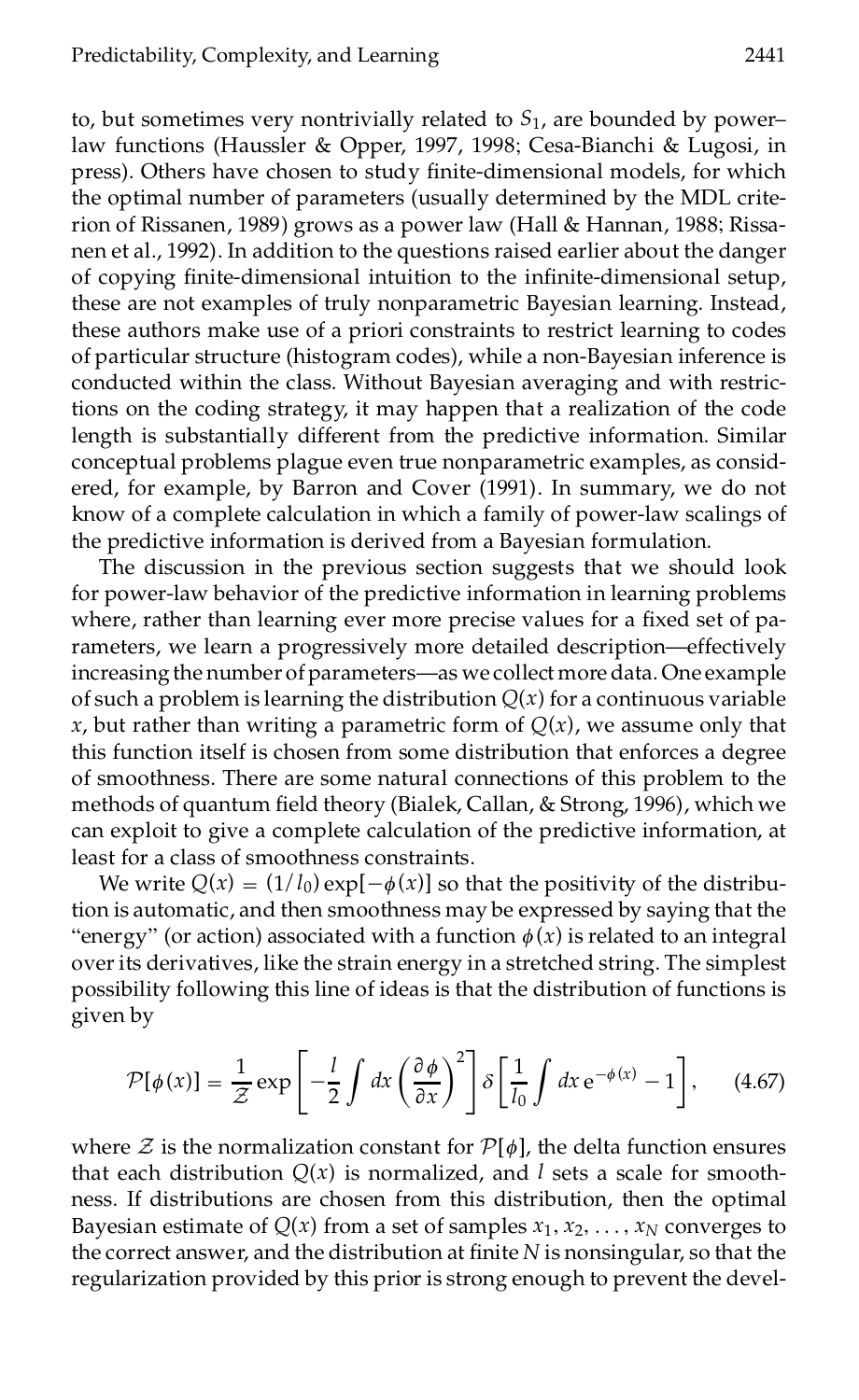to, but sometimes very nontrivially related to  $S<sub>1</sub>$ , are bounded by power– law functions (Haussler & Opper, 1997, 1998; Cesa-Bianchi & Lugosi, in press). Others have chosen to study finite-dimensional models, for which the optimal number of parameters (usually determined by the MDL crite rion of Rissanen, 1989) grows as a power law (Hall & Hannan, 1988; Rissanen et al., 1992). In addition to the questions raised earlier about the danger of copying finite-dimensional intuition to the infinite-dimensional setup, these are not examples of truly nonparametric Bayesian learning. Instead, these authors make use of a priori constraints to restrict learning to codes of particular structure (histogram codes), while a non-Bayesian inference is conducted within the class. Without Bayesian averaging and with restrictions on the coding strategy, it may happen that a realization of the code length is substantially different from the predictive information. Similar conceptual problems plague even true nonparametric examples, as consid ered, for example, by Barron and Cover (1991). In summary, we do not know of a complete calculation in which a family of power-law scalings of the predictive information is derived from a Bayesian formulation.

The discussion in the previous section suggests that we should look for power-law behavior of the predictive information in learning problems where, rather than learning ever more precise values for a fixed set of parameters, we learn a progressively more detailed description—effectively increasing the number of parameters—as we collect more data. One example of such a problem is learning the distribution  $Q(x)$  for a continuous variable *x*, but rather than writing a parametric form of  $Q(x)$ , we assume only that this function itself is chosen from some distribution that enforces a degree of smoothness. There are some natural connections of this problem to the methods of quantum field theory (Bialek, Callan, & Strong, 1996), which we can exploit to give a complete calculation of the predictive information, at least for a class of smoothness constraints.

We write  $Q(x) = (1/l_0) \exp[-\phi(x)]$  so that the positivity of the distribution is automatic, and then smoothness may be expressed by saying that the "energy" (or action) associated with a function  $\phi(x)$  is related to an integral over its derivatives, like the strain energy in a stretched string. The simplest possibility following this line of ideas is that the distribution of functions is given by

$$
\mathcal{P}[\phi(x)] = \frac{1}{\mathcal{Z}} \exp\left[-\frac{l}{2} \int dx \left(\frac{\partial \phi}{\partial x}\right)^2\right] \delta\left[\frac{1}{l_0} \int dx \,\mathrm{e}^{-\phi(x)} - 1\right],\qquad(4.67)
$$

where  $\mathcal Z$  is the normalization constant for  $\mathcal P[\phi]$ , the delta function ensures that each distribution  $Q(x)$  is normalized, and  $l$  sets a scale for smoothness. If distributions are chosen from this distribution, then the optimal Bayesian estimate of  $Q(x)$  from a set of samples  $x_1, x_2, \ldots, x_N$  converges to the correct answer, and the distribution at finite  $N$  is nonsingular, so that the regularization provided by this prior is strong enough to prevent the devel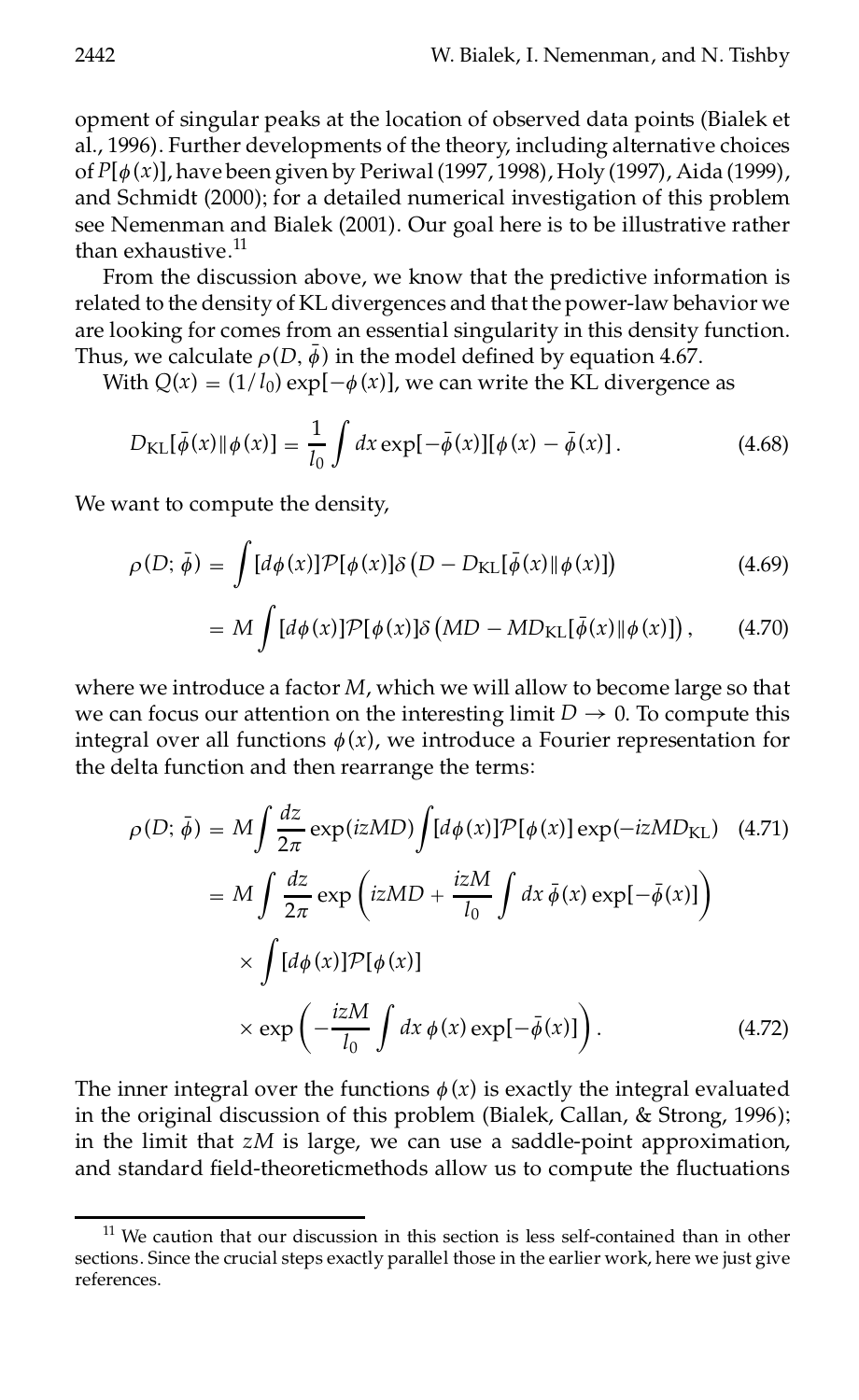opment of singular peaks at the location of observed data points (Bialek et al., 1996). Further developments of the theory, including alternative choices of *P*[*w* (*x*)], have been given by Periwal (1997, 1998), Holy (1997), Aida (1999), and Schmidt (2000); for a detailed numerical investigation of this problem see Nemenman and Bialek (2001). Our goal here is to be illustrative rather than exhaustive. $11$ 

From the discussion above, we know that the predictive information is related to the density of KL divergences and that the power-law behavior we are looking for comes from an essential singularity in this density function. Thus, we calculate  $\rho(D, \bar{\phi})$  in the model defined by equation 4.67.

With  $Q(x) = (1/l_0) \exp[-\phi(x)]$ , we can write the KL divergence as

$$
D_{\text{KL}}[\bar{\phi}(x) \| \phi(x)] = \frac{1}{l_0} \int dx \exp[-\bar{\phi}(x)][\phi(x) - \bar{\phi}(x)]. \tag{4.68}
$$

We want to compute the density,

$$
\rho(D; \bar{\phi}) = \int [d\phi(x)] \mathcal{P}[\phi(x)] \delta(D - D_{\text{KL}}[\bar{\phi}(x) || \phi(x)]) \qquad (4.69)
$$

$$
= M \int [d\phi(x)] \mathcal{P}[\phi(x)] \delta \left( MD - MD_{\mathrm{KL}}[\bar{\phi}(x) || \phi(x)] \right), \qquad (4.70)
$$

where we introduce a factor *M*, which we will allow to become large so that we can focus our attention on the interesting limit  $D \to 0$ . To compute this integral over all functions  $\phi(x)$ , we introduce a Fourier representation for the delta function and then rearrange the terms:

$$
\rho(D; \bar{\phi}) = M \int \frac{dz}{2\pi} \exp(izMD) \int [d\phi(x)] \mathcal{P}[\phi(x)] \exp(-izMD_{\text{KL}}) \quad (4.71)
$$

$$
= M \int \frac{dz}{2\pi} \exp\left(izMD + \frac{izM}{l_0} \int dx \,\bar{\phi}(x) \exp[-\bar{\phi}(x)]\right)
$$

$$
\times \int [d\phi(x)] \mathcal{P}[\phi(x)]
$$

$$
\times \exp\left(-\frac{izM}{l_0} \int dx \,\phi(x) \exp[-\bar{\phi}(x)]\right). \tag{4.72}
$$

The inner integral over the functions  $\phi(x)$  is exactly the integral evaluated in the original discussion of this problem (Bialek, Callan, & Strong, 1996); in the limit that *zM* is large, we can use a saddle-point approximation, and standard field-theoreticmethods allow us to compute the fluctuations

<sup>&</sup>lt;sup>11</sup> We caution that our discussion in this section is less self-contained than in other sections. Since the crucial steps exactly parallel those in the earlier work, here we just give references.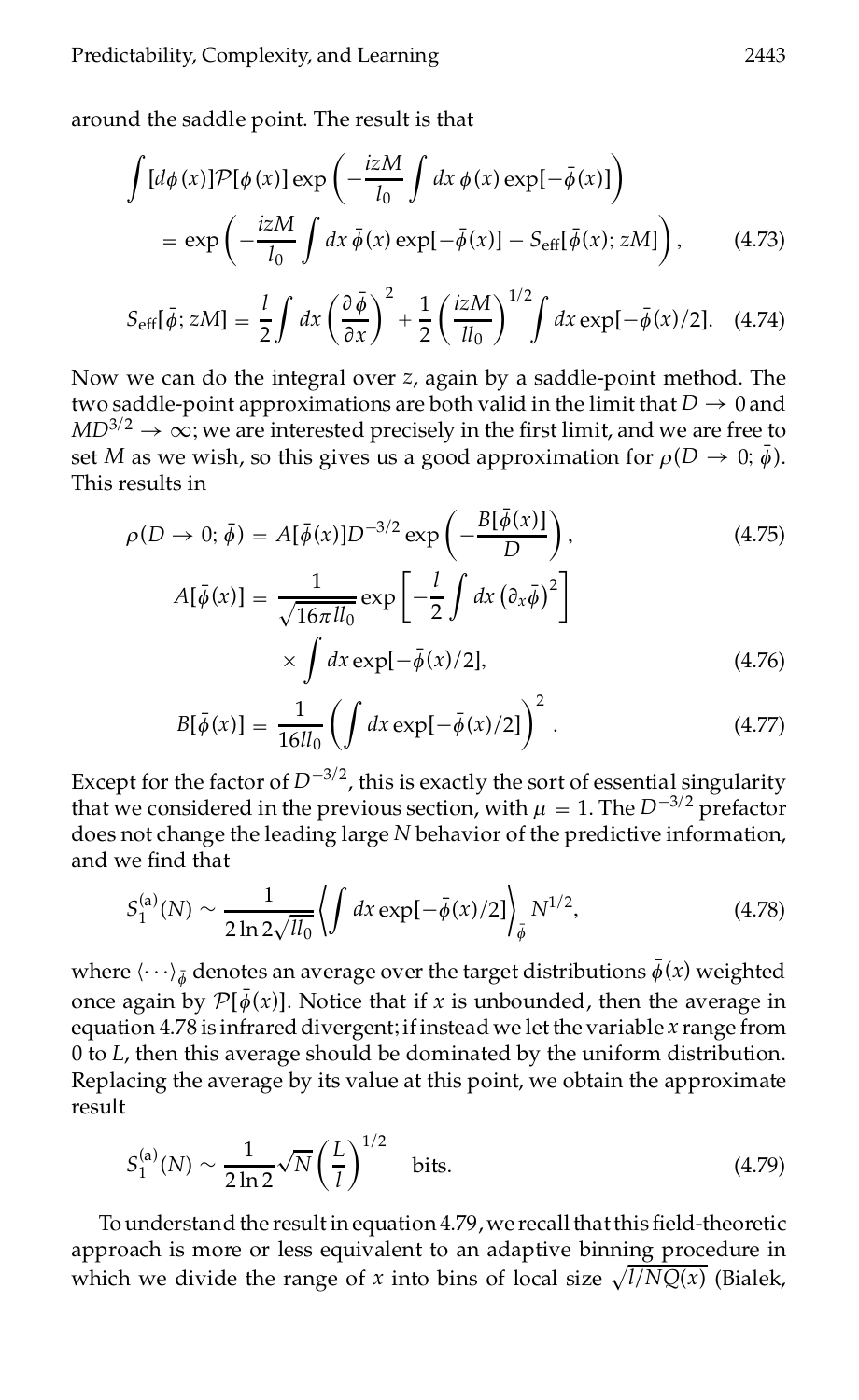around the saddle point. The result is that

$$
\int [d\phi(x)] \mathcal{P}[\phi(x)] \exp\left(-\frac{izM}{l_0} \int dx \phi(x) \exp[-\bar{\phi}(x)]\right)
$$
  
=  $\exp\left(-\frac{izM}{l_0} \int dx \bar{\phi}(x) \exp[-\bar{\phi}(x)] - S_{\text{eff}}[\bar{\phi}(x); zM]\right)$ , (4.73)

$$
S_{\text{eff}}[\bar{\phi}; zM] = \frac{l}{2} \int dx \left(\frac{\partial \bar{\phi}}{\partial x}\right)^2 + \frac{1}{2} \left(\frac{izM}{ll_0}\right)^{1/2} \int dx \exp[-\bar{\phi}(x)/2]. \quad (4.74)
$$

Now we can do the integral over *z*, again by a saddle-point method. The two saddle-point approximations are both valid in the limit that  $D \to 0$  and  $MD^{3/2} \rightarrow \infty$ ; we are interested precisely in the first limit, and we are free to set *M* as we wish, so this gives us a good approximation for  $\rho(D \to 0; \bar{\phi})$ .<br>This results in

$$
\rho(D \to 0; \bar{\phi}) = A[\bar{\phi}(x)]D^{-3/2} \exp\left(-\frac{B[\bar{\phi}(x)]}{D}\right),\tag{4.75}
$$
\n
$$
A[\bar{\phi}(x)] = \frac{1}{\sqrt{16\pi l l_0}} \exp\left[-\frac{l}{2} \int dx \left(\partial_x \bar{\phi}\right)^2\right]
$$
\n
$$
\times \int dx \exp[-\bar{\phi}(x)/2],\tag{4.76}
$$

$$
B[\bar{\phi}(x)] = \frac{1}{16ll_0} \left( \int dx \exp[-\bar{\phi}(x)/2] \right)^2.
$$
 (4.77)

Except for the factor of  $D^{-3/2}$ , this is exactly the sort of essential singularity that we considered in the previous section, with  $\mu = 1$ . The  $D^{-3/2}$  prefactor does not change the leading large *N* behavior of the predictive information, and we find that

$$
S_1^{(a)}(N) \sim \frac{1}{2\ln 2\sqrt{l_0}} \left\langle \int dx \exp[-\bar{\phi}(x)/2] \right\rangle_{\bar{\phi}} N^{1/2},\tag{4.78}
$$

where  $\langle \cdots \rangle_{\bar{\phi}}$  denotes an average over the target distributions  $\bar{\phi}(x)$  weighted once again by  $\mathcal{P}[\bar{\phi}(x)]$ . Notice that if *x* is unbounded, then the average in equation 4.78 is infrared divergent;ifinstead we letthe variable *x* range from 0 to *L*, then this average should be dominated by the uniform distribution. Replacing the average by its value at this point, we obtain the approximate result

$$
S_1^{(a)}(N) \sim \frac{1}{2\ln 2} \sqrt{N} \left(\frac{L}{l}\right)^{1/2} \quad \text{bits.} \tag{4.79}
$$

To understand the result in equation 4.79, we recall that this field-theoretic approach is more or less equivalent to an adaptive binning procedure in which we divide the range of *x* into bins of local size  $\sqrt{1/NQ(x)}$  (Bialek,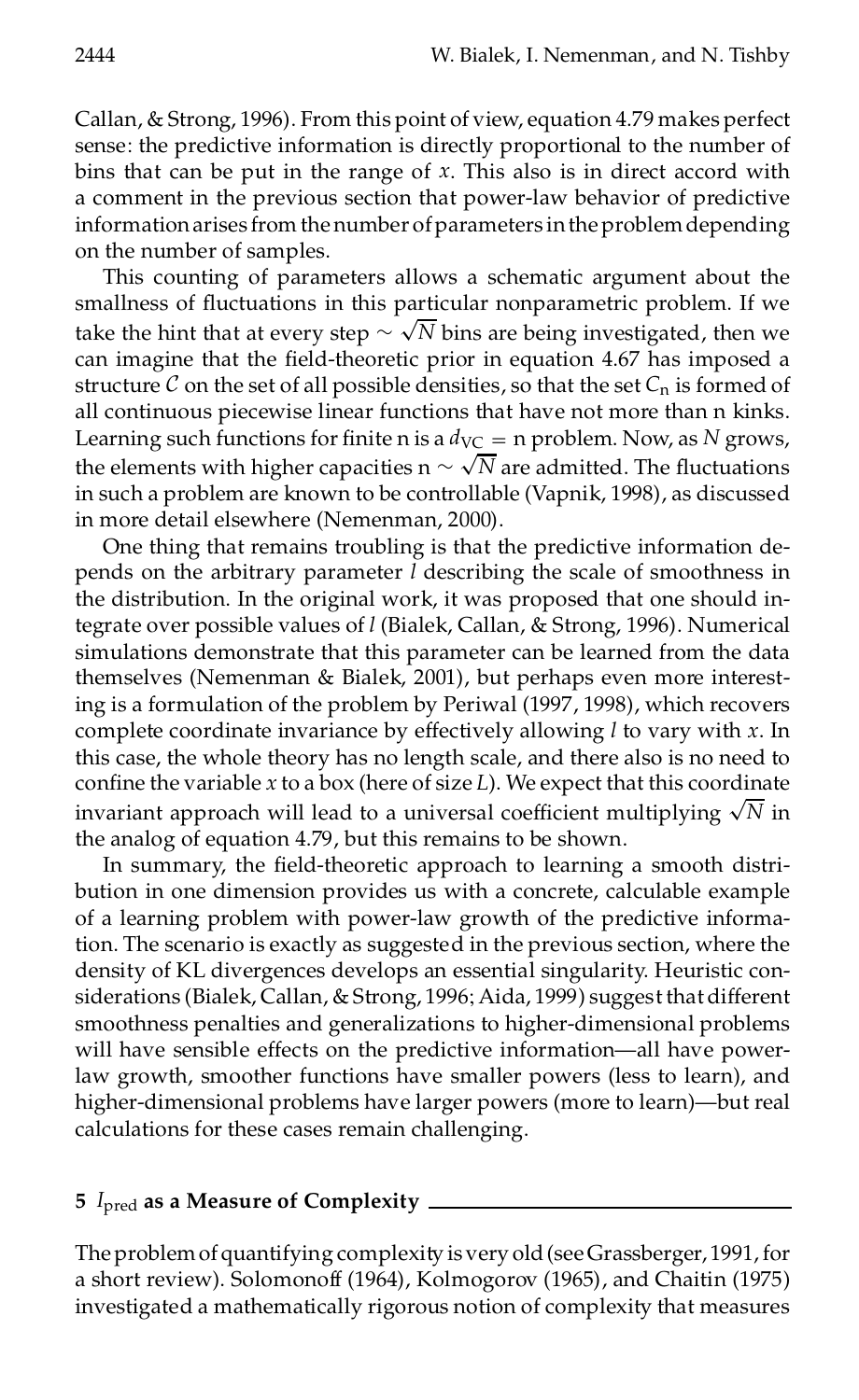Callan, & Strong, 1996). From this point of view, equation 4.79 makes perfect sense: the predictive information is directly proportional to the number of bins that can be put in the range of *x*. This also is in direct accord with a comment in the previous section that power-law behavior of predictive information arises from the number of parameters in the problem depending on the number of samples.

This counting of parameters allows a schematic argument about the smallness of fluctuations in this particular nonparametric problem. If we take the hint that at every step  $\sim \sqrt{N}$  bins are being investigated, then we can imagine that the field-theoretic prior in equation 4.67 has imposed a structure  $C$  on the set of all possible densities, so that the set  $C_n$  is formed of all continuous piecewise linear functions that have not more than n kinks. Learning such functions for finite n is a  $d_{\text{VC}} = n$  problem. Now, as *N* grows, the elements with higher capacities  $n \sim \sqrt{N}$  are admitted. The fluctuations in such a problem are known to be controllable (Vapnik, 1998), as discussed in more detail elsewhere (Nemenman, 2000).

One thing that remains troubling is that the predictive information de pends on the arbitrary parameter *l* describing the scale of smoothness in the distribution. In the original work, it was proposed that one should integrate over possible values of *l* (Bialek, Callan, & Strong, 1996). Numerical simulations demonstrate that this parameter can be learned from the data themselves (Nemenman & Bialek, 2001), but perhaps even more interesting is a formulation of the problem by Periwal (1997, 1998), which recovers complete coordinate invariance by effectively allowing *l* to vary with *x*. In this case, the whole theory has no length scale, and there also is no need to confine the variable  $x$  to a box (here of size  $L$ ). We expect that this coordinate invariant approach will lead to a universal coefficient multiplying  $\sqrt{N}$  in the analog of equation 4.79, but this remains to be shown.

In summary, the field-theoretic approach to learning a smooth distribution in one dimension provides us with a concrete, calculable example of a learning problem with power-law growth of the predictive information. The scenario is exactly as suggested in the previous section, where the density of KL divergences develops an essential singularity. Heuristic con siderations (Bialek, Callan, & Strong, 1996; Aida, 1999) suggest that different smoothness penalties and generalizations to higher-dimensional problems will have sensible effects on the predictive information—all have powerlaw growth, smoother functions have smaller powers (less to learn), and higher-dimensional problems have larger powers (more to learn)—but real calculations for these cases remain challenging.

#### **5** *I*pred **as a Measure of Complexity**

The problem of quantifying complexity is very old (see Grassberger, 1991, for a short review). Solomonoff (1964), Kolmogorov (1965), and Chaitin (1975) investigated a mathematically rigorous notion of complexity that measures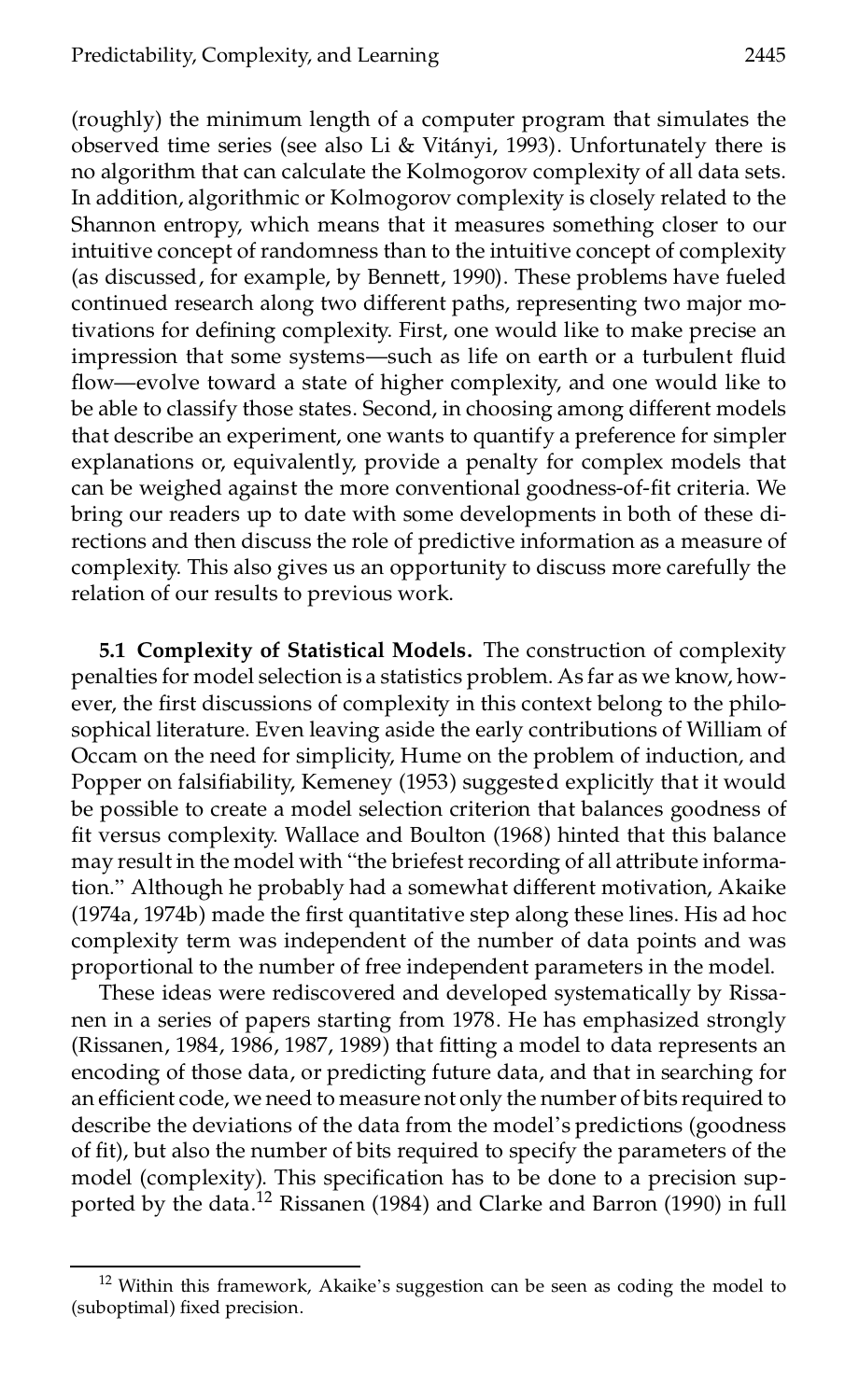(roughly) the minimum length of a computer program that simulates the observed time series (see also Li & Vitányi, 1993). Unfortunately there is no algorithm that can calculate the Kolmogorov complexity of all data sets. In addition, algorithmic or Kolmogorov complexity is closely related to the Shannon entropy, which means that it measures something closer to our intuitive concept of randomness than to the intuitive concept of complexity (as discussed, for example, by Bennett, 1990). These problems have fueled continued research along two different paths, representing two major motivations for defining complexity. First, one would like to make precise an impression that some systems—such as life on earth or a turbulent fluid flow—evolve toward a state of higher complexity, and one would like to be able to classify those states. Second, in choosing among different models that describe an experiment, one wants to quantify a preference for simpler explanations or, equivalently, provide a penalty for complex models that can be weighed against the more conventional goodness-of-fit criteria. We bring our readers up to date with some developments in both of these di rections and then discuss the role of predictive information as a measure of complexity. This also gives us an opportunity to discuss more carefully the relation of our results to previous work.

**5.1 Complexity of Statistical Models.** The construction of complexity penalties for model selection is a statistics problem. As far as we know, how ever, the first discussions of complexity in this context belong to the philosophical literature. Even leaving aside the early contributions of William of Occam on the need for simplicity, Hume on the problem of induction, and Popper on falsifiability, Kemeney (1953) suggested explicitly that it would be possible to create a model selection criterion that balances goodness of fit versus complexity. Wallace and Boulton (1968) hinted that this balance may result in the model with "the briefest recording of all attribute information." Although he probably had a somewhat different motivation, Akaike  $(1974a, 1974b)$  made the first quantitative step along these lines. His ad hoc complexity term was independent of the number of data points and was proportional to the number of free independent parameters in the model.

These ideas were rediscovered and developed systematically by Rissa nen in a series of papers starting from 1978. He has emphasized strongly (Rissanen, 1984, 1986, 1987, 1989) that fitting a model to data represents an encoding of those data, or predicting future data, and that in searching for an efficient code, we need to measure not only the number of bits required to describe the deviations of the data from the model's predictions (goodness of fit), but also the number of bits required to specify the parameters of the model (complexity). This specification has to be done to a precision supported by the data.<sup>12</sup> Rissanen (1984) and Clarke and Barron (1990) in full

<sup>&</sup>lt;sup>12</sup> Within this framework, Akaike's suggestion can be seen as coding the model to (suboptimal) fixed precision.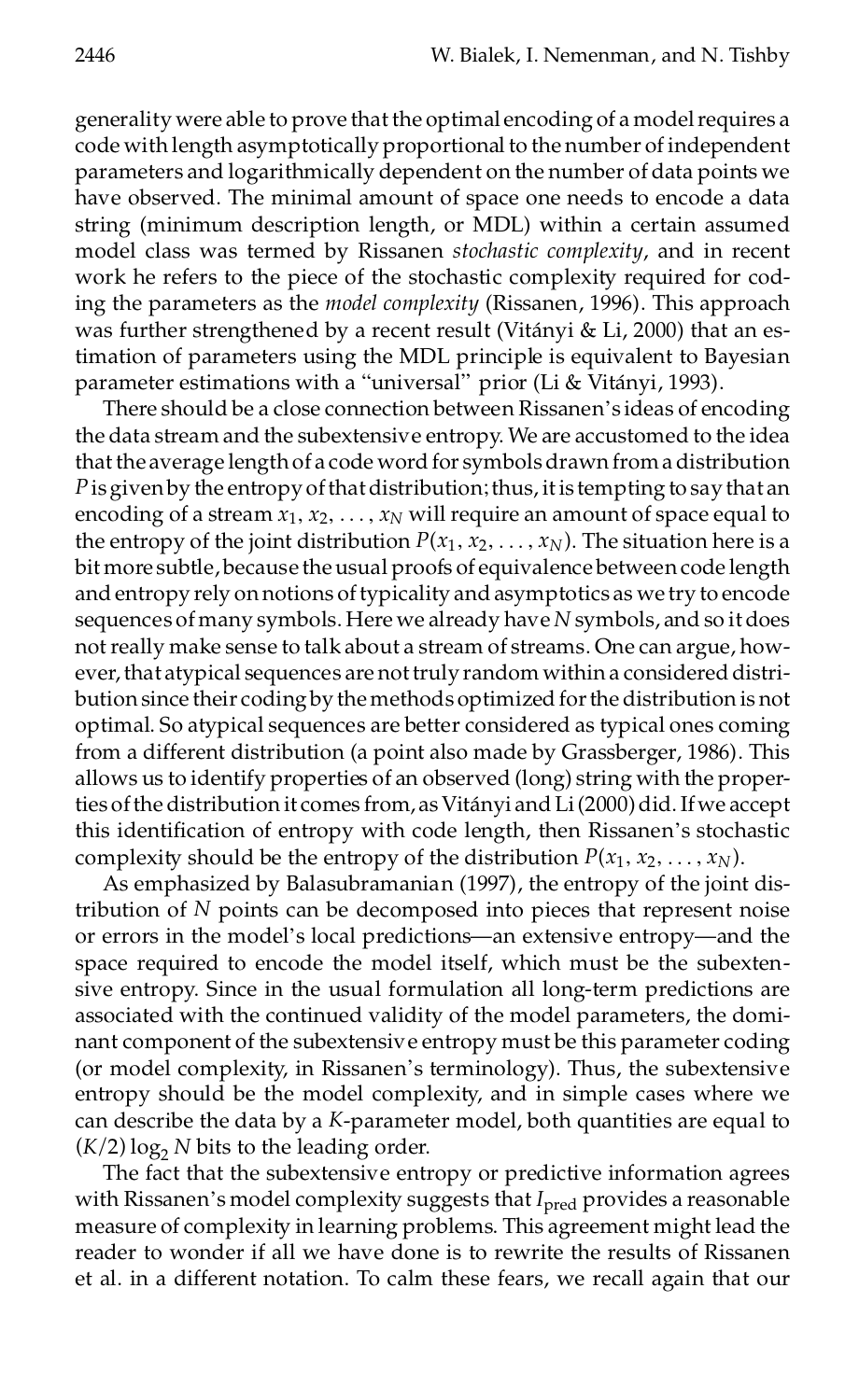generality were able to prove that the optimal encoding of a model requires a code with length asymptotically proportional to the number of independent parameters and logarithmically dependent on the number of data points we have observed. The minimal amount of space one needs to encode a data string (minimum description length, or MDL) within a certain assumed model class was termed by Rissanen *stochastic complexity*, and in recent work he refers to the piece of the stochastic complexity required for coding the parameters as the *model complexity* (Rissanen, 1996). This approach was further strengthened by a recent result (Vitányi & Li, 2000) that an estimation of parameters using the MDL principle is equivalent to Bayesian parameter estimations with a "universal" prior (Li & Vitányi, 1993).

There should be a close connection between Rissanen's ideas of encoding the data stream and the subextensive entropy. We are accustomed to the idea that the average length of a code word for symbols drawn from a distribution P is given by the entropy of that distribution; thus, it is tempting to say that an encoding of a stream  $x_1, x_2, \ldots, x_N$  will require an amount of space equal to the entropy of the joint distribution  $P(x_1, x_2, \ldots, x_N)$ . The situation here is a bit more subtle, because the usual proofs of equivalence between code length and entropy rely on notions of typicality and asymptotics as we try to encode sequences of many symbols. Here we already have *N* symbols, and so it does not really make sense to talk about a stream of streams. One can argue, however, that atypical sequences are not truly random within a considered distribution since their codingby themethods optimized forthe distribution is not optimal. So atypical sequences are better considered as typical ones coming from a different distribution (a point also made by Grassberger, 1986). This allows us to identify properties of an observed (long) string with the properties of the distribution it comes from, as Vitányi and Li(2000)did. If we accept this identification of entropy with code length, then Rissanen's stochastic complexity should be the entropy of the distribution  $P(x_1, x_2, \ldots, x_N)$ .

As emphasized by Balasubramanian (1997), the entropy of the joint distribution of *N* points can be decomposed into pieces that represent noise or errors in the model's local predictions—an extensive entropy—and the space required to encode the model itself, which must be the subexten sive entropy. Since in the usual formulation all long-term predictions are associated with the continued validity of the model parameters, the domi nant component of the subextensive entropy must be this parameter coding (or model complexity, in Rissanen's terminology). Thus, the subextensive entropy should be the model complexity, and in simple cases where we can describe the data by a *K*-parameter model, both quantities are equal to

 $(K/2) \log_2 N$  bits to the leading order.<br>The fact that the subextensive entropy or predictive information agrees with Rissanen's model complexity suggests that *I*<sub>pred</sub> provides a reasonable measure of complexity in learning problems. This agreement might lead the reader to wonder if all we have done is to rewrite the results of Rissanen et al. in a different notation. To calm these fears, we recall again that our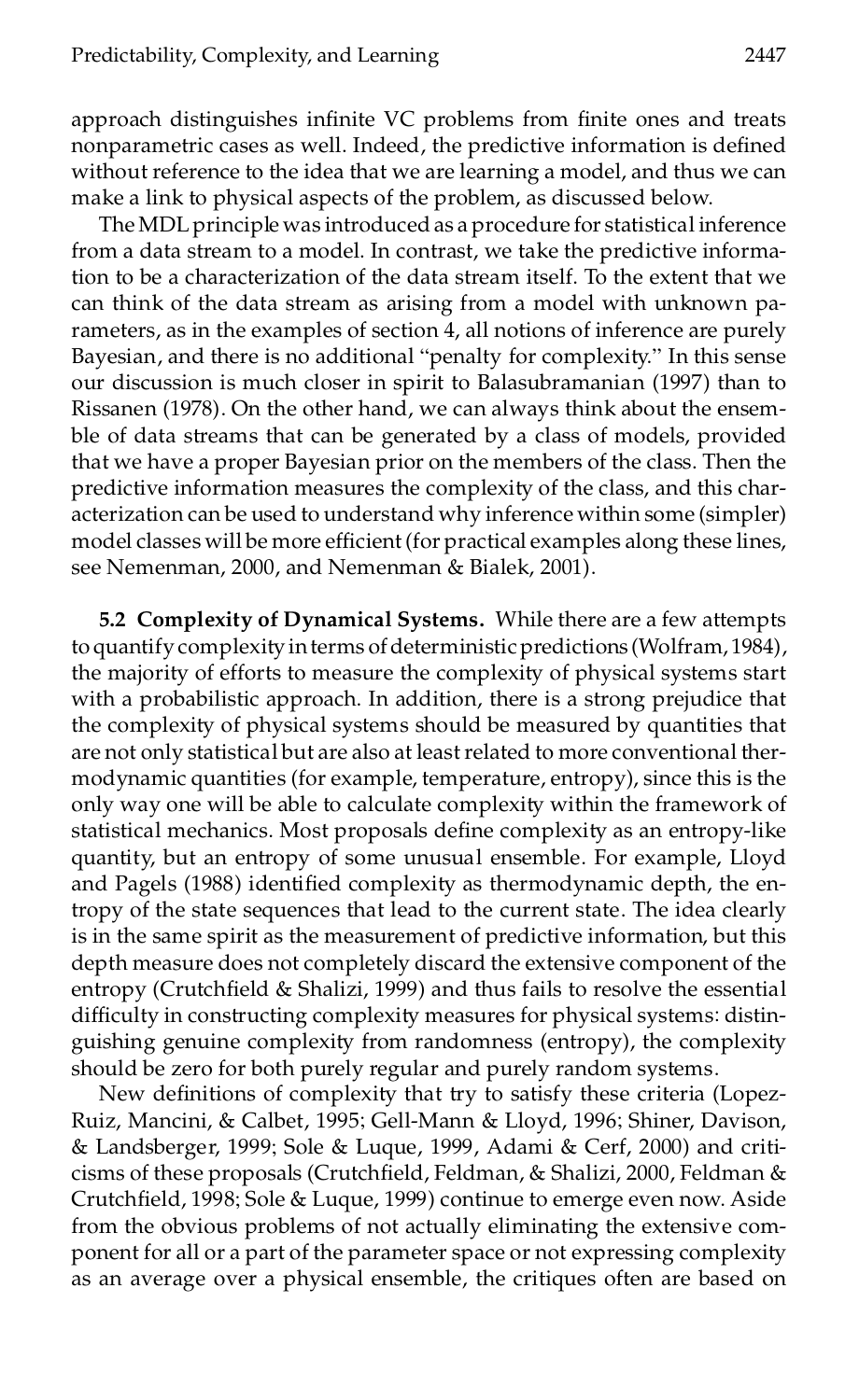approach distinguishes infinite VC problems from finite ones and treats nonparametric cases as well. Indeed, the predictive information is defined without reference to the idea that we are learning a model, and thus we can make a link to physical aspects of the problem, as discussed below.

The MDL principle was introduced as a procedure for statistical inference from a data stream to a model. In contrast, we take the predictive information to be a characterization of the data stream itself. To the extent that we can think of the data stream as arising from a model with unknown pa rameters, as in the examples of section 4, all notions of inference are purely Bayesian, and there is no additional "penalty for complexity." In this sense our discussion is much closer in spirit to Balasubramanian (1997) than to Rissanen (1978). On the other hand, we can always think about the ensem ble of data streams that can be generated by a class of models, provided that we have a proper Bayesian prior on the members of the class. Then the predictive information measures the complexity of the class, and this char acterization can be used to understand why inference within some (simpler) model classes will be more efficient (for practical examples along these lines, see Nemenman, 2000, and Nemenman & Bialek, 2001).

**5.2 Complexity of Dynamical Systems.** While there are a few attempts to quantify complexity in terms of deterministic predictions (Wolfram, 1984), the majority of efforts to measure the complexity of physical systems start with a probabilistic approach. In addition, there is a strong prejudice that the complexity of physical systems should be measured by quantities that are not only statistical but are also at leastrelated to more conventional ther modynamic quantities (for example, temperature, entropy), since this is the only way one will be able to calculate complexity within the framework of statistical mechanics. Most proposals define complexity as an entropy-like quantity, but an entropy of some unusual ensemble. For example, Lloyd and Pagels (1988) identified complexity as thermodynamic depth, the entropy of the state sequences that lead to the current state. The idea clearly is in the same spirit as the measurement of predictive information, but this depth measure does not completely discard the extensive component of the entropy (Crutchfield & Shalizi, 1999) and thus fails to resolve the essential difficulty in constructing complexity measures for physical systems: distinguishing genuine complexity from randomness (entropy), the complexity should be zero for both purely regular and purely random systems.

New definitions of complexity that try to satisfy these criteria (Lopez-Ruiz, Mancini, & Calbet, 1995; Gell-Mann & Lloyd, 1996; Shiner, Davison, & Landsberger, 1999; Sole & Luque, 1999, Adami & Cerf, 2000) and criti cisms of these proposals (Crutchfield, Feldman, & Shalizi, 2000, Feldman & Crutchfield, 1998; Sole & Luque, 1999) continue to emerge even now. Aside from the obvious problems of not actually eliminating the extensive com ponent for all or a part of the parameter space or not expressing complexity as an average over a physical ensemble, the critiques often are based on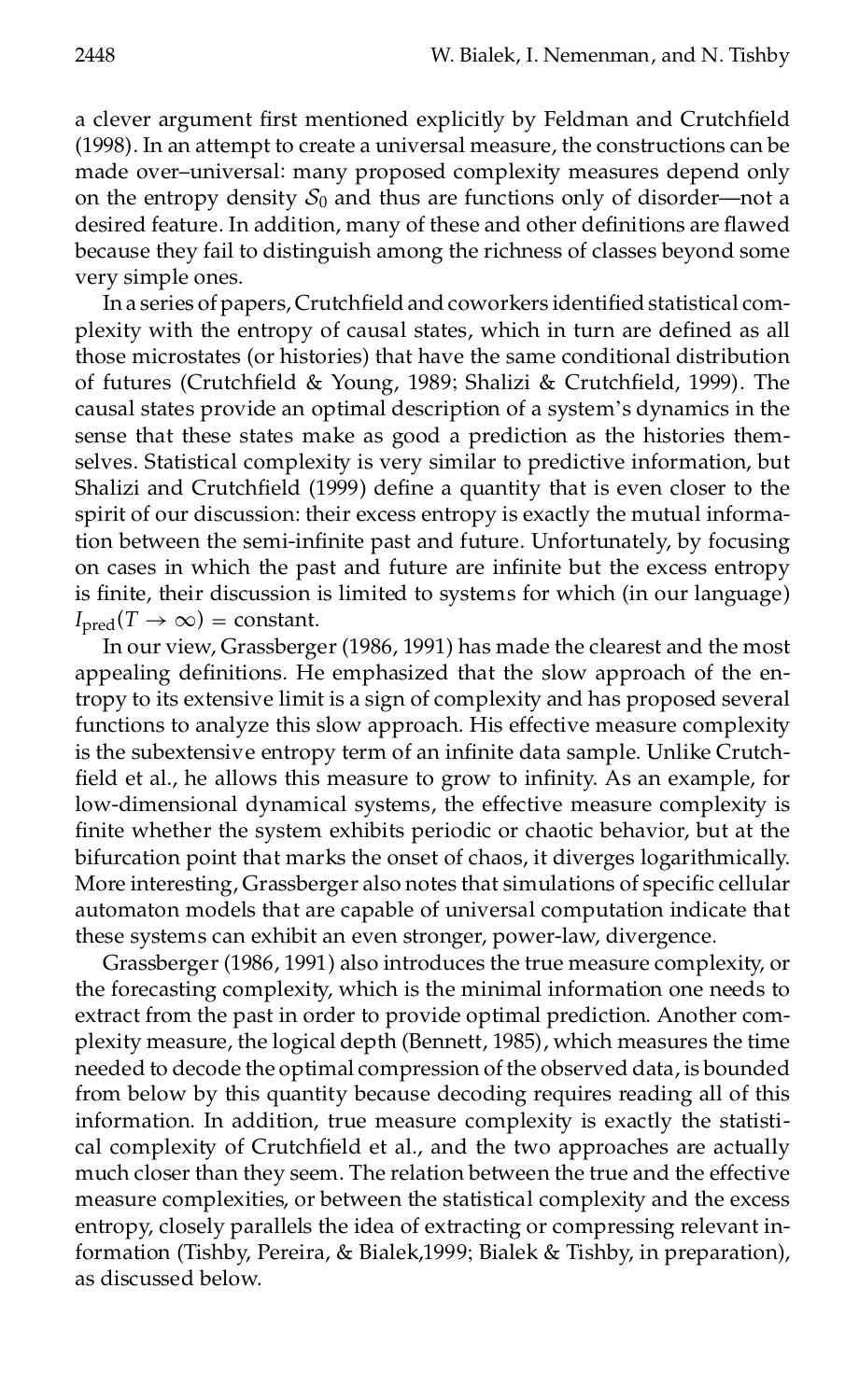a clever argument first mentioned explicitly by Feldman and Crutchfield (1998). In an attempt to create a universal measure, the constructions can be made over–universal: many proposed complexity measures depend only on the entropy density  $S_0$  and thus are functions only of disorder—not a desired feature. In addition, many of these and other definitions are flawed because they fail to distinguish among the richness of classes beyond some very simple ones.

In a series of papers, Crutchfield and coworkers identified statistical complexity with the entropy of causal states, which in turn are defined as all those microstates (or histories) that have the same conditional distribution of futures (Crutchfield & Young, 1989; Shalizi & Crutchfield, 1999). The causal states provide an optimal description of a system's dynamics in the sense that these states make as good a prediction as the histories them selves. Statistical complexity is very similar to predictive information, but Shalizi and Crutchfield (1999) define a quantity that is even closer to the spirit of our discussion: their excess entropy is exactly the mutual information between the semi-infinite past and future. Unfortunately, by focusing on cases in which the past and future are infinite but the excess entropy is finite, their discussion is limited to systems for which (in our language)  $I_{\text{pred}}(T \to \infty) = \text{constant}.$ 

In our view, Grassberger (1986, 1991) has made the clearest and the most appealing definitions. He emphasized that the slow approach of the entropy to its extensive limit is a sign of complexity and has proposed several functions to analyze this slow approach. His effective measure complexity is the subextensive entropy term of an infinite data sample. Unlike Crutchfield et al., he allows this measure to grow to infinity. As an example, for low-dimensional dynamical systems, the effective measure complexity is finite whether the system exhibits periodic or chaotic behavior, but at the bifurcation point that marks the onset of chaos, it diverges logarithmically. More interesting, Grassberger also notes that simulations of specific cellular automaton models that are capable of universal computation indicate that these systems can exhibit an even stronger, power-law, divergence.

Grassberger (1986, 1991) also introduces the true measure complexity, or the forecasting complexity, which is the minimal information one needs to extract from the past in order to provide optimal prediction. Another com plexity measure, the logical depth (Bennett, 1985), which measures the time needed to decode the optimal compression of the observed data, is bounded from below by this quantity because decoding requires reading all of this information. In addition, true measure complexity is exactly the statisti cal complexity of Crutchfield et al., and the two approaches are actually much closer than they seem. The relation between the true and the effective measure complexities, or between the statistical complexity and the excess entropy, closely parallels the idea of extracting or compressing relevant information (Tishby, Pereira, & Bialek,1999; Bialek & Tishby, in preparation), as discussed below.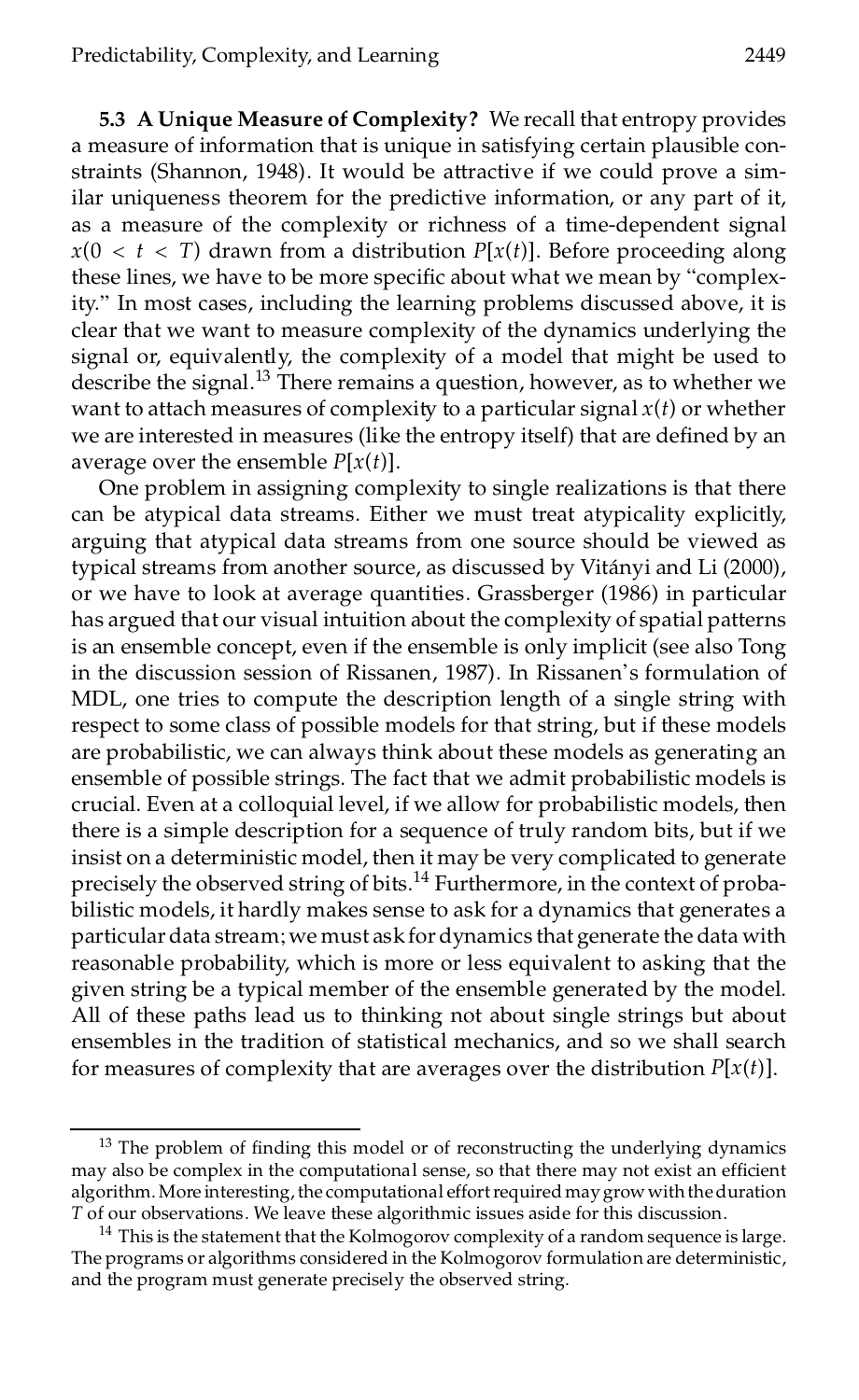**5.3 A Unique Measure of Complexity?** We recall that entropy provides a measure of information that is unique in satisfying certain plausible con straints (Shannon, 1948). It would be attractive if we could prove a similar uniqueness theorem for the predictive information, or any part of it, as a measure of the complexity or richness of a time-dependent signal  $x(0 < t < T)$  drawn from a distribution  $P[x(t)]$ . Before proceeding along these lines, we have to be more specific about what we mean by "complexity." In most cases, including the learning problems discussed above, it is clear that we want to measure complexity of the dynamics underlying the signal or, equivalently, the complexity of a model that might be used to describe the signal.<sup>13</sup> There remains a question, however, as to whether we want to attach measures of complexity to a particular signal  $x(t)$  or whether we are interested in measures (like the entropy itself) that are defined by an average over the ensemble  $P[x(t)]$ .

One problem in assigning complexity to single realizations is that there can be atypical data streams. Either we must treat atypicality explicitly, arguing that atypical data streams from one source should be viewed as typical streams from another source, as discussed by Vitányi and Li (2000), or we have to look at average quantities. Grassberger (1986) in particular has argued that our visual intuition about the complexity of spatial patterns is an ensemble concept, even if the ensemble is only implicit (see also Tong in the discussion session of Rissanen, 1987). In Rissanen's formulation of MDL, one tries to compute the description length of a single string with respect to some class of possible models for that string, but if these models are probabilistic, we can always think about these models as generating an ensemble of possible strings. The fact that we admit probabilistic models is crucial. Even at a colloquial level, if we allow for probabilistic models, then there is a simple description for a sequence of truly random bits, but if we insist on a deterministic model, then itmay be very complicated to generate precisely the observed string of bits.<sup>14</sup> Furthermore, in the context of proba bilistic models, it hardly makes sense to ask for a dynamics that generates a particular data stream; we must ask for dynamics that generate the data with reasonable probability, which is more or less equivalent to asking that the given string be a typical member of the ensemble generated by the model. All of these paths lead us to thinking not about single strings but about ensembles in the tradition of statistical mechanics, and so we shall search for measures of complexity that are averages over the distribution  $P[x(t)]$ .

 $13$  The problem of finding this model or of reconstructing the underlying dynamics may also be complex in the computational sense, so that there may not exist an efficient algorithm. More interesting, the computational effort required may grow with the duration *T* of our observations. We leave these algorithmic issues aside for this discussion.

 $14$  This is the statement that the Kolmogorov complexity of a random sequence is large. The programs or algorithms considered in the Kolmogorov formulation are deterministic, and the program must generate precisely the observed string.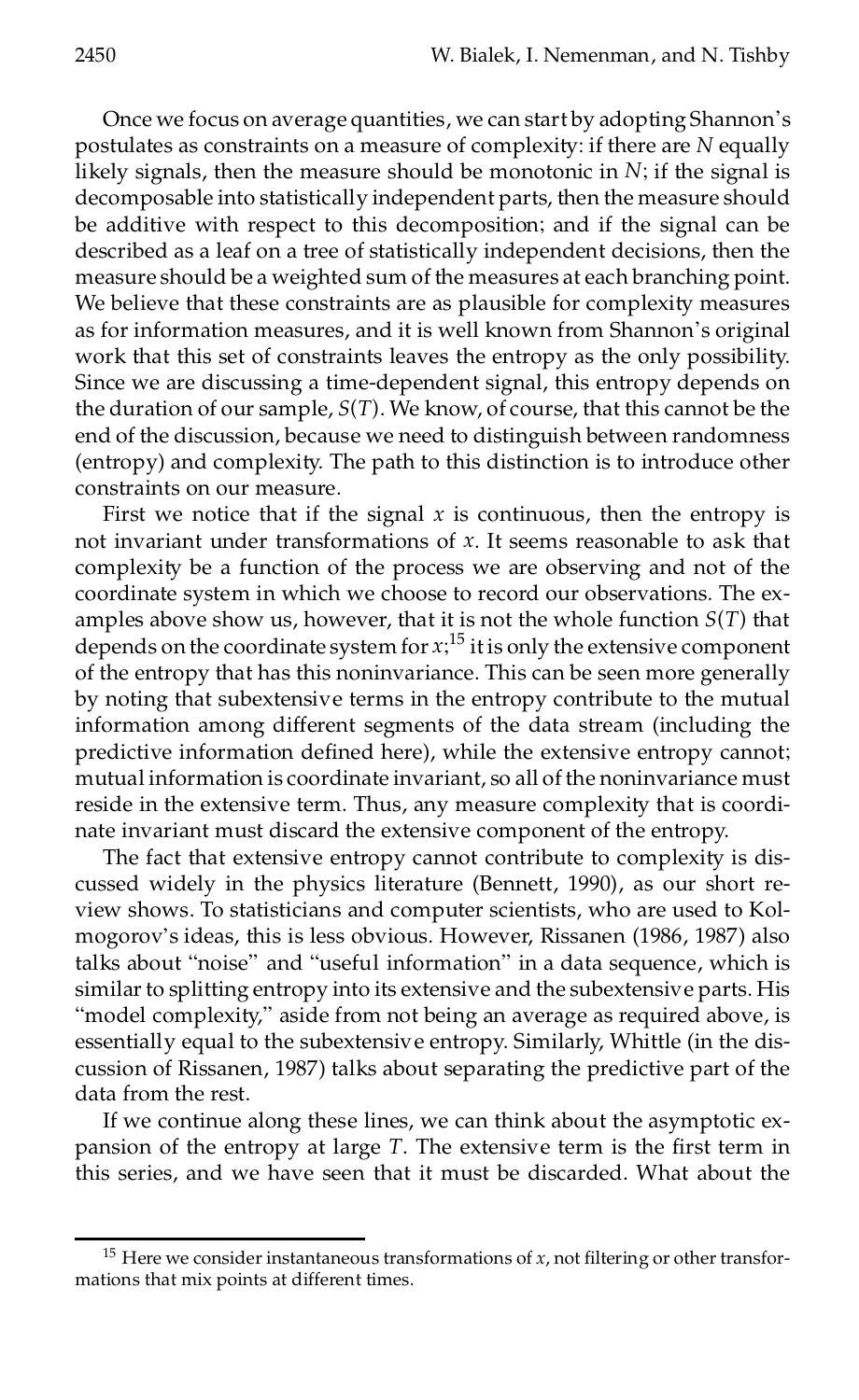Once we focus on average quantities, we can start by adopting Shannon's postulates as constraints on a measure of complexity: if there are *N* equally likely signals, then the measure should be monotonic in *N*; if the signal is decomposable into statistically independent parts, then the measure should be additive with respect to this decomposition; and if the signal can be described as a leaf on a tree of statistically independent decisions, then the measure should be a weighted sum of the measures at each branching point. We believe that these constraints are as plausible for complexity measures as for information measures, and it is well known from Shannon's original work that this set of constraints leaves the entropy as the only possibility. Since we are discussing a time-dependent signal, this entropy depends on the duration of our sample, *S*(*T*). We know, of course, that this cannot be the end of the discussion, because we need to distinguish between randomness (entropy) and complexity. The path to this distinction is to introduce other constraints on our measure.

First we notice that if the signal  $x$  is continuous, then the entropy is not invariant under transformations of *x*. It seems reasonable to ask that complexity be a function of the process we are observing and not of the coordinate system in which we choose to record our observations. The ex amples above show us, however, that it is not the whole function *S*(*T*) that depends on the coordinate system for  $x$ <sup>15</sup> it is only the extensive component of the entropy that has this noninvariance. This can be seen more generally by noting that subextensive terms in the entropy contribute to the mutual information among different segments of the data stream (including the predictive information defined here), while the extensive entropy cannot; mutual information is coordinate invariant, so all of the noninvariance must reside in the extensive term. Thus, any measure complexity that is coordi nate invariant must discard the extensive component of the entropy.

The fact that extensive entropy cannot contribute to complexity is dis cussed widely in the physics literature (Bennett, 1990), as our short re view shows. To statisticians and computer scientists, who are used to Kol mogorov's ideas, this is less obvious. However, Rissanen (1986, 1987) also talks about "noise" and "useful information" in a data sequence, which is similar to splitting entropy into its extensive and the subextensive parts. His "model complexity," aside from not being an average as required above, is essentially equal to the subextensive entropy. Similarly, Whittle (in the dis cussion of Rissanen, 1987) talks about separating the predictive part of the data from the rest.

If we continue along these lines, we can think about the asymptotic ex pansion of the entropy at large *T*. The extensive term is the first term in this series, and we have seen that it must be discarded. What about the

<sup>&</sup>lt;sup>15</sup> Here we consider instantaneous transformations of  $x$ , not filtering or other transformations that mix points at different times.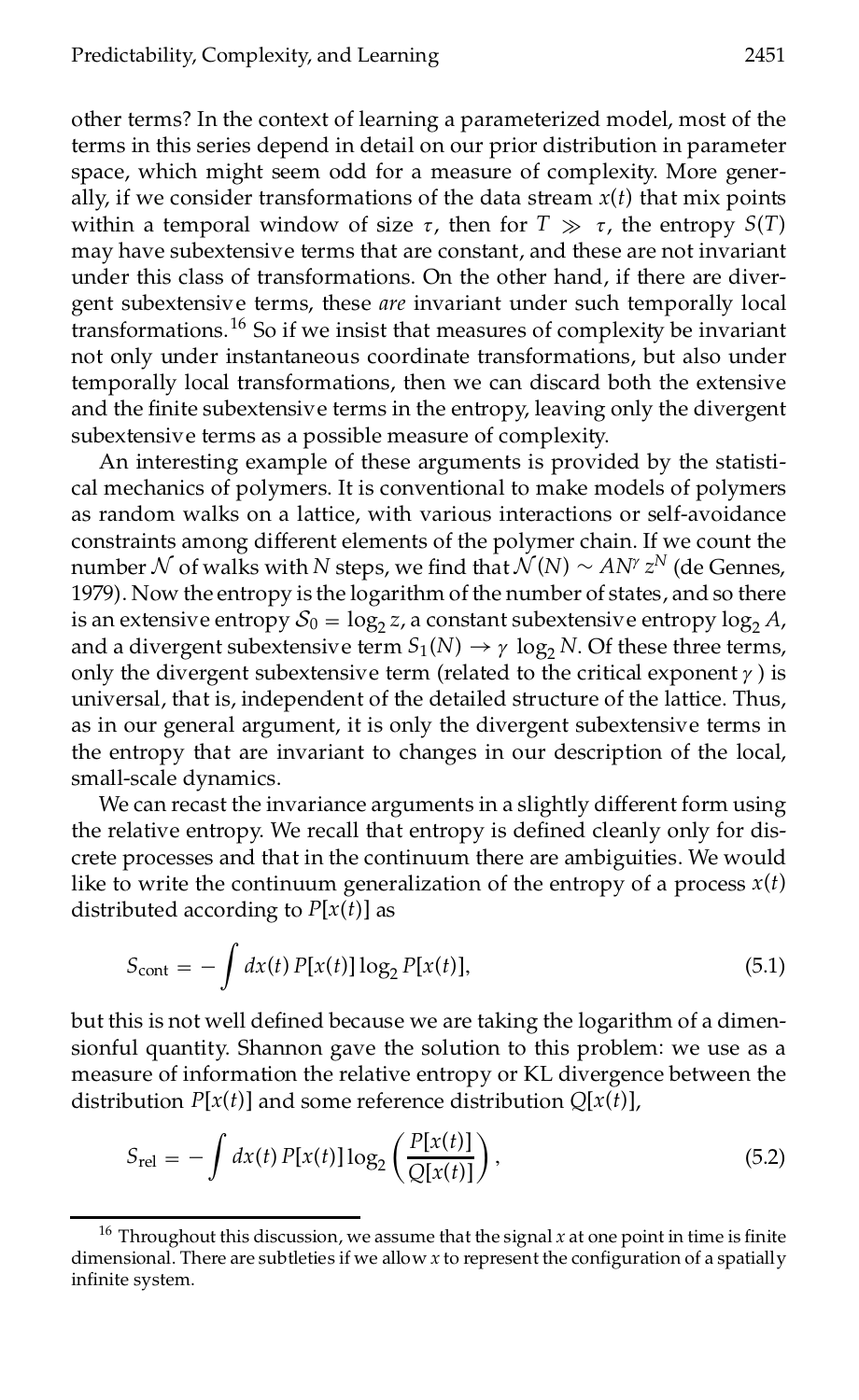other terms? In the context of learning a parameterized model, most of the terms in this series depend in detail on our prior distribution in parameter space, which might seem odd for a measure of complexity. More gener ally, if we consider transformations of the data stream *x*(*t*) that mix points within a temporal window of size  $\tau$ , then for  $T \gg \tau$ , the entropy  $S(T)$ may have subextensive terms that are constant, and these are not invariant under this class of transformations. On the other hand, if there are diver gent subextensive terms, these *are* invariant under such temporally local transformations.<sup>16</sup> So if we insist that measures of complexity be invariant not only under instantaneous coordinate transformations, but also under temporally local transformations, then we can discard both the extensive and the finite subextensive terms in the entropy, leaving only the divergent subextensive terms as a possible measure of complexity.

An interesting example of these arguments is provided by the statisti cal mechanics of polymers. It is conventional to make models of polymers as random walks on a lattice, with various interactions or self-avoidance constraints among different elements of the polymer chain. If we count the number N of walks with N steps, we find that  $\mathcal{N}(N) \sim AN^{\gamma} z^N$  (de Gennes, 1979). Now the entropy is the logarithm of the number of states, and so there is an extensive entropy  $S_0 = \log_2 z$ , a constant subextensive entropy  $\log_2 A$ , and a divergent subextensive term  $S_1(N) \rightarrow \gamma \log_2 N$ . Of these three terms. only the divergent subextensive term (related to the critical exponent  $\gamma$ ) is universal, that is, independent of the detailed structure of the lattice. Thus, as in our general argument, it is only the divergent subextensive terms in the entropy that are invariant to changes in our description of the local, small-scale dynamics.

We can recast the invariance arguments in a slightly different form using the relative entropy. We recall that entropy is defined cleanly only for discrete processes and that in the continuum there are ambiguities. We would like to write the continuum generalization of the entropy of a process  $x(t)$ distributed according to  $P[x(t)]$  as

$$
S_{\text{cont}} = -\int dx(t) P[x(t)] \log_2 P[x(t)], \qquad (5.1)
$$

but this is not well defined because we are taking the logarithm of a dimensionful quantity. Shannon gave the solution to this problem: we use as a measure of information the relative entropy or KL divergence between the distribution  $P[x(t)]$  and some reference distribution  $Q[x(t)]$ ,

$$
S_{\rm rel} = -\int dx(t) P[x(t)] \log_2\left(\frac{P[x(t)]}{Q[x(t)]}\right),\tag{5.2}
$$

<sup>&</sup>lt;sup>16</sup> Throughout this discussion, we assume that the signal  $x$  at one point in time is finite dimensional. There are subtleties if we allow  $x$  to represent the configuration of a spatially infinite system.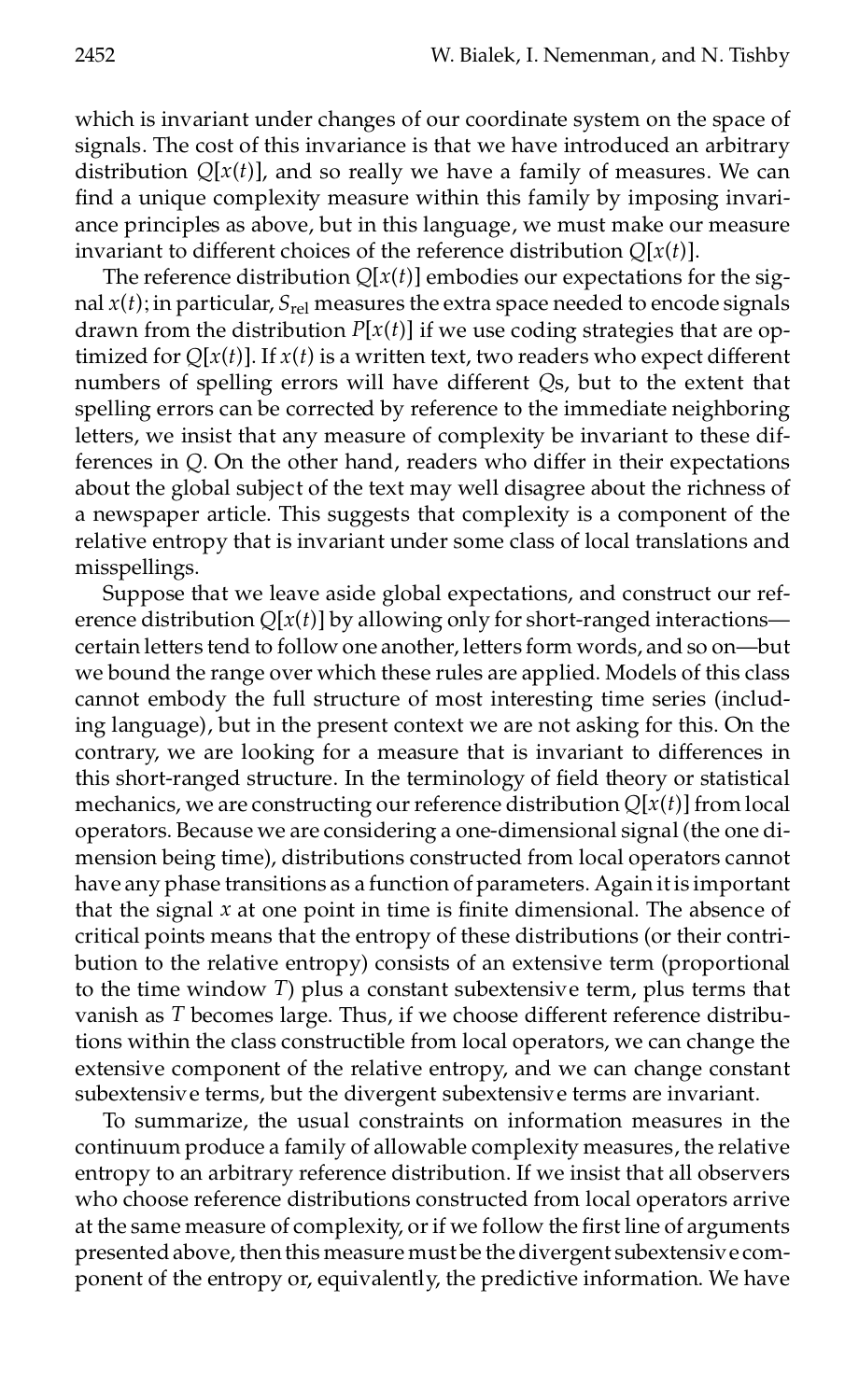which is invariant under changes of our coordinate system on the space of signals. The cost of this invariance is that we have introduced an arbitrary distribution  $Q[x(t)]$ , and so really we have a family of measures. We can find a unique complexity measure within this family by imposing invariance principles as above, but in this language, we must make our measure invariant to different choices of the reference distribution  $Q[x(t)]$ .

The reference distribution  $Q[x(t)]$  embodies our expectations for the signal  $x(t)$ ; in particular,  $S_{rel}$  measures the extra space needed to encode signals drawn from the distribution  $P[x(t)]$  if we use coding strategies that are optimized for  $Q[x(t)]$ . If  $x(t)$  is a written text, two readers who expect different numbers of spelling errors will have different *Q*s, but to the extent that spelling errors can be corrected by reference to the immediate neighboring letters, we insist that any measure of complexity be invariant to these differences in *Q*. On the other hand, readers who differ in their expectations about the global subject of the text may well disagree about the richness of a newspaper article. This suggests that complexity is a component of the relative entropy that is invariant under some class of local translations and misspellings.

Suppose that we leave aside global expectations, and construct our ref erence distribution  $Q[x(t)]$  by allowing only for short-ranged interactions certain letters tend to follow one another, letters form words, and so on—but we bound the range over which these rules are applied. Models of this class cannot embody the full structure of most interesting time series (including language), but in the present context we are not asking for this. On the contrary, we are looking for a measure that is invariant to differences in this short-ranged structure. In the terminology of field theory or statistical mechanics, we are constructing our reference distribution  $Q[x(t)]$  from local operators. Because we are considering a one-dimensional signal (the one di mension being time), distributions constructed from local operators cannot have any phase transitions as a function of parameters. Again itis important that the signal  $x$  at one point in time is finite dimensional. The absence of critical points means that the entropy of these distributions (or their contri bution to the relative entropy) consists of an extensive term (proportional to the time window *T*) plus a constant subextensive term, plus terms that vanish as *T* becomes large. Thus, if we choose different reference distributions within the class constructible from local operators, we can change the extensive component of the relative entropy, and we can change constant subextensive terms, but the divergent subextensive terms are invariant.

To summarize, the usual constraints on information measures in the continuum produce a family of allowable complexity measures, the relative entropy to an arbitrary reference distribution. If we insist that all observers who choose reference distributions constructed from local operators arrive at the same measure of complexity, or if we follow the first line of arguments presented above, then this measure must be the divergent subextensive component of the entropy or, equivalently, the predictive information. We have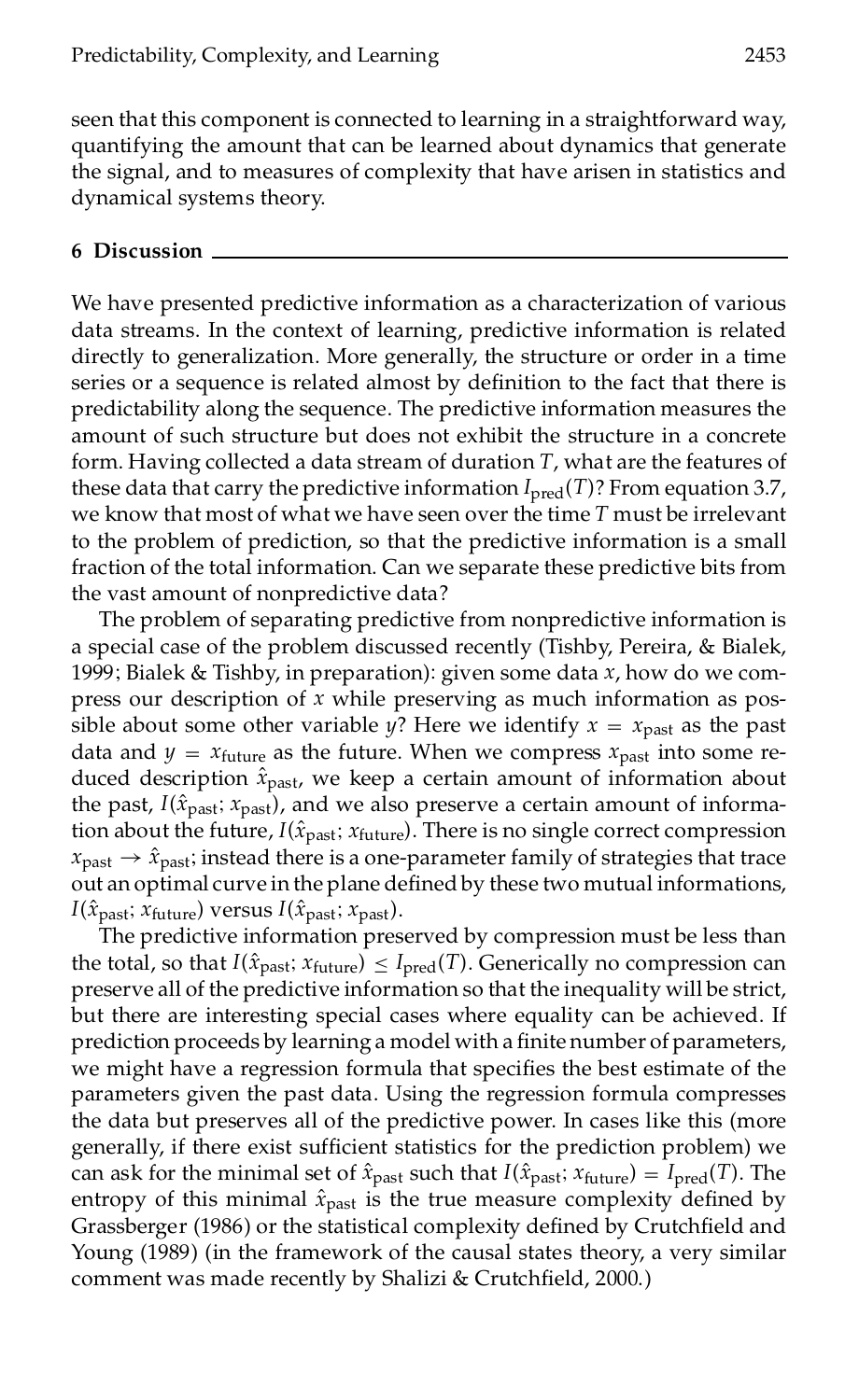seen that this component is connected to learning in a straightforward way, quantifying the amount that can be learned about dynamics that generate the signal, and to measures of complexity that have arisen in statistics and dynamical systems theory.

#### **6 Discussion**

We have presented predictive information as a characterization of various data streams. In the context of learning, predictive information is related directly to generalization. More generally, the structure or order in a time series or a sequence is related almost by definition to the fact that there is predictability along the sequence. The predictive information measures the amount of such structure but does not exhibit the structure in a concrete form. Having collected a data stream of duration *T*, what are the features of these data that carry the predictive information  $I_{\text{pred}}(T)$ ? From equation 3.7, we know that most of what we have seen over the time *T* must be irrelevant to the problem of prediction, so that the predictive information is a small fraction of the total information. Can we separate these predictive bits from the vast amount of nonpredictive data?

The problem of separating predictive from nonpredictive information is a special case of the problem discussed recently (Tishby, Pereira, & Bialek, 1999; Bialek & Tishby, in preparation): given some data *x*, how do we com press our description of *x* while preserving as much information as pos sible about some other variable *y*? Here we identify *x* = *x*<sub>past</sub> as the past data and *y* = *x*<sub>future</sub> as the future. When we compress *x*<sub>past</sub> into some reduced description  $\hat{x}_{\text{past}}$ , we keep a certain amount of information about the past,  $I(\hat{x}_{\text{past}}; x_{\text{past}})$ , and we also preserve a certain amount of information about the future,  $I(\hat{x}_{\text{past}}; x_{\text{future}})$ . There is no single correct compression  $x_{\text{past}} \rightarrow \hat{x}_{\text{past}}$ ; instead there is a one-parameter family of strategies that trace out an optimal curve in the plane defined by these two mutual informations,

*I*( $\hat{x}_{\text{past}}$ ;  $x_{\text{future}}$ ) versus *I*( $\hat{x}_{\text{past}}$ ;  $x_{\text{past}}$ ;  $x_{\text{past}}$ ).<br>The predictive information preserved by compression must be less than the total, so that *I*( $\hat{x}_{\text{past}}$ ;  $x_{\text{future}}$ )  $\leq I_{\text{pred}}(T)$ . Generically no compression can preserve all of the predictive information so that the inequality will be strict, but there are interesting special cases where equality can be achieved. If prediction proceeds by learning a model with a finite number of parameters, we might have a regression formula that specifies the best estimate of the parameters given the past data. Using the regression formula compresses the data but preserves all of the predictive power. In cases like this (more generally, if there exist sufficient statistics for the prediction problem) we can ask for the minimal set of  $\hat{x}_{\text{past}}$  such that  $I(\hat{x}_{\text{past}}; x_{\text{future}}) = I_{\text{pred}}(T)$ . The entropy of this minimal  $\hat{x}_{\text{past}}$  is the true measure complexity defined by Grassberger (1986) or the statistical complexity defined by Crutchfield and Young (1989) (in the framework of the causal states theory, a very similar comment was made recently by Shalizi & Crutchfield, 2000.)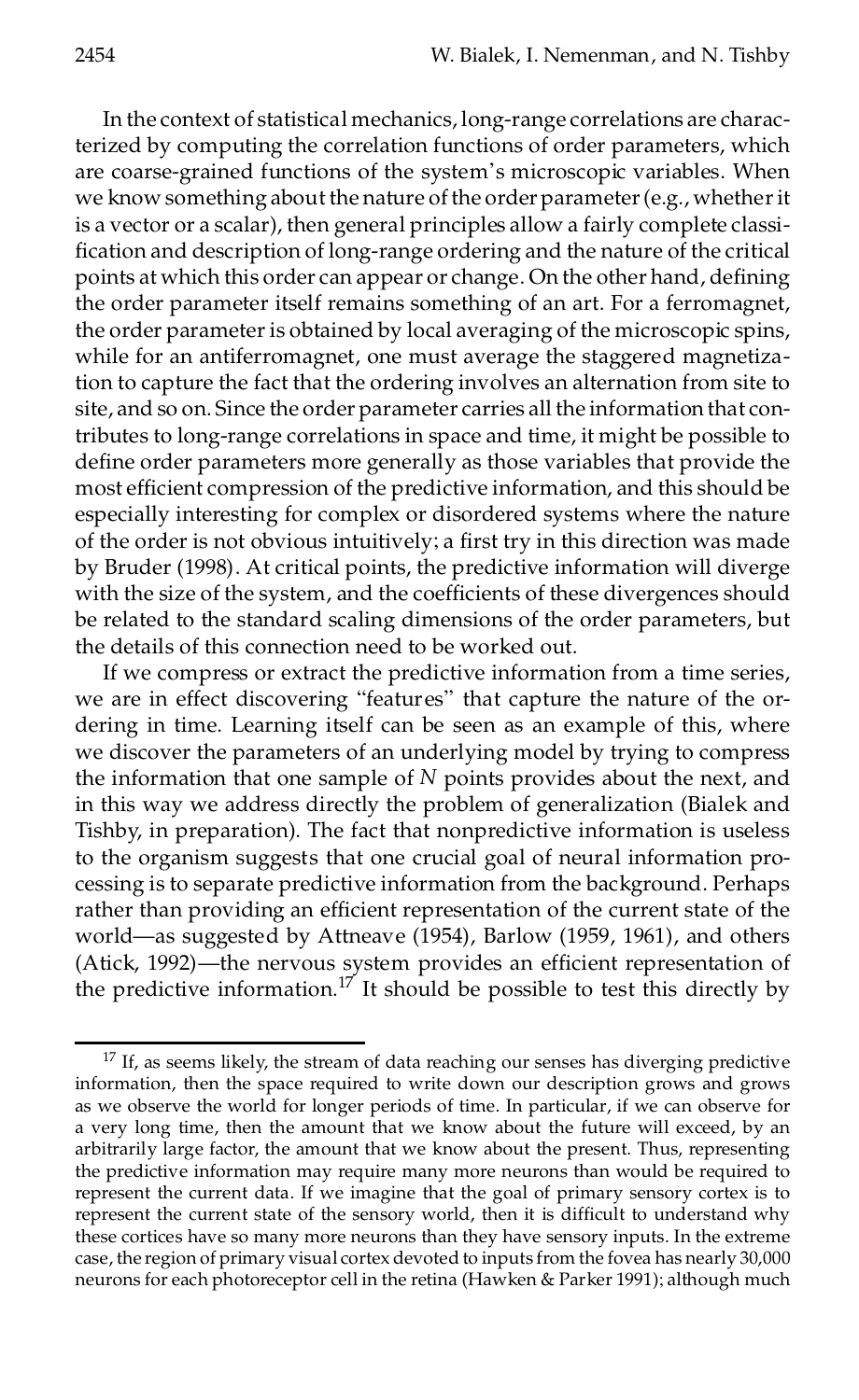In the context of statistical mechanics, long-range correlations are characterized by computing the correlation functions of order parameters, which are coarse-grained functions of the system's microscopic variables. When we know something about the nature of the order parameter (e.g., whether it is a vector or a scalar), then general principles allow a fairly complete classi fication and description of long-range ordering and the nature of the critical points at which this order can appear or change. On the other hand, defining the order parameter itself remains something of an art. For a ferromagnet, the order parameter is obtained by local averaging of the microscopic spins, while for an antiferromagnet, one must average the staggered magnetization to capture the fact that the ordering involves an alternation from site to site, and so on. Since the order parameter carries all the information that contributes to long-range correlations in space and time, it might be possible to define order parameters more generally as those variables that provide the most efficient compression of the predictive information, and this should be especially interesting for complex or disordered systems where the nature of the order is not obvious intuitively; a first try in this direction was made by Bruder (1998). At critical points, the predictive information will diverge with the size of the system, and the coefficients of these divergences should be related to the standard scaling dimensions of the order parameters, but the details of this connection need to be worked out.

If we compress or extract the predictive information from a time series, we are in effect discovering "features" that capture the nature of the or dering in time. Learning itself can be seen as an example of this, where we discover the parameters of an underlying model by trying to compress the information that one sample of *N* points provides about the next, and in this way we address directly the problem of generalization (Bialek and Tishby, in preparation). The fact that nonpredictive information is useless to the organism suggests that one crucial goal of neural information pro cessing is to separate predictive information from the background. Perhaps rather than providing an efficient representation of the current state of the world—as suggested by Attneave (1954), Barlow (1959, 1961), and others (Atick, 1992)—the nervous system provides an efficient representation of the predictive information.<sup>17</sup> It should be possible to test this directly by

 $17$  If, as seems likely, the stream of data reaching our senses has diverging predictive information, then the space required to write down our description grows and grows as we observe the world for longer periods of time. In particular, if we can observe for a very long time, then the amount that we know about the future will exceed, by an arbitrarily large factor, the amount that we know about the present. Thus, representing the predictive information may require many more neurons than would be required to represent the current data. If we imagine that the goal of primary sensory cortex is to represent the current state of the sensory world, then it is difficult to understand why these cortices have so many more neurons than they have sensory inputs. In the extreme case, the region of primary visual cortex devoted to inputs from the fovea has nearly 30,000 neurons for each photoreceptor cell in the retina (Hawken & Parker 1991); although much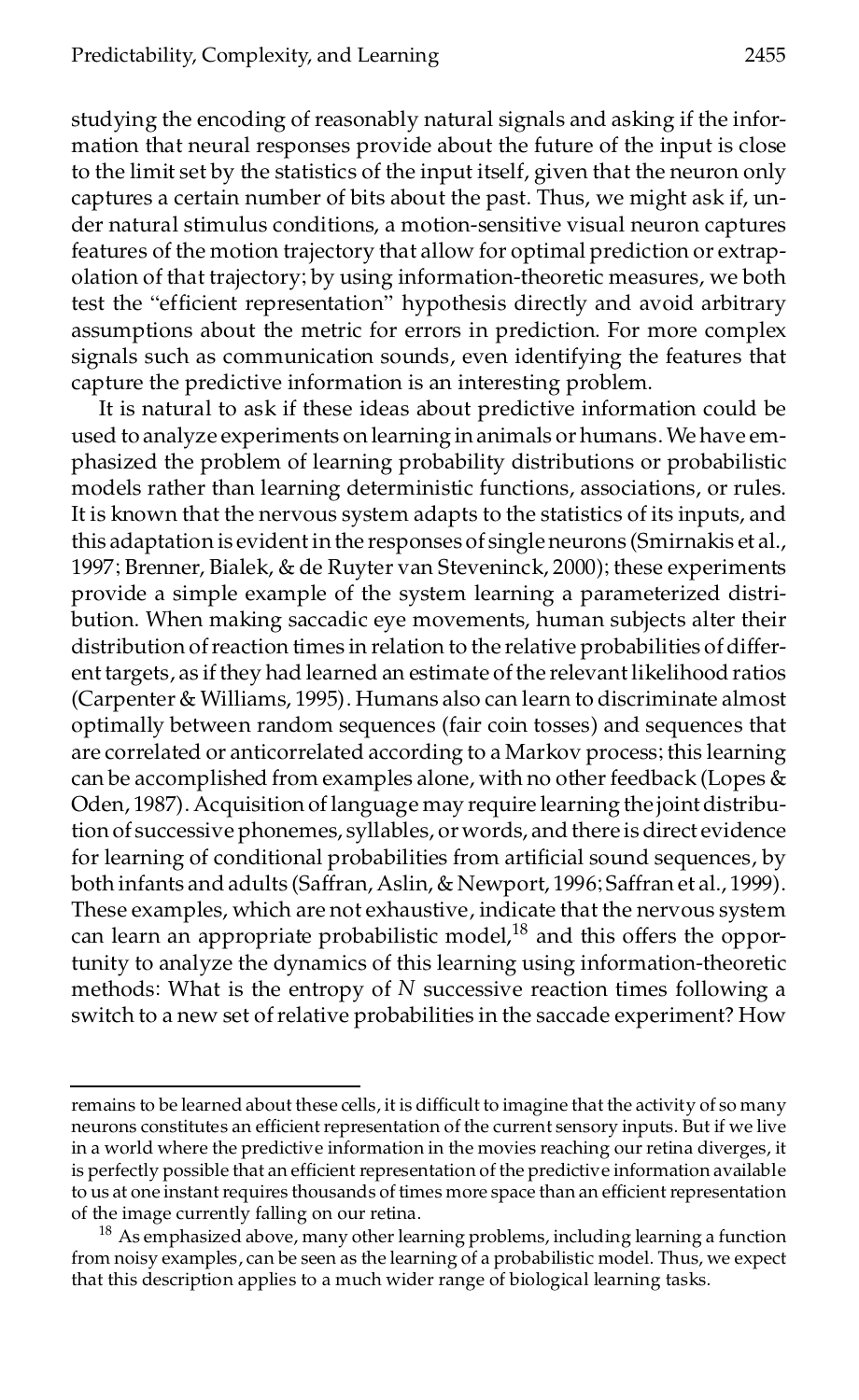studying the encoding of reasonably natural signals and asking if the infor mation that neural responses provide about the future of the input is close to the limit set by the statistics of the input itself, given that the neuron only captures a certain number of bits about the past. Thus, we might ask if, un der natural stimulus conditions, a motion-sensitive visual neuron captures features of the motion trajectory that allow for optimal prediction or extrap olation of that trajectory; by using information-theoretic measures, we both test the "efficient representation" hypothesis directly and avoid arbitrary assumptions about the metric for errors in prediction. For more complex signals such as communication sounds, even identifying the features that capture the predictive information is an interesting problem.

It is natural to ask if these ideas about predictive information could be used to analyze experiments on learning in animals or humans. We have emphasized the problem of learning probability distributions or probabilistic models rather than learning deterministic functions, associations, or rules. It is known that the nervous system adapts to the statistics of its inputs, and this adaptation is evident in the responses of single neurons (Smirnakis et al., 1997; Brenner, Bialek, & de Ruyter van Steveninck, 2000); these experiments provide a simple example of the system learning a parameterized distri bution. When making saccadic eye movements, human subjects alter their distribution of reaction times in relation to the relative probabilities of different targets, as if they had learned an estimate of the relevant likelihood ratios (Carpenter & Williams, 1995). Humans also can learn to discriminate almost optimally between random sequences (fair coin tosses) and sequences that are correlated or anticorrelated according to a Markov process; this learning can be accomplished from examples alone, with no other feedback (Lopes  $\&$ Oden, 1987). Acquisition of language may require learning the joint distribution of successive phonemes, syllables, orwords, and there is direct evidence for learning of conditional probabilities from artificial sound sequences, by both infants and adults (Saffran, Aslin, & Newport, 1996; Saffran et al., 1999). These examples, which are not exhaustive, indicate that the nervous system can learn an appropriate probabilistic model,<sup>18</sup> and this offers the opportunity to analyze the dynamics of this learning using information-theoretic methods: What is the entropy of *N* successive reaction times following a switch to a new set of relative probabilities in the saccade experiment? How

remains to be learned about these cells, it is difficult to imagine that the activity of so many neurons constitutes an efficient representation of the current sensory inputs. But if we live in a world where the predictive information in the movies reaching our retina diverges, it is perfectly possible that an efficient representation of the predictive information available to us at one instant requires thousands of times more space than an efficient representation of the image currently falling on our retina.

 $18$  As emphasized above, many other learning problems, including learning a function from noisy examples, can be seen as the learning of a probabilistic model. Thus, we expect that this description applies to a much wider range of biological learning tasks.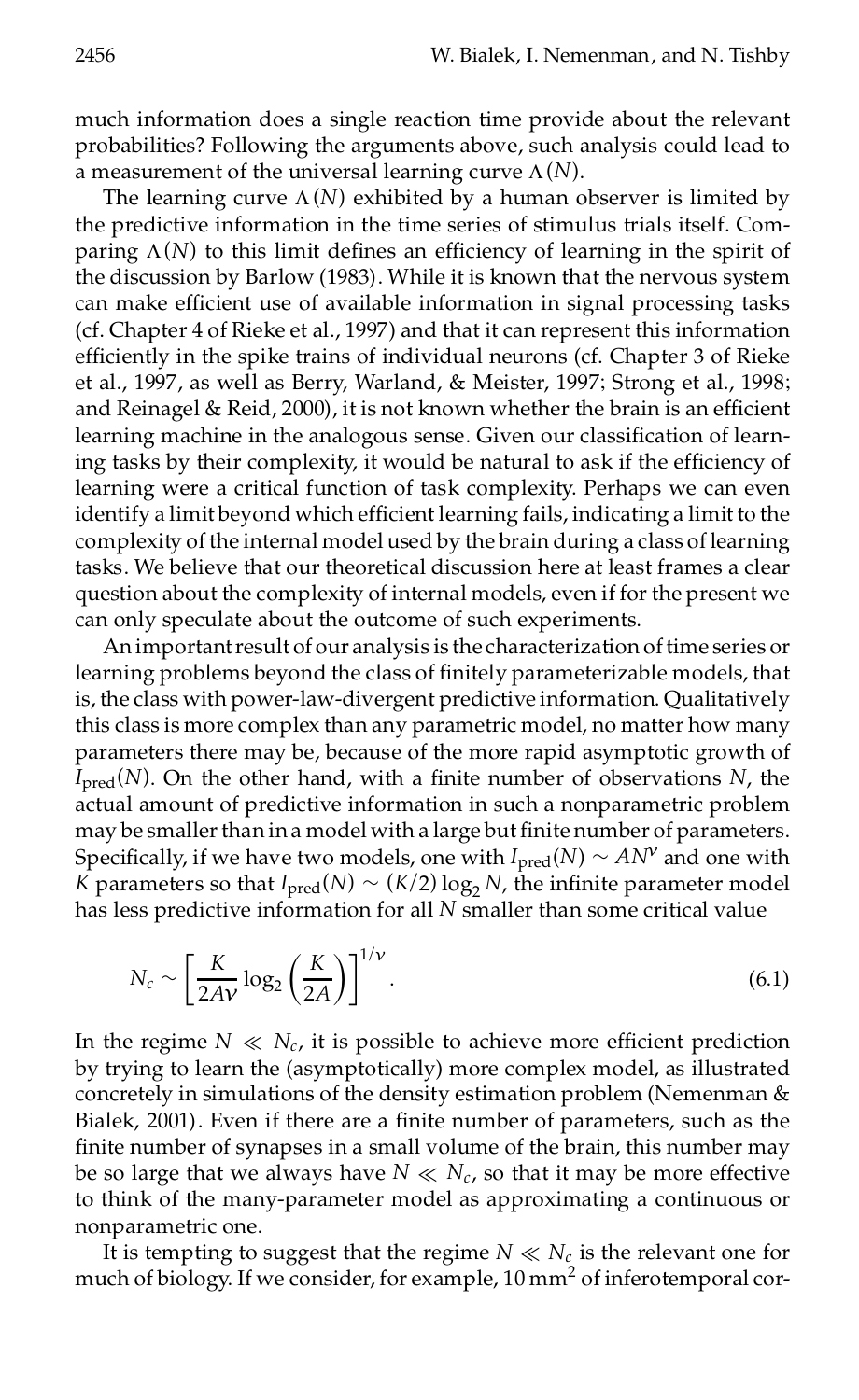much information does a single reaction time provide about the relevant probabilities? Following the arguments above, such analysis could lead to a measurement of the universal learning curve  $\Lambda(N)$ .

The learning curve  $\Lambda(N)$  exhibited by a human observer is limited by the predictive information in the time series of stimulus trials itself. Com paring  $\Lambda(N)$  to this limit defines an efficiency of learning in the spirit of the discussion by Barlow (1983). While it is known that the nervous system can make efficient use of available information in signal processing tasks (cf. Chapter 4 of Rieke et al., 1997) and that it can represent this information efficiently in the spike trains of individual neurons (cf. Chapter 3 of Rieke et al., 1997, as well as Berry, Warland, & Meister, 1997; Strong et al., 1998; and Reinagel & Reid,  $2000$ , it is not known whether the brain is an efficient learning machine in the analogous sense. Given our classification of learning tasks by their complexity, it would be natural to ask if the efficiency of learning were a critical function of task complexity. Perhaps we can even identify a limit beyond which efficient learning fails, indicating a limit to the complexity of the internal model used by the brain during a class of learning tasks. We believe that our theoretical discussion here at least frames a clear question about the complexity of internal models, even if for the present we can only speculate about the outcome of such experiments.

An important result of our analysis is the characterization of time series or learning problems beyond the class of finitely parameterizable models, that is, the class with power-law-divergent predictive information. Qualitatively this class is more complex than any parametric model, no matter how many parameters there may be, because of the more rapid asymptotic growth of  $\tilde{I}_{pred}(N)$ . On the other hand, with a finite number of observations *N*, the actual amount of predictive information in such a nonparametric problem may be smaller than in a model with a large but finite number of parameters. Specifically, if we have two models, one with  $I_{pred}(N) \sim AN^{\nu}$  and one with *K* parameters so that  $I_{pred}(N) \sim (K/2) \log_2 N$ , the infinite parameter model has less predictive information for all *N* smaller than some critical value

$$
N_c \sim \left[\frac{K}{2Av} \log_2\left(\frac{K}{2A}\right)\right]^{1/\nu}.
$$
\n(6.1)

In the regime  $N \ll N_c$ , it is possible to achieve more efficient prediction by trying to learn the (asymptotically) more complex model, as illustrated concretely in simulations of the density estimation problem (Nemenman & Bialek, 2001). Even if there are a finite number of parameters, such as the finite number of synapses in a small volume of the brain, this number may be so large that we always have  $N \ll N_c$ , so that it may be more effective to think of the many-parameter model as approximating a continuous or nonparametric one.

It is tempting to suggest that the regime  $N \ll N_c$  is the relevant one for much of biology. If we consider, for example,  $10 \text{ mm}^2$  of inferotemporal cor-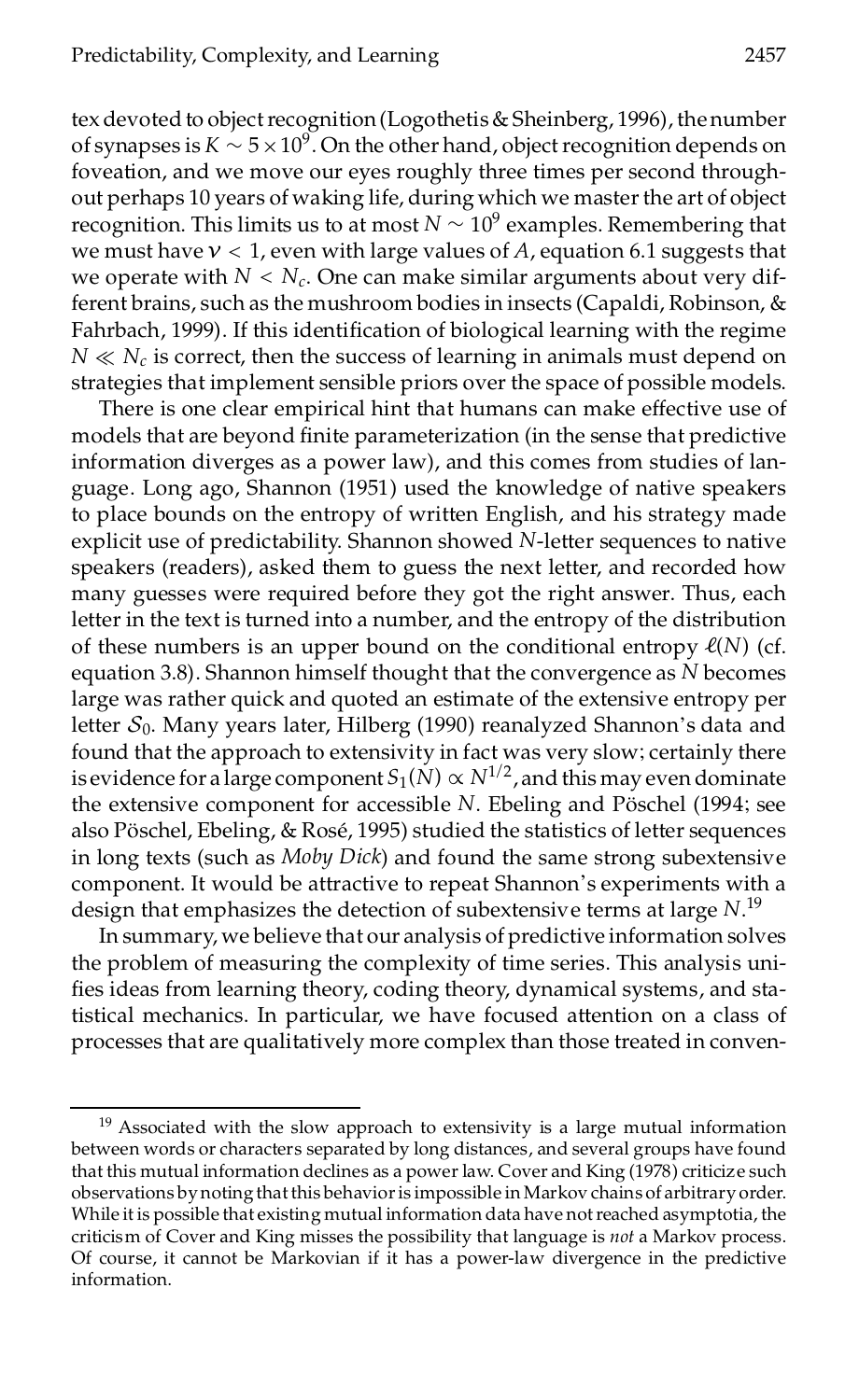tex devoted to object recognition (Logothetis & Sheinberg, 1996), the number of synapses is  $K \sim 5 \times 10^9$ . On the other hand, object recognition depends on foveation, and we move our eyes roughly three times per second through out perhaps 10 years of waking life, during which we masterthe art of object recognition. This limits us to at most  $N \sim 10^9$  examples. Remembering that we must have*º* < 1, even with large values of *A*, equation 6.1 suggests that we operate with  $N < N_c$ . One can make similar arguments about very different brains, such as the mushroom bodies in insects (Capaldi, Robinson, & Fahrbach, 1999). If this identification of biological learning with the regime  $N \ll N_c$  is correct, then the success of learning in animals must depend on strategies that implement sensible priors over the space of possible models.

There is one clear empirical hint that humans can make effective use of models that are beyond finite parameterization (in the sense that predictive information diverges as a power law), and this comes from studies of lan guage. Long ago, Shannon (1951) used the knowledge of native speakers to place bounds on the entropy of written English, and his strategy made explicit use of predictability. Shannon showed *N*-letter sequences to native speakers (readers), asked them to guess the next letter, and recorded how many guesses were required before they got the right answer. Thus, each letter in the text is turned into a number, and the entropy of the distribution of these numbers is an upper bound on the conditional entropy  $\ell(N)$  (cf. equation 3.8). Shannon himself thought that the convergence as *N* becomes large was rather quick and quoted an estimate of the extensive entropy per letter  $S_0$ . Many years later, Hilberg (1990) reanalyzed Shannon's data and found that the approach to extensivity in fact was very slow; certainly there is evidence for a large component  $S_1(N) \propto N^{1/2}$ , and this may even dominate the extensive component for accessible  $N$ . Ebeling and Poschel (1994; see also Pöschel, Ebeling, & Rosé, 1995) studied the statistics of letter sequences in long texts (such as *Moby Dick*) and found the same strong subextensive component. It would be attractive to repeat Shannon's experiments with a design that emphasizes the detection of subextensive terms at large *N*.<sup>19</sup>

In summary, we believe that our analysis of predictive information solves the problem of measuring the complexity of time series. This analysis uni fies ideas from learning theory, coding theory, dynamical systems, and statistical mechanics. In particular, we have focused attention on a class of processes that are qualitatively more complex than those treated in conven-

 $19$  Associated with the slow approach to extensivity is a large mutual information between words or characters separated by long distances, and several groups have found that this mutual information declines as a power law. Cover and King (1978) criticize such observations bynoting thatthis behavioris impossible inMarkov chains of arbitrary order. While it is possible that existing mutual information data have notreached asymptotia, the criticism of Cover and King misses the possibility that language is *not* a Markov process. Of course, it cannot be Markovian if it has a power-law divergence in the predictive information.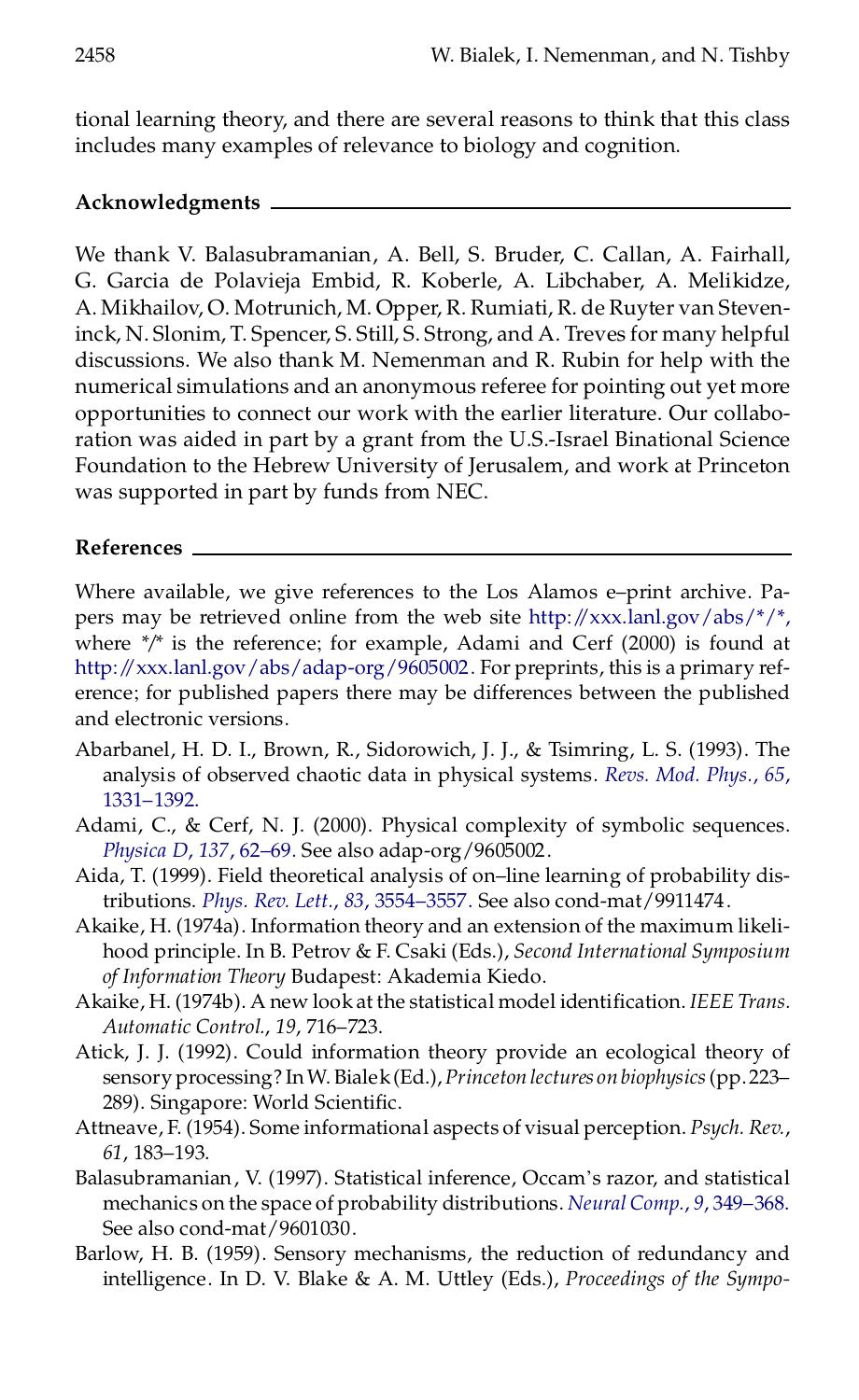tional learning theory, and there are several reasons to think that this class includes many examples of relevance to biology and cognition.

## **Acknowledgments**

We thank V. Balasubramanian, A. Bell, S. Bruder, C. Callan, A. Fairhall, G. Garcia de Polavieja Embid, R. Koberle, A. Libchaber, A. Melikidze, A. Mikhailov, O. Motrunich, M. Opper, R. Rumiati, R. de Ruyter van Steveninck, N. Slonim, T. Spencer, S. Still, S. Strong, and A. Treves for many helpful discussions. We also thank M. Nemenman and R. Rubin for help with the numerical simulations and an anonymous referee for pointing out yet more opportunities to connect our work with the earlier literature. Our collabo ration was aided in part by a grant from the U.S.-Israel Binational Science Foundation to the Hebrew University of Jerusalem, and work at Princeton was supported in part by funds from NEC.

### **References**

Where available, we give references to the Los Alamos e–print archive. Pa pers may be retrieved online from the web site http://xxx.lanl.gov/abs/ $*/$ , where *\*/\** is the reference; for example, Adami and Cerf (2000) is found at http:[//xxx.lanl.gov/abs/adap-org/9605002](http://xxx.lanl.gov/abs/adap-org/9605002). For preprints, this is a primary ref erence; for published papers there may be differences between the published and electronic versions.

- Abarbanel, H. D. I., Brown, R., Sidorowich, J. J., & Tsimring, L. S. (1993). The analysis of observed chaotic data in physical systems. *Revs. Mod. [Phys.](http://fidelio.ingentaselect.com/nw=1/rpsv/cgi-bin/linker?ext=a&reqidx=/0034-6861^28^2965L.1331[aid=575767])*, *65*, [1331–1392.](http://fidelio.ingentaselect.com/nw=1/rpsv/cgi-bin/linker?ext=a&reqidx=/0034-6861^28^2965L.1331[aid=575767])
- Adami, C., & Cerf, N. J. (2000). Physical complexity of symbolic sequences. *[Physica](http://fidelio.ingentaselect.com/nw=1/rpsv/cgi-bin/linker?ext=a&reqidx=/0167-2789^28^29137L.62[aid=1949475]) D*, *137*, 62–69. See also adap-org/9605002.
- Aida, T. (1999). Field theoretical analysis of on–line learning of probability distributions. *Phys. Rev. Lett.*, *83*, [3554–3557.](http://fidelio.ingentaselect.com/nw=1/rpsv/cgi-bin/linker?ext=a&reqidx=/0031-9007^28^2983L.3554[aid=1949476]) See also cond-mat/9911474.
- Akaike, H. (1974a). Information theory and an extension of the maximum likeli hood principle. In B.Petrov & F. Csaki (Eds.), *Second International Symposium of Information Theory* Budapest: Akademia Kiedo.
- Akaike, H. (1974b). A new look at the statistical model identification. *IEEE Trans. Automatic Control.*, *19*, 716–723.
- Atick, J. J. (1992). Could information theory provide an ecological theory of sensoryprocessing? InW. Bialek(Ed.),*Princeton lectures onbiophysics*(pp.223– 289). Singapore: World Scientic.
- Attneave, F. (1954). Some informational aspects of visual perception. *Psych. Rev.*, *61*, 183–193.
- Balasubramanian, V. (1997). Statistical inference, Occam's razor, and statistical mechanics on the space of probability distributions. *Neural Comp.*, *9*, [349–368.](http://fidelio.ingentaselect.com/nw=1/rpsv/cgi-bin/linker?ext=a&reqidx=/0899-7667^28^299L.349[aid=1949477]) See also cond-mat/9601030.
- Barlow, H. B. (1959). Sensory mechanisms, the reduction of redundancy and intelligence. In D. V. Blake & A. M. Uttley (Eds.), *Proceedings of the Sympo-*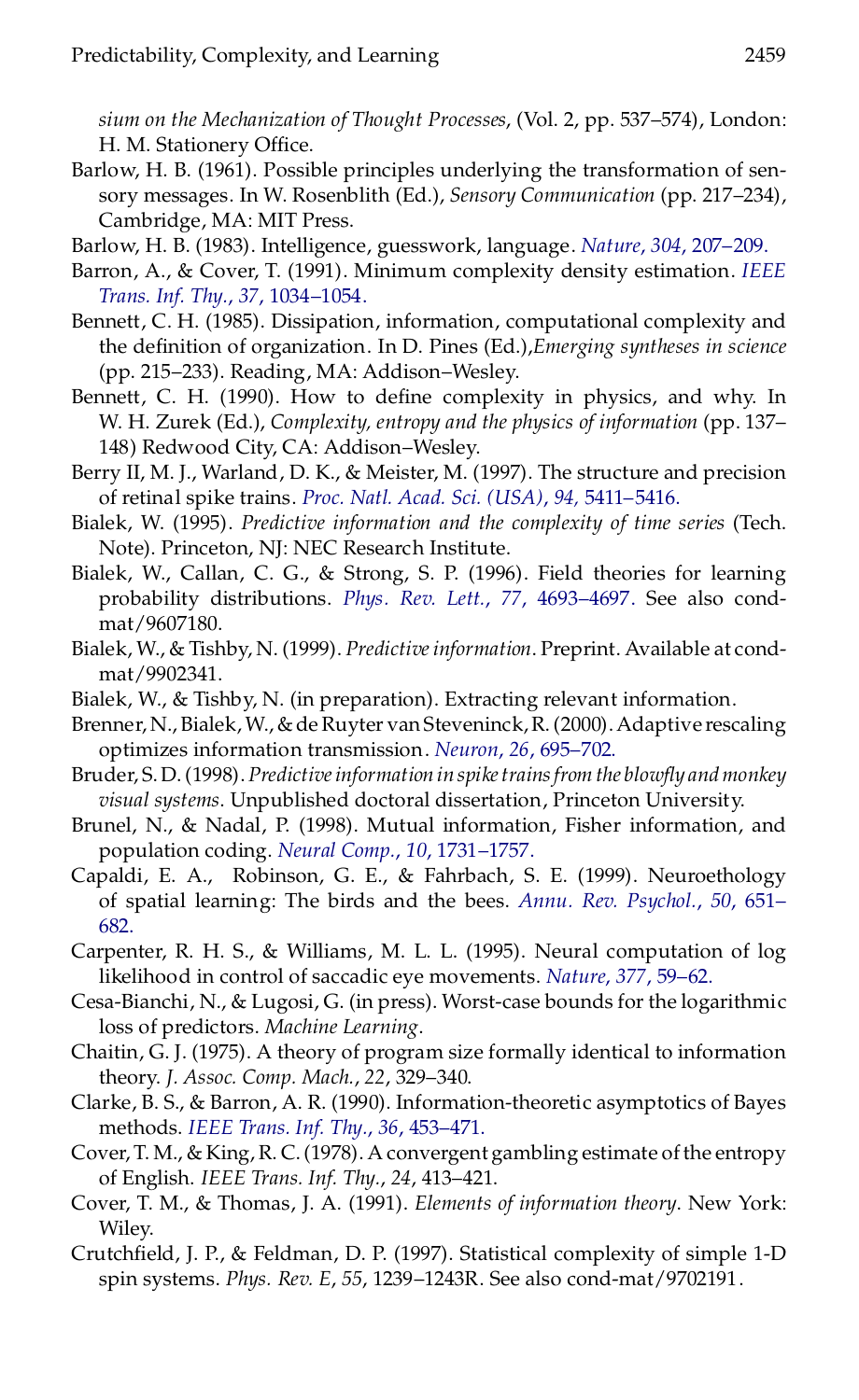*sium on the Mechanization of Thought Processes*, (Vol. 2, pp. 537–574), London: H. M. Stationery Office.

- Barlow, H. B. (1961). Possible principles underlying the transformation of sen sory messages. In W. Rosenblith (Ed.), *Sensory Communication* (pp. 217–234), Cambridge, MA: MIT Press.
- Barlow, H. B. (1983). Intelligence, guesswork, language. *Nature*, *304*, [207–209.](http://fidelio.ingentaselect.com/nw=1/rpsv/cgi-bin/linker?ext=a&reqidx=/0028-0836^28^29304L.207[aid=1949478])
- Barron, A., & Cover, T. (1991). Minimum complexity density estimation. *[IEEE](http://fidelio.ingentaselect.com/nw=1/rpsv/cgi-bin/linker?ext=a&reqidx=/0018-9448^28^2937L.1034[aid=1489384]) Trans. Inf. Thy.*, *37*, [1034–1054.](http://fidelio.ingentaselect.com/nw=1/rpsv/cgi-bin/linker?ext=a&reqidx=/0018-9448^28^2937L.1034[aid=1489384])
- Bennett, C. H. (1985). Dissipation, information, computational complexity and the definition of organization. In D. Pines (Ed.),*Emerging syntheses in science* (pp. 215–233). Reading, MA: Addison–Wesley.
- Bennett, C. H. (1990). How to define complexity in physics, and why. In W. H. Zurek (Ed.), *Complexity, entropy and the physics of information* (pp. 137– 148) Redwood City, CA: Addison–Wesley.
- Berry II, M. J., Warland, D. K., & Meister, M. (1997). The structure and precision of retinal spike trains. *Proc. Natl. Acad. Sci. (USA)*, *94,* [5411–5416.](http://fidelio.ingentaselect.com/nw=1/rpsv/cgi-bin/linker?ext=a&reqidx=/0027-8424^28^2994L.5411[aid=214595])
- Bialek, W. (1995). *Predictive information and the complexity of time series* (Tech. Note). Princeton, NJ: NEC Research Institute.
- Bialek, W., Callan, C. G., & Strong, S. P. (1996). Field theories for learning probability distributions. *Phys. Rev. Lett.*, *77*, [4693–4697.](http://fidelio.ingentaselect.com/nw=1/rpsv/cgi-bin/linker?ext=a&reqidx=/0031-9007^28^2977L.4693[aid=1949479]) See also cond mat/9607180.
- Bialek, W., & Tishby, N. (1999). *Predictiveinformation*. Preprint. Available at cond mat/9902341.
- Bialek, W., & Tishby, N. (in preparation). Extracting relevant information.
- Brenner, N., Bialek, W., & de Ruyter van Steveninck, R. (2000). Adaptive rescaling optimizes information transmission. *Neuron*, *26*, [695–702.](http://fidelio.ingentaselect.com/nw=1/rpsv/cgi-bin/linker?ext=a&reqidx=/0896-6273^28^2926L.695[aid=1883611])
- Bruder, S.D.(1998). *Predictiveinformation inspiketrainsfrom the blowy andmonkey visual systems*. Unpublished doctoral dissertation, Princeton University.
- Brunel, N., & Nadal, P. (1998). Mutual information, Fisher information, and population coding. *Neural Comp.*, *10*, [1731–1757.](http://fidelio.ingentaselect.com/nw=1/rpsv/cgi-bin/linker?ext=a&reqidx=/0899-7667^28^2910L.1731[aid=215748])
- Capaldi, E. A., Robinson, G. E., & Fahrbach, S. E. (1999). Neuroethology of spatial learning: The birds and the bees. *Annu. Rev. [Psychol.](http://fidelio.ingentaselect.com/nw=1/rpsv/cgi-bin/linker?ext=a&reqidx=/0066-4308^28^2950L.651[aid=1949480])*, *50*, 651– [682.](http://fidelio.ingentaselect.com/nw=1/rpsv/cgi-bin/linker?ext=a&reqidx=/0066-4308^28^2950L.651[aid=1949480])
- Carpenter, R. H. S., & Williams, M. L. L. (1995). Neural computation of log likelihood in control of saccadic eye movements. *[Nature](http://fidelio.ingentaselect.com/nw=1/rpsv/cgi-bin/linker?ext=a&reqidx=/0028-0836^28^29377L.59[aid=308153])*, *377*, 59–62.
- Cesa-Bianchi, N., & Lugosi, G. (in press). Worst-case bounds for the logarithmic loss of predictors. *Machine Learning*.
- Chaitin, G. J. (1975). A theory of program size formally identical to information theory. *J. Assoc. Comp. Mach.*, *22*, 329–340.
- Clarke, B. S., & Barron, A. R. (1990). Information-theoretic asymptotics of Bayes methods. *IEEE Trans. Inf. Thy.*, *36*, [453–471.](http://fidelio.ingentaselect.com/nw=1/rpsv/cgi-bin/linker?ext=a&reqidx=/0018-9448^28^2936L.453[aid=217694])
- Cover, T. M., & King, R. C. (1978). A convergent gambling estimate of the entropy of English. *IEEE Trans. Inf. Thy.*, *24*, 413–421.
- Cover, T. M., & Thomas, J. A. (1991). *Elements of information theory*. New York: Wiley.
- Crutchfield, J. P., & Feldman, D. P. (1997). Statistical complexity of simple 1-D spin systems. *Phys. Rev. E*, *55*, 1239–1243R. See also cond-mat/9702191.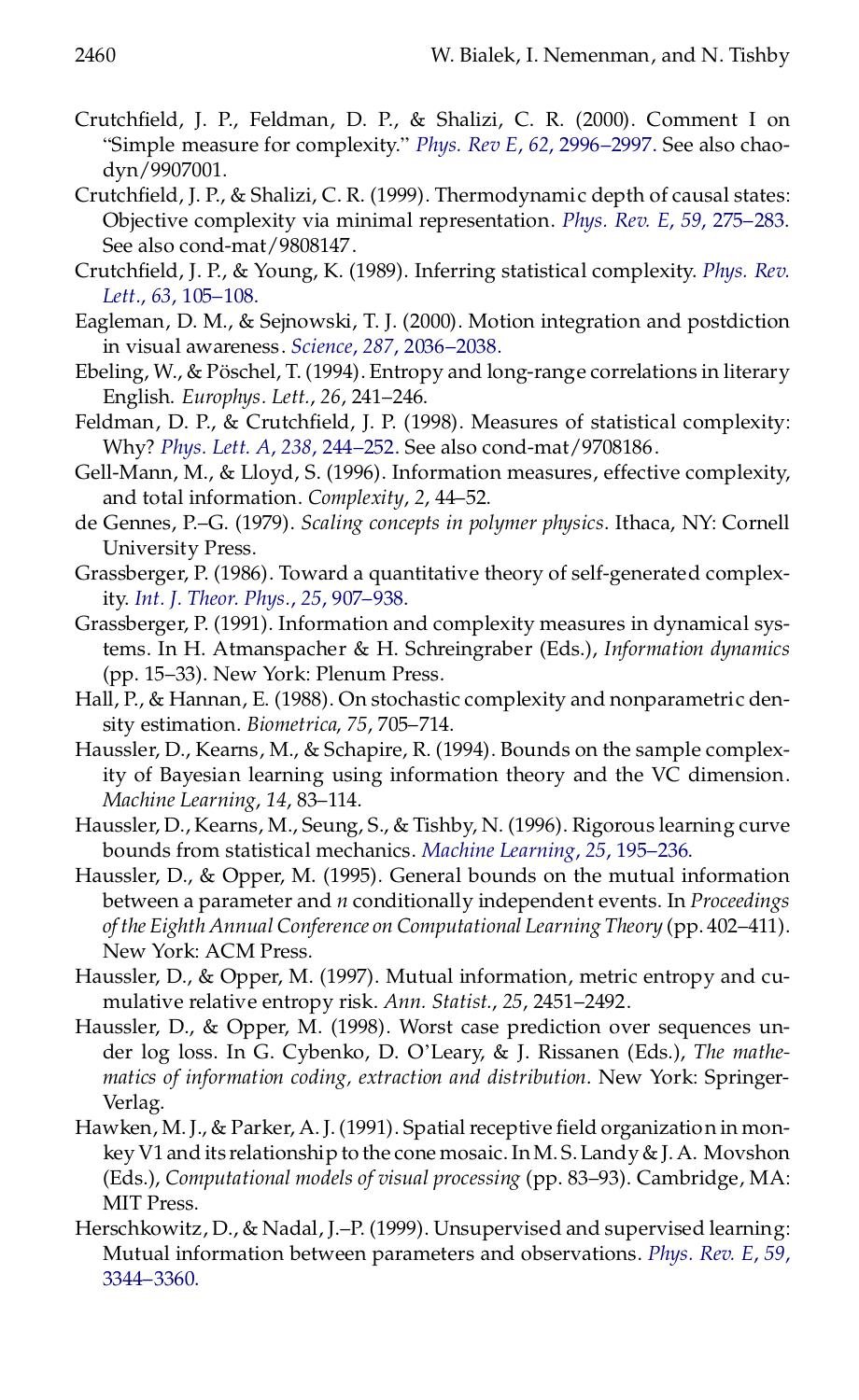- Crutchfield, J. P., Feldman, D. P., & Shalizi, C. R. (2000). Comment I on "Simple measure for complexity." *Phys. Rev E*, *62*, [2996–2997.](http://fidelio.ingentaselect.com/nw=1/rpsv/cgi-bin/linker?ext=a&reqidx=/1063-651X^28^2962L.2996[aid=1949484]) See also chao dyn/9907001.
- Crutchfield, J. P., & Shalizi, C. R. (1999). Thermodynamic depth of causal states: Objective complexity via minimal representation. *Phys. Rev. E*, *59*, [275–283.](http://fidelio.ingentaselect.com/nw=1/rpsv/cgi-bin/linker?ext=a&reqidx=/1063-651X^28^2959L.275[aid=1949485]) See also cond-mat/9808147.
- Crutchfield, J. P., & Young, K. (1989). Inferring statistical complexity. *[Phys.](http://fidelio.ingentaselect.com/nw=1/rpsv/cgi-bin/linker?ext=a&reqidx=/0031-9007^28^2963L.105[aid=1949486]) Rev. Lett.*, *63*, [105–108.](http://fidelio.ingentaselect.com/nw=1/rpsv/cgi-bin/linker?ext=a&reqidx=/0031-9007^28^2963L.105[aid=1949486])
- Eagleman, D. M., & Sejnowski, T. J. (2000). Motion integration and postdiction in visual awareness. *Science*, *287*, [2036–2038.](http://fidelio.ingentaselect.com/nw=1/rpsv/cgi-bin/linker?ext=a&reqidx=/0036-8075^28^29287L.2036[aid=1192825])
- Ebeling, W., & Pöschel, T. (1994). Entropy and long-range correlations in literary English. *Europhys. Lett.*, *26*, 241–246.
- Feldman, D. P., & Crutchfield, J. P. (1998). Measures of statistical complexity: Why? *Phys. Lett. A*, *238*, [244–252.](http://fidelio.ingentaselect.com/nw=1/rpsv/cgi-bin/linker?ext=a&reqidx=/0375-9601^28^29238L.244[aid=1949488]) See also cond-mat/9708186.
- Gell-Mann, M., & Lloyd, S. (1996). Information measures, effective complexity, and total information. *Complexity*, *2*, 44–52.
- de Gennes, P.–G. (1979). *Scaling concepts in polymer physics*. Ithaca, NY: Cornell University Press.
- Grassberger, P. (1986). Toward a quantitative theory of self-generated complexity. *Int. J. Theor. Phys.*, *25*, [907–938.](http://fidelio.ingentaselect.com/nw=1/rpsv/cgi-bin/linker?ext=a&reqidx=/0020-7748^28^2925L.907[aid=1949490])
- Grassberger, P. (1991). Information and complexity measures in dynamical systems. In H. Atmanspacher & H. Schreingraber (Eds.), *Information dynamics* (pp. 15–33). New York: Plenum Press.
- Hall, P., & Hannan, E. (1988). On stochastic complexity and nonparametric density estimation. *Biometrica*, *75*, 705–714.
- Haussler, D., Kearns, M., & Schapire, R. (1994). Bounds on the sample complexity of Bayesian learning using information theory and the VC dimension. *Machine Learning*, *14*, 83–114.
- Haussler, D., Kearns, M., Seung, S., & Tishby, N. (1996). Rigorous learning curve bounds from statistical mechanics. *Machine Learning*, *25*, [195–236.](http://fidelio.ingentaselect.com/nw=1/rpsv/cgi-bin/linker?ext=a&reqidx=/0885-6125^28^2925L.195[aid=218534])
- Haussler, D., & Opper, M. (1995). General bounds on the mutual information between a parameter and *n* conditionally independent events. In *Proceedings of the Eighth Annual Conference on Computational Learning Theory* (pp. 402–411). New York: ACM Press.
- Haussler, D., & Opper, M. (1997). Mutual information, metric entropy and cu mulative relative entropy risk. *Ann. Statist.*, *25*, 2451–2492.
- Haussler, D., & Opper, M. (1998). Worst case prediction over sequences un der log loss. In G. Cybenko, D. O'Leary, & J. Rissanen (Eds.), *The mathematics of information coding, extraction and distribution*. New York: Springer-Verlag.
- Hawken, M. J., & Parker, A. J. (1991). Spatial receptive field organization in monkey V1 and its relationship to the cone mosaic. In M. S. Landy & J. A. Movshon (Eds.), *Computational models of visual processing* (pp. 83–93). Cambridge, MA: MIT Press.
- Herschkowitz, D., & Nadal, J.–P. (1999). Unsupervised and supervised learning: Mutual information between parameters and observations. *[Phys.](http://fidelio.ingentaselect.com/nw=1/rpsv/cgi-bin/linker?ext=a&reqidx=/1063-651X^28^2959L.3344[aid=1949492]) Rev. E*, *59*, [3344–3360.](http://fidelio.ingentaselect.com/nw=1/rpsv/cgi-bin/linker?ext=a&reqidx=/1063-651X^28^2959L.3344[aid=1949492])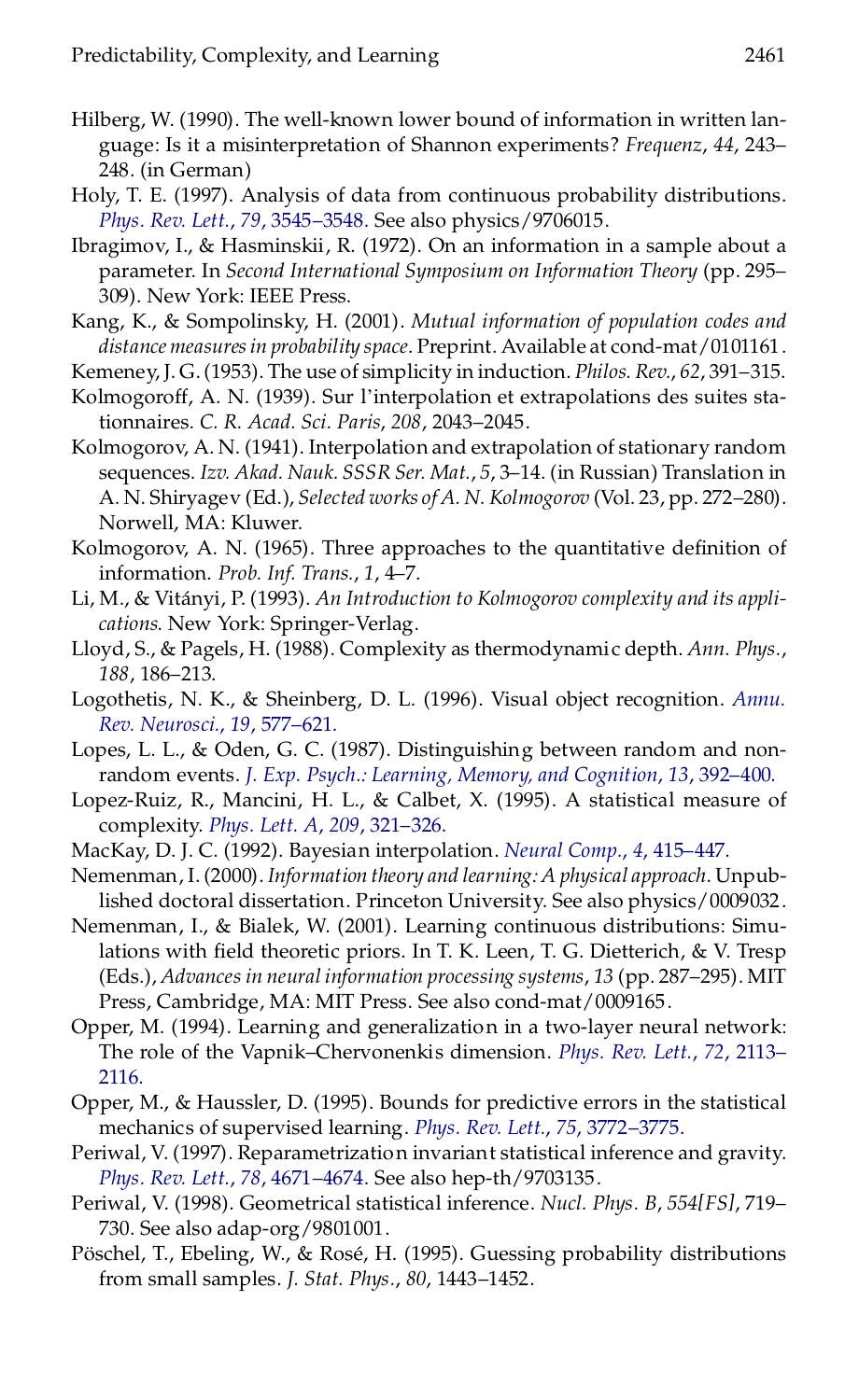- Hilberg, W. (1990). The well-known lower bound of information in written lan guage: Is it a misinterpretation of Shannon experiments? *Frequenz*, *44*, 243– 248. (in German)
- Holy, T. E. (1997). Analysis of data from continuous probability distributions. *Phys. Rev. Lett.*, *79*, [3545–3548.](http://fidelio.ingentaselect.com/nw=1/rpsv/cgi-bin/linker?ext=a&reqidx=/0031-9007^28^2979L.3545[aid=1949494]) See also physics/9706015.
- Ibragimov, I., & Hasminskii, R. (1972). On an information in a sample about a parameter. In *Second International Symposium on Information Theory* (pp. 295– 309). New York: IEEE Press.
- Kang, K., & Sompolinsky, H. (2001). *Mutual information of population codes and distance measuresin probability space*. Preprint. Available at cond-mat/0101161.

Kemeney, J. G.(1953). The use of simplicity in induction. *Philos. Rev.*, *62*, 391–315.

- Kolmogoroff, A. N. (1939). Sur l'interpolation et extrapolations des suites stationnaires. *C. R. Acad. Sci. Paris*, *208*, 2043–2045.
- Kolmogorov, A. N. (1941). Interpolation and extrapolation of stationary random sequences. *Izv. Akad. Nauk. SSSR Ser. Mat.*, *5*, 3–14. (in Russian) Translation in A. N. Shiryagev (Ed.), *Selected works of A. N. Kolmogorov* (Vol. 23, pp. 272–280). Norwell, MA: Kluwer.
- Kolmogorov, A. N. (1965). Three approaches to the quantitative definition of information. *Prob. Inf. Trans.*, *1*, 4–7.
- Li, M., & Vitányi, P. (1993). An Introduction to Kolmogorov complexity and its appli*cations*. New York: Springer-Verlag.
- Lloyd, S., & Pagels, H. (1988). Complexity as thermodynamic depth. *Ann. Phys.*, *188*, 186–213.
- Logothetis, N. K., & Sheinberg, D. L. (1996). Visual object recognition. *[Annu.](http://fidelio.ingentaselect.com/nw=1/rpsv/cgi-bin/linker?ext=a&reqidx=/0147-006X^28^2919L.577[aid=214853]) Rev. [Neurosci.](http://fidelio.ingentaselect.com/nw=1/rpsv/cgi-bin/linker?ext=a&reqidx=/0147-006X^28^2919L.577[aid=214853])*, *19*, 577–621.
- Lopes, L. L., & Oden, G. C. (1987). Distinguishing between random and non random events. *J. Exp. Psych.: Learning, Memory, and [Cognition](http://fidelio.ingentaselect.com/nw=1/rpsv/cgi-bin/linker?ext=a&reqidx=/0278-7393^28^2913L.392[aid=298459])*, *13*, 392–400.
- Lopez-Ruiz, R., Mancini, H. L., & Calbet, X. (1995). A statistical measure of complexity. *Phys. Lett. A*, *209*, [321–326.](http://fidelio.ingentaselect.com/nw=1/rpsv/cgi-bin/linker?ext=a&reqidx=/0375-9601^28^29209L.321[aid=1949499])
- MacKay, D. J. C. (1992). Bayesian interpolation. *Neural Comp.*, *4*, [415–447.](http://fidelio.ingentaselect.com/nw=1/rpsv/cgi-bin/linker?ext=a&reqidx=/0899-7667^28^294L.415[aid=217248])
- Nemenman, I. (2000). *Information theory and learning:A physical approach*. Unpublished doctoral dissertation. Princeton University. See also physics/0009032.
- Nemenman, I., & Bialek, W. (2001). Learning continuous distributions: Simulations with field theoretic priors. In T. K. Leen, T. G. Dietterich, & V. Tresp (Eds.), *Advances in neural information processing systems*, *13* (pp. 287–295). MIT Press, Cambridge, MA: MIT Press. See also cond-mat/0009165.
- Opper, M. (1994). Learning and generalization in a two-layer neural network: The role of the Vapnik–Chervonenkis dimension. *Phys. Rev. Lett.*, *72*, [2113–](http://fidelio.ingentaselect.com/nw=1/rpsv/cgi-bin/linker?ext=a&reqidx=/0031-9007^28^2972L.2113[aid=646385]) [2116.](http://fidelio.ingentaselect.com/nw=1/rpsv/cgi-bin/linker?ext=a&reqidx=/0031-9007^28^2972L.2113[aid=646385])
- Opper, M., & Haussler, D. (1995). Bounds for predictive errors in the statistical mechanics of supervised learning. *Phys. Rev. Lett.*, *75*, [3772–3775.](http://fidelio.ingentaselect.com/nw=1/rpsv/cgi-bin/linker?ext=a&reqidx=/0031-9007^28^2975L.3772[aid=1949500])
- Periwal, V. (1997). Reparametrization invariant statistical inference and gravity. *Phys. Rev. Lett.*, *78*, [4671–4674.](http://fidelio.ingentaselect.com/nw=1/rpsv/cgi-bin/linker?ext=a&reqidx=/0031-9007^28^2978L.4671[aid=1949501]) See also hep-th/9703135.
- Periwal, V. (1998). Geometrical statistical inference. *Nucl. Phys. B*, *554[FS]*, 719– 730. See also adap-org/9801001.
- Pöschel, T., Ebeling, W., & Rosé, H. (1995). Guessing probability distributions from small samples. *J. Stat. Phys.*, *80*, 1443–1452.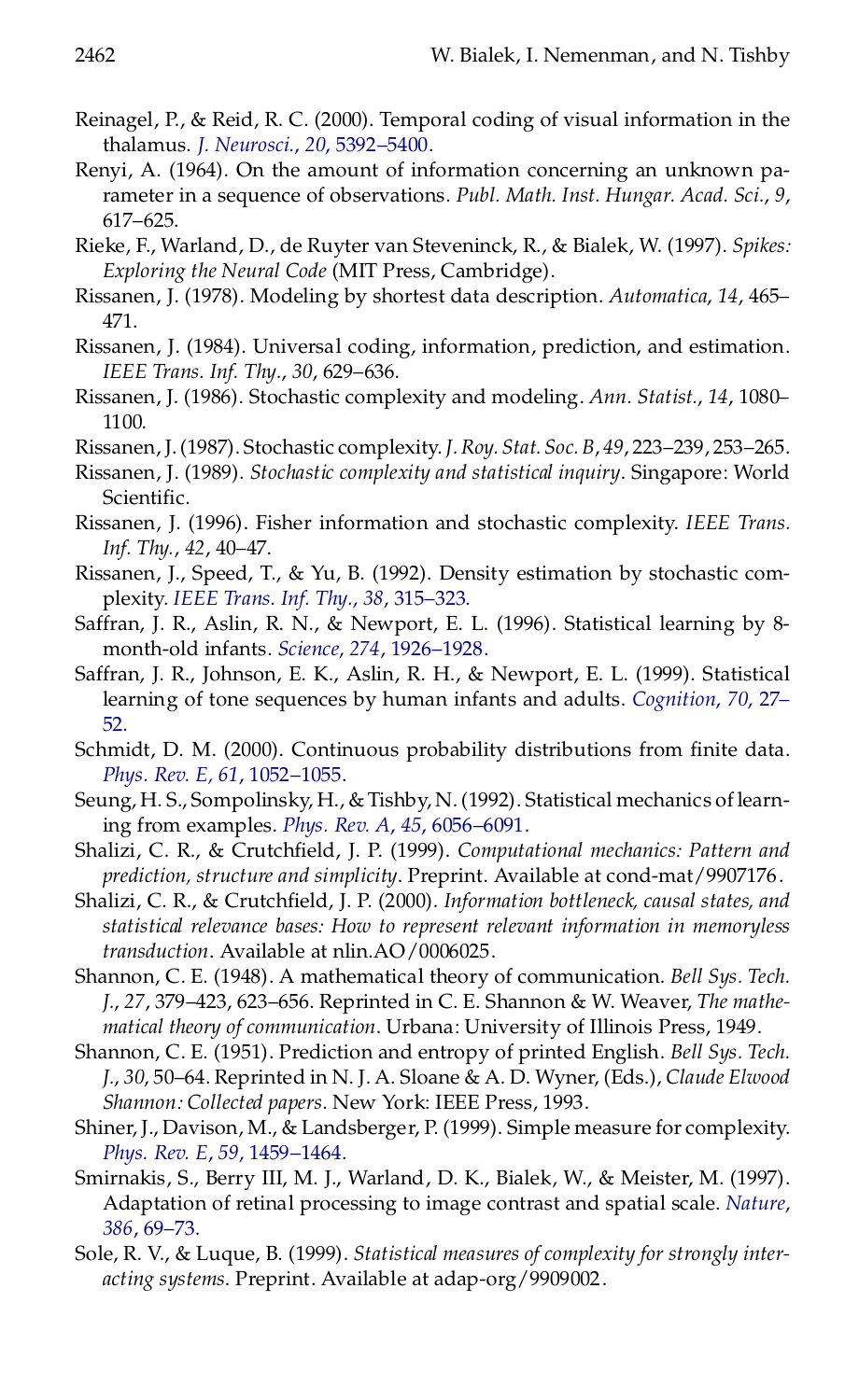- Reinagel, P., & Reid, R. C. (2000). Temporal coding of visual information in the thalamus. *J. Neurosci.*, *20*, [5392–5400.](http://fidelio.ingentaselect.com/nw=1/rpsv/cgi-bin/linker?ext=a&reqidx=/0270-6474^28^2920L.5392[aid=1949503])
- Renyi, A. (1964). On the amount of information concerning an unknown parameter in a sequence of observations. *Publ. Math. Inst. Hungar. Acad. Sci.*, *9*, 617–625.
- Rieke, F., Warland, D., de Ruyter van Steveninck, R., & Bialek, W. (1997). *Spikes: Exploring the Neural Code* (MIT Press, Cambridge).
- Rissanen, J. (1978). Modeling by shortest data description. *Automatica*, *14*, 465– 471.
- Rissanen, J. (1984). Universal coding, information, prediction, and estimation. *IEEE Trans. Inf. Thy.*, *30*, 629–636.
- Rissanen, J. (1986). Stochastic complexity and modeling. *Ann. Statist.*, *14*, 1080– 1100.
- Rissanen, J.(1987). Stochastic complexity.*J.Roy. Stat. Soc. B*, *49*, 223–239, 253–265.
- Rissanen, J. (1989). *Stochastic complexity and statistical inquiry*. Singapore: World Scientific.
- Rissanen, J. (1996). Fisher information and stochastic complexity. *IEEE Trans. Inf. Thy.*, *42*, 40–47.
- Rissanen, J., Speed, T., & Yu, B. (1992). Density estimation by stochastic com plexity. *IEEE Trans. Inf. Thy.*, *38*, [315–323.](http://fidelio.ingentaselect.com/nw=1/rpsv/cgi-bin/linker?ext=a&reqidx=/0018-9448^28^2938L.315[aid=1489607])
- Saffran, J. R., Aslin, R. N., & Newport, E. L. (1996). Statistical learning by 8 month-old infants. *Science*, *274*, [1926–1928.](http://fidelio.ingentaselect.com/nw=1/rpsv/cgi-bin/linker?ext=a&reqidx=/0036-8075^28^29274L.1926[aid=146083])
- Saffran, J. R., Johnson, E. K., Aslin, R. H., & Newport, E. L. (1999). Statistical learning of tone sequences by human infants and adults. *[Cognition](http://fidelio.ingentaselect.com/nw=1/rpsv/cgi-bin/linker?ext=a&reqidx=/0010-0277^28^2970L.27[aid=1109884])*, *70*, 27– [52.](http://fidelio.ingentaselect.com/nw=1/rpsv/cgi-bin/linker?ext=a&reqidx=/0010-0277^28^2970L.27[aid=1109884])
- Schmidt, D. M. (2000). Continuous probability distributions from finite data. *Phys. Rev. E, 61*, [1052–1055.](http://fidelio.ingentaselect.com/nw=1/rpsv/cgi-bin/linker?ext=a&reqidx=/1063-651X^28^2961L.1052[aid=1949505])
- Seung, H. S., Sompolinsky, H., & Tishby, N.(1992). Statistical mechanics of learning from examples. *Phys. Rev. A*, *45*, [6056–6091.](http://fidelio.ingentaselect.com/nw=1/rpsv/cgi-bin/linker?ext=a&reqidx=/1050-2947^28^2945L.6056[aid=215616])
- Shalizi, C. R., & Crutchfield, J. P. (1999). Computational mechanics: Pattern and *prediction, structure and simplicity*. Preprint. Available at cond-mat/9907176.
- Shalizi, C. R., & Crutchfield, J. P. (2000). *Information bottleneck, causal states, and statistical relevance bases: How to represent relevant information in memoryless transduction*. Available at nlin.AO/0006025.
- Shannon, C. E. (1948). A mathematical theory of communication. *Bell Sys. Tech. J.*, *27*, 379–423, 623–656. Reprinted in C. E. Shannon & W. Weaver, *The mathematical theory of communication*. Urbana: University of Illinois Press, 1949.
- Shannon, C. E. (1951). Prediction and entropy of printed English. *Bell Sys. Tech. J.*, *30*, 50–64. Reprinted in N. J. A. Sloane & A. D. Wyner, (Eds.), *Claude Elwood Shannon:Collected papers*. New York: IEEE Press, 1993.
- Shiner, J., Davison, M., & Landsberger, P. (1999). Simple measure for complexity. *Phys. Rev. E*, *59*, [1459–1464.](http://fidelio.ingentaselect.com/nw=1/rpsv/cgi-bin/linker?ext=a&reqidx=/1063-651X^28^2959L.1459[aid=1949507])
- Smirnakis, S., Berry III, M. J., Warland, D. K., Bialek, W., & Meister, M. (1997). Adaptation of retinal processing to image contrast and spatial scale. *[Nature](http://fidelio.ingentaselect.com/nw=1/rpsv/cgi-bin/linker?ext=a&reqidx=/0028-0836^28^29386L.69[aid=1949508])*, *386*, [69–73.](http://fidelio.ingentaselect.com/nw=1/rpsv/cgi-bin/linker?ext=a&reqidx=/0028-0836^28^29386L.69[aid=1949508])
- Sole, R. V., & Luque, B. (1999). *Statistical measures of complexity for strongly inter acting systems*. Preprint. Available at adap-org/9909002.